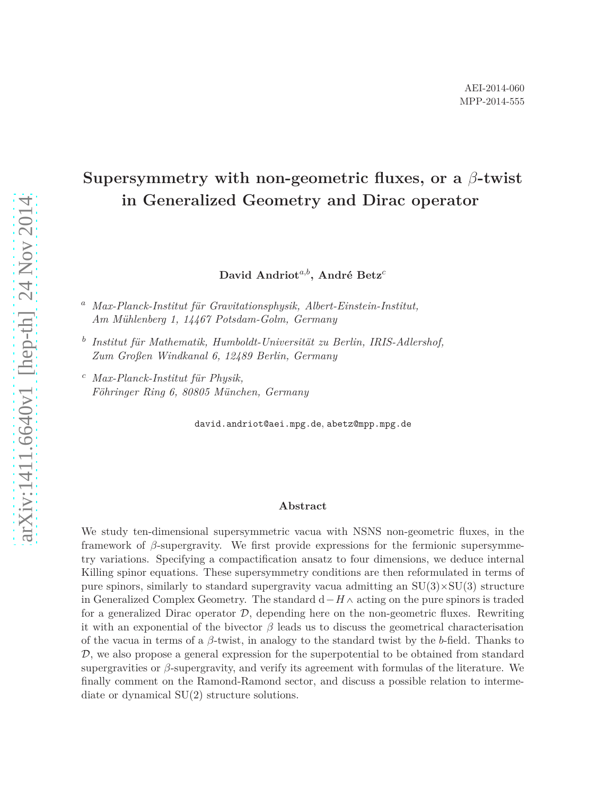# **Supersymmetry with non-geometric fluxes, or a** *β***-twist in Generalized Geometry and Dirac operator**

**David Andriot***a,b***, André Betz***<sup>c</sup>*

*<sup>a</sup> Max-Planck-Institut für Gravitationsphysik, Albert-Einstein-Institut, Am Mühlenberg 1, 14467 Potsdam-Golm, Germany*

- *b Institut für Mathematik, Humboldt-Universität zu Berlin, IRIS-Adlershof, Zum Großen Windkanal 6, 12489 Berlin, Germany*
- *<sup>c</sup> Max-Planck-Institut für Physik, Föhringer Ring 6, 80805 München, Germany*

david.andriot@aei.mpg.de, abetz@mpp.mpg.de

#### **Abstract**

We study ten-dimensional supersymmetric vacua with NSNS non-geometric fluxes, in the framework of *β*-supergravity. We first provide expressions for the fermionic supersymmetry variations. Specifying a compactification ansatz to four dimensions, we deduce internal Killing spinor equations. These supersymmetry conditions are then reformulated in terms of pure spinors, similarly to standard supergravity vacua admitting an  $SU(3) \times SU(3)$  structure in Generalized Complex Geometry. The standard  $d$  –  $H \wedge$  acting on the pure spinors is traded for a generalized Dirac operator  $D$ , depending here on the non-geometric fluxes. Rewriting it with an exponential of the bivector  $\beta$  leads us to discuss the geometrical characterisation of the vacua in terms of a *β*-twist, in analogy to the standard twist by the *b*-field. Thanks to  $\mathcal{D}$ , we also propose a general expression for the superpotential to be obtained from standard supergravities or *β*-supergravity, and verify its agreement with formulas of the literature. We finally comment on the Ramond-Ramond sector, and discuss a possible relation to intermediate or dynamical SU(2) structure solutions.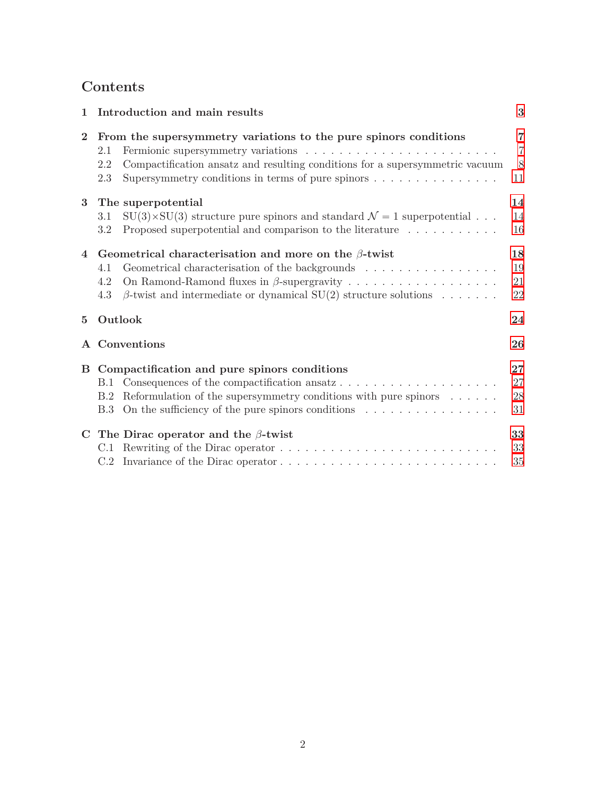# **Contents**

| 1              | Introduction and main results                                                                                                                                                                                                                                  | 3                              |
|----------------|----------------------------------------------------------------------------------------------------------------------------------------------------------------------------------------------------------------------------------------------------------------|--------------------------------|
| $\bf{2}$       | From the supersymmetry variations to the pure spinors conditions<br>2.1<br>Compactification ansatz and resulting conditions for a supersymmetric vacuum<br>2.2<br>Supersymmetry conditions in terms of pure spinors $\dots \dots \dots \dots \dots$<br>2.3     | 7<br>$\overline{7}$<br>8<br>11 |
| 3              | The superpotential<br>$SU(3) \times SU(3)$ structure pure spinors and standard $\mathcal{N} = 1$ superpotential<br>3.1<br>Proposed superpotential and comparison to the literature<br>3.2                                                                      | 14<br>14<br>16                 |
| $\overline{4}$ | Geometrical characterisation and more on the $\beta$ -twist<br>Geometrical characterisation of the backgrounds<br>4.1<br>4.2<br>$\beta$ -twist and intermediate or dynamical SU(2) structure solutions<br>4.3                                                  | 18<br>19<br>21<br>22           |
| $\overline{5}$ | Outlook                                                                                                                                                                                                                                                        | 24                             |
|                | A Conventions                                                                                                                                                                                                                                                  | 26                             |
|                | B Compactification and pure spinors conditions<br><b>B.1</b><br>Reformulation of the supersymmetry conditions with pure spinors $\ldots \ldots$<br>B.2<br>On the sufficiency of the pure spinors conditions $\ldots \ldots \ldots \ldots \ldots$<br><b>B.3</b> | $27\,$<br>27<br>28<br>31       |
|                | C The Dirac operator and the $\beta$ -twist                                                                                                                                                                                                                    | 33<br>33<br>35                 |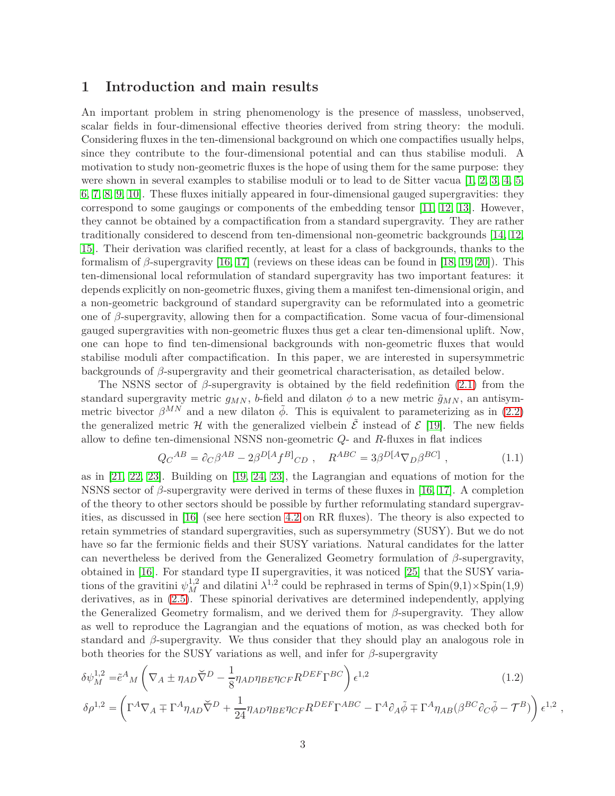## <span id="page-2-0"></span>**1 Introduction and main results**

An important problem in string phenomenology is the presence of massless, unobserved, scalar fields in four-dimensional effective theories derived from string theory: the moduli. Considering fluxes in the ten-dimensional background on which one compactifies usually helps, since they contribute to the four-dimensional potential and can thus stabilise moduli. A motivation to study non-geometric fluxes is the hope of using them for the same purpose: they were shown in several examples to stabilise moduli or to lead to de Sitter vacua [\[1,](#page-35-0) [2,](#page-35-1) [3,](#page-35-2) [4,](#page-35-3) [5,](#page-35-4) [6,](#page-35-5) [7,](#page-35-6) [8,](#page-35-7) [9,](#page-35-8) [10\]](#page-35-9). These fluxes initially appeared in four-dimensional gauged supergravities: they correspond to some gaugings or components of the embedding tensor [\[11,](#page-35-10) [12,](#page-35-11) [13\]](#page-35-12). However, they cannot be obtained by a compactification from a standard supergravity. They are rather traditionally considered to descend from ten-dimensional non-geometric backgrounds [\[14,](#page-35-13) [12,](#page-35-11) [15\]](#page-35-14). Their derivation was clarified recently, at least for a class of backgrounds, thanks to the formalism of *β*-supergravity [\[16,](#page-35-15) [17\]](#page-35-16) (reviews on these ideas can be found in [\[18,](#page-36-0) [19,](#page-36-1) [20\]](#page-36-2)). This ten-dimensional local reformulation of standard supergravity has two important features: it depends explicitly on non-geometric fluxes, giving them a manifest ten-dimensional origin, and a non-geometric background of standard supergravity can be reformulated into a geometric one of *β*-supergravity, allowing then for a compactification. Some vacua of four-dimensional gauged supergravities with non-geometric fluxes thus get a clear ten-dimensional uplift. Now, one can hope to find ten-dimensional backgrounds with non-geometric fluxes that would stabilise moduli after compactification. In this paper, we are interested in supersymmetric backgrounds of *β*-supergravity and their geometrical characterisation, as detailed below.

The NSNS sector of *β*-supergravity is obtained by the field redefinition [\(2.1\)](#page-6-2) from the standard supergravity metric  $g_{MN}$ , *b*-field and dilaton  $\phi$  to a new metric  $\tilde{g}_{MN}$ , an antisymmetric bivector  $\beta^{MN}$  and a new dilaton  $\tilde{\phi}$ . This is equivalent to parameterizing as in [\(2.2\)](#page-6-3) the generalized metric H with the generalized vielbein  $\mathcal{\hat{E}}$  instead of  $\mathcal{\hat{E}}$  [\[19\]](#page-36-1). The new fields allow to define ten-dimensional NSNS non-geometric *Q*- and *R*-fluxes in flat indices

<span id="page-2-1"></span>
$$
Q_C{}^{AB} = \partial_C \beta^{AB} - 2\beta^{D[A} f^{B]}{}_{CD} , \quad R^{ABC} = 3\beta^{D[A} \nabla_D \beta^{BC]}, \tag{1.1}
$$

as in [\[21,](#page-36-3) [22,](#page-36-4) [23\]](#page-36-5). Building on [\[19,](#page-36-1) [24,](#page-36-6) [23\]](#page-36-5), the Lagrangian and equations of motion for the NSNS sector of *β*-supergravity were derived in terms of these fluxes in [\[16,](#page-35-15) [17\]](#page-35-16). A completion of the theory to other sectors should be possible by further reformulating standard supergravities, as discussed in [\[16\]](#page-35-15) (see here section [4.2](#page-20-0) on RR fluxes). The theory is also expected to retain symmetries of standard supergravities, such as supersymmetry (SUSY). But we do not have so far the fermionic fields and their SUSY variations. Natural candidates for the latter can nevertheless be derived from the Generalized Geometry formulation of *β*-supergravity, obtained in [\[16\]](#page-35-15). For standard type II supergravities, it was noticed [\[25\]](#page-36-7) that the SUSY variations of the gravitini  $\psi_M^{1,2}$  and dilatini  $\lambda^{1,2}$  could be rephrased in terms of Spin(9,1)×Spin(1,9) derivatives, as in [\(2.5\)](#page-7-1). These spinorial derivatives are determined independently, applying the Generalized Geometry formalism, and we derived them for *β*-supergravity. They allow as well to reproduce the Lagrangian and the equations of motion, as was checked both for standard and *β*-supergravity. We thus consider that they should play an analogous role in both theories for the SUSY variations as well, and infer for *β*-supergravity

$$
\delta\psi_M^{1,2} = \tilde{e}^A{}_M \left( \nabla_A \pm \eta_{AD} \tilde{\nabla}^D - \frac{1}{8} \eta_{AD} \eta_{BE} \eta_{CF} R^{DEF} \Gamma^{BC} \right) \epsilon^{1,2}
$$
\n
$$
\epsilon^{1,2} \left( -4 - \frac{1}{2} \eta_{AD} \tilde{\nabla}^D \right) \frac{1}{2} \left( \nabla_A \tilde{\nabla}^D \right) \frac{1}{2} \left( \nabla_A \tilde{\nabla}^D \right) \frac{1}{2} \left( \nabla_A \tilde{\nabla}^D \right) \frac{1}{2} \left( \nabla_A \tilde{\nabla}^D \right) \frac{1}{2} \left( \nabla_A \tilde{\nabla}^D \right) \frac{1}{2} \left( \nabla_A \tilde{\nabla}^D \right) \frac{1}{2} \left( \nabla_A \tilde{\nabla}^D \right) \frac{1}{2} \left( \nabla_A \tilde{\nabla}^D \right) \frac{1}{2} \left( \nabla_A \tilde{\nabla}^D \right) \frac{1}{2} \left( \nabla_A \tilde{\nabla}^D \right) \frac{1}{2} \left( \nabla_A \tilde{\nabla}^D \right) \frac{1}{2} \left( \nabla_A \tilde{\nabla}^D \right) \frac{1}{2} \left( \nabla_A \tilde{\nabla}^D \right) \frac{1}{2} \left( \nabla_A \tilde{\nabla}^D \right) \frac{1}{2} \left( \nabla_A \tilde{\nabla}^D \right) \frac{1}{2} \left( \nabla_A \tilde{\nabla}^D \right) \frac{1}{2} \left( \nabla_A \tilde{\nabla}^D \right) \frac{1}{2} \left( \nabla_A \tilde{\nabla}^D \right) \frac{1}{2} \left( \nabla_A \tilde{\nabla}^D \right) \frac{1}{2} \left( \nabla_A \tilde{\nabla}^D \right) \frac{1}{2} \left( \nabla_A \tilde{\nabla}^D \right) \frac{1}{2} \left( \nabla_A \tilde{\nabla}^D \right) \frac{1}{2} \left(
$$

$$
\delta \rho^{1,2} = \left( \Gamma^A \nabla_A \mp \Gamma^A \eta_{AD} \breve{\nabla}^D + \frac{1}{24} \eta_{AD} \eta_{BE} \eta_{CF} R^{DEF} \Gamma^{ABC} - \Gamma^A \partial_A \tilde{\phi} \mp \Gamma^A \eta_{AB} (\beta^{BC} \partial_C \tilde{\phi} - \mathcal{T}^B) \right) \epsilon^{1,2} ,
$$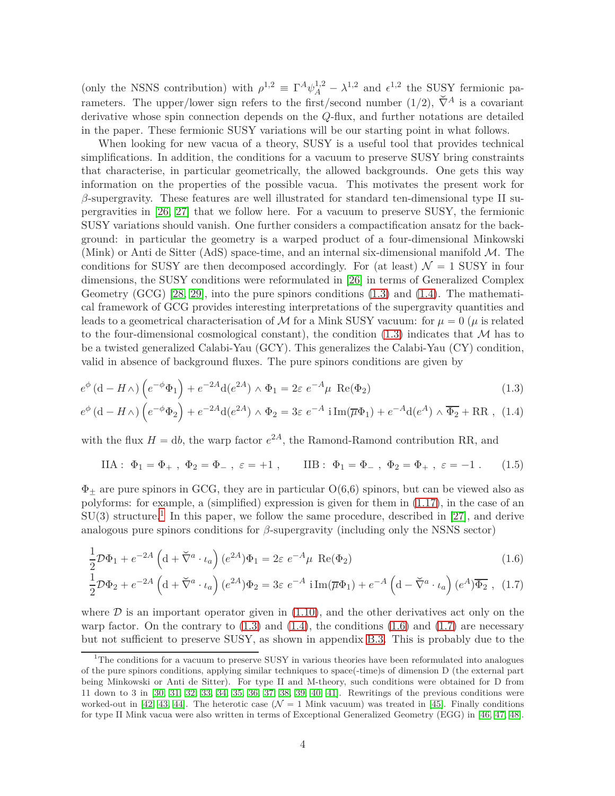(only the NSNS contribution) with  $\rho^{1,2} \equiv \Gamma^A \psi_A^{1,2} - \lambda^{1,2}$  and  $\epsilon^{1,2}$  the SUSY fermionic parameters. The upper/lower sign refers to the first/second number  $(1/2)$ ,  $\check{\nabla}^A$  is a covariant derivative whose spin connection depends on the *Q*-flux, and further notations are detailed in the paper. These fermionic SUSY variations will be our starting point in what follows.

When looking for new vacua of a theory, SUSY is a useful tool that provides technical simplifications. In addition, the conditions for a vacuum to preserve SUSY bring constraints that characterise, in particular geometrically, the allowed backgrounds. One gets this way information on the properties of the possible vacua. This motivates the present work for *β*-supergravity. These features are well illustrated for standard ten-dimensional type II supergravities in [\[26,](#page-36-8) [27\]](#page-36-9) that we follow here. For a vacuum to preserve SUSY, the fermionic SUSY variations should vanish. One further considers a compactification ansatz for the background: in particular the geometry is a warped product of a four-dimensional Minkowski (Mink) or Anti de Sitter (AdS) space-time, and an internal six-dimensional manifold  $\mathcal{M}$ . The conditions for SUSY are then decomposed accordingly. For (at least)  $\mathcal{N} = 1$  SUSY in four dimensions, the SUSY conditions were reformulated in [\[26\]](#page-36-8) in terms of Generalized Complex Geometry (GCG) [\[28,](#page-36-10) [29\]](#page-36-11), into the pure spinors conditions [\(1.3\)](#page-3-0) and [\(1.4\)](#page-3-1). The mathematical framework of GCG provides interesting interpretations of the supergravity quantities and leads to a geometrical characterisation of M for a Mink SUSY vacuum: for  $\mu = 0$  ( $\mu$  is related to the four-dimensional cosmological constant), the condition  $(1.3)$  indicates that M has to be a twisted generalized Calabi-Yau (GCY). This generalizes the Calabi-Yau (CY) condition, valid in absence of background fluxes. The pure spinors conditions are given by

$$
e^{\phi} \left( d - H \wedge \right) \left( e^{-\phi} \Phi_1 \right) + e^{-2A} d(e^{2A}) \wedge \Phi_1 = 2\varepsilon \ e^{-A} \mu \ \text{Re}(\Phi_2)
$$
 (1.3)

$$
e^{\phi} \left( d - H \wedge \right) \left( e^{-\phi} \Phi_2 \right) + e^{-2A} d(e^{2A}) \wedge \Phi_2 = 3\varepsilon \ e^{-A} i \operatorname{Im}(\overline{\mu} \Phi_1) + e^{-A} d(e^A) \wedge \overline{\Phi_2} + \operatorname{RR} \,, \tag{1.4}
$$

with the flux  $H = db$ , the warp factor  $e^{2A}$ , the Ramond-Ramond contribution RR, and

<span id="page-3-5"></span><span id="page-3-1"></span><span id="page-3-0"></span>
$$
IIA: \Phi_1 = \Phi_+, \Phi_2 = \Phi_-, \varepsilon = +1, \qquad IIIB: \Phi_1 = \Phi_-, \Phi_2 = \Phi_+, \varepsilon = -1. \tag{1.5}
$$

 $\Phi_{\pm}$  are pure spinors in GCG, they are in particular  $O(6.6)$  spinors, but can be viewed also as polyforms: for example, a (simplified) expression is given for them in [\(1.17\)](#page-5-0), in the case of an  $SU(3)$  structure.<sup>[1](#page-3-2)</sup> In this paper, we follow the same procedure, described in [\[27\]](#page-36-9), and derive analogous pure spinors conditions for  $\beta$ -supergravity (including only the NSNS sector)

<span id="page-3-3"></span>
$$
\frac{1}{2}\mathcal{D}\Phi_1 + e^{-2A} \left(\mathrm{d} + \check{\nabla}^a \cdot \iota_a\right) (e^{2A})\Phi_1 = 2\varepsilon \ e^{-A} \mu \ \text{Re}(\Phi_2) \tag{1.6}
$$

<span id="page-3-4"></span>
$$
\frac{1}{2}\mathcal{D}\Phi_2 + e^{-2A} \left( \mathrm{d} + \check{\nabla}^a \cdot \iota_a \right) (e^{2A}) \Phi_2 = 3\varepsilon \ e^{-A} \mathrm{i} \operatorname{Im}(\overline{\mu} \Phi_1) + e^{-A} \left( \mathrm{d} - \check{\nabla}^a \cdot \iota_a \right) (e^A) \overline{\Phi_2} \ , \ (1.7)
$$

where  $D$  is an important operator given in  $(1.10)$ , and the other derivatives act only on the warp factor. On the contrary to  $(1.3)$  and  $(1.4)$ , the conditions  $(1.6)$  and  $(1.7)$  are necessary but not sufficient to preserve SUSY, as shown in appendix [B.3.](#page-30-0) This is probably due to the

<span id="page-3-2"></span><sup>&</sup>lt;sup>1</sup>The conditions for a vacuum to preserve SUSY in various theories have been reformulated into analogues of the pure spinors conditions, applying similar techniques to space(-time)s of dimension D (the external part being Minkowski or Anti de Sitter). For type II and M-theory, such conditions were obtained for D from 11 down to 3 in [\[30,](#page-36-12) [31,](#page-36-13) [32,](#page-36-14) [33,](#page-36-15) [34,](#page-36-16) [35,](#page-36-17) [36,](#page-37-0) [37,](#page-37-1) [38,](#page-37-2) [39,](#page-37-3) [40,](#page-37-4) [41\]](#page-37-5). Rewritings of the previous conditions were worked-out in [\[42,](#page-37-6) [43,](#page-37-7) [44\]](#page-37-8). The heterotic case ( $\mathcal{N} = 1$  Mink vacuum) was treated in [\[45\]](#page-37-9). Finally conditions for type II Mink vacua were also written in terms of Exceptional Generalized Geometry (EGG) in [\[46,](#page-37-10) [47,](#page-37-11) [48\]](#page-37-12).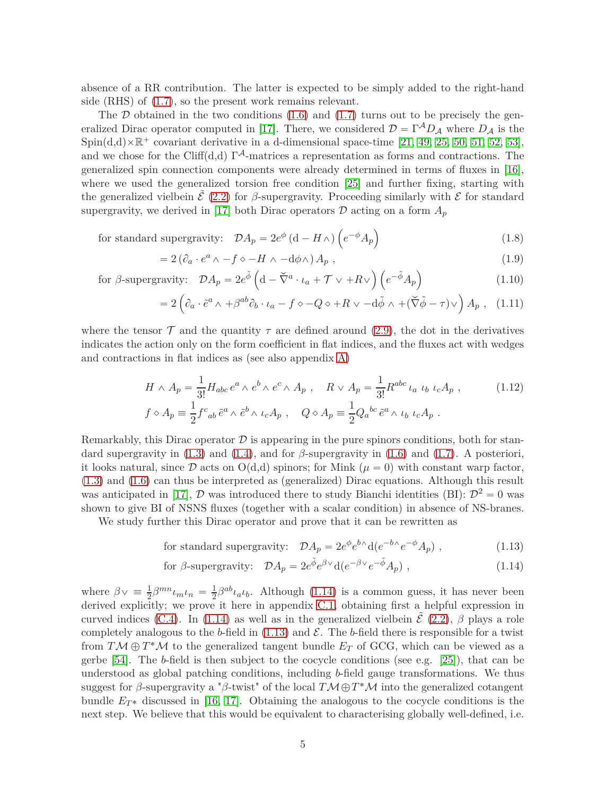absence of a RR contribution. The latter is expected to be simply added to the right-hand side (RHS) of [\(1.7\)](#page-3-4), so the present work remains relevant.

The  $D$  obtained in the two conditions  $(1.6)$  and  $(1.7)$  turns out to be precisely the gen-eralized Dirac operator computed in [\[17\]](#page-35-16). There, we considered  $\mathcal{D} = \Gamma^A D_A$  where  $D_A$  is the Spin(d,d) $\times\mathbb{R}^+$  covariant derivative in a d-dimensional space-time [\[21,](#page-36-3) [49,](#page-37-13) [25,](#page-36-7) [50,](#page-37-14) [51,](#page-37-15) [52,](#page-37-16) [53\]](#page-38-0), and we chose for the Cliff(d,d)  $\Gamma^A$ -matrices a representation as forms and contractions. The generalized spin connection components were already determined in terms of fluxes in [\[16\]](#page-35-15), where we used the generalized torsion free condition [\[25\]](#page-36-7) and further fixing, starting with the generalized vielbein  $\mathcal{E}(2.2)$  $\mathcal{E}(2.2)$  for  $\beta$ -supergravity. Proceeding similarly with  $\mathcal{E}$  for standard supergravity, we derived in [\[17\]](#page-35-16) both Dirac operators  $\mathcal D$  acting on a form  $A_p$ 

for standard supergravity:  $\mathcal{D}A_p = 2e^{\phi} (d - H \wedge) (e^{-\phi} A_p)$ (1.8)

<span id="page-4-5"></span><span id="page-4-4"></span><span id="page-4-3"></span><span id="page-4-0"></span>
$$
=2(\partial_a \cdot e^a \wedge -f \circ -H \wedge -d\phi \wedge) A_p , \qquad (1.9)
$$

for 
$$
\beta
$$
-supergravity:  $\mathcal{D}A_p = 2e^{\tilde{\phi}} \left( d - \tilde{\nabla}^a \cdot \iota_a + \mathcal{T} \vee + R \vee \right) \left( e^{-\tilde{\phi}} A_p \right)$  (1.10)

$$
=2\left(\partial_a\cdot\tilde{e}^a\wedge\right)+\beta^{ab}\partial_b\cdot\iota_a-f\diamond-Q\diamond+R\vee\right)-d\tilde{\phi}\wedge+\left(\check{\nabla}\tilde{\phi}-\tau\right)\vee\right)A_p\ ,\ (1.11)
$$

where the tensor  $\mathcal T$  and the quantity  $\tau$  are defined around [\(2.9\)](#page-7-2), the dot in the derivatives indicates the action only on the form coefficient in flat indices, and the fluxes act with wedges and contractions in flat indices as (see also appendix [A\)](#page-25-0)

$$
H \wedge A_p = \frac{1}{3!} H_{abc} e^a \wedge e^b \wedge e^c \wedge A_p , \quad R \vee A_p = \frac{1}{3!} R^{abc} \iota_a \iota_b \iota_c A_p ,
$$
 (1.12)  

$$
f \diamond A_p = \frac{1}{2} f^c{}_{ab} \tilde{e}^a \wedge \tilde{e}^b \wedge \iota_c A_p , \quad Q \diamond A_p = \frac{1}{2} Q_a{}^{bc} \tilde{e}^a \wedge \iota_b \iota_c A_p .
$$

Remarkably, this Dirac operator  $\mathcal D$  is appearing in the pure spinors conditions, both for standard supergravity in  $(1.3)$  and  $(1.4)$ , and for  $\beta$ -supergravity in  $(1.6)$  and  $(1.7)$ . A posteriori, it looks natural, since  $\mathcal D$  acts on  $O(d,d)$  spinors; for Mink ( $\mu = 0$ ) with constant warp factor, [\(1.3\)](#page-3-0) and [\(1.6\)](#page-3-3) can thus be interpreted as (generalized) Dirac equations. Although this result was anticipated in [\[17\]](#page-35-16),  $D$  was introduced there to study Bianchi identities (BI):  $D^2 = 0$  was shown to give BI of NSNS fluxes (together with a scalar condition) in absence of NS-branes.

We study further this Dirac operator and prove that it can be rewritten as

<span id="page-4-2"></span><span id="page-4-1"></span>for standard supergravity: 
$$
\mathcal{D}A_p = 2e^{\phi}e^{b\wedge}d(e^{-b\wedge}e^{-\phi}A_p)
$$
, (1.13)

for 
$$
\beta
$$
-supergravity:  $\mathcal{D}A_p = 2e^{\tilde{\phi}}e^{\beta \vee}d(e^{-\beta \vee}e^{-\tilde{\phi}}A_p)$ , (1.14)

where  $\beta \vee \equiv \frac{1}{2} \beta^{mn} \iota_m \iota_n = \frac{1}{2}$  $\frac{1}{2}\beta^{ab}\iota_a\iota_b$ . Although [\(1.14\)](#page-4-1) is a common guess, it has never been derived explicitly; we prove it here in appendix [C.1,](#page-32-1) obtaining first a helpful expression in curved indices [\(C.4\)](#page-33-0). In [\(1.14\)](#page-4-1) as well as in the generalized vielbein  $\tilde{\mathcal{E}}$  [\(2.2\)](#page-6-3),  $\beta$  plays a role completely analogous to the *b*-field in  $(1.13)$  and  $\mathcal{E}$ . The *b*-field there is responsible for a twist from  $T M \oplus T^* M$  to the generalized tangent bundle  $E_T$  of GCG, which can be viewed as a gerbe [\[54\]](#page-38-1). The *b*-field is then subject to the cocycle conditions (see e.g. [\[25\]](#page-36-7)), that can be understood as global patching conditions, including *b*-field gauge transformations. We thus suggest for *β*-supergravity a "*β*-twist" of the local  $T\mathcal{M} \oplus T^*\mathcal{M}$  into the generalized cotangent bundle  $E_{T^*}$  discussed in [\[16,](#page-35-15) [17\]](#page-35-16). Obtaining the analogous to the cocycle conditions is the next step. We believe that this would be equivalent to characterising globally well-defined, i.e.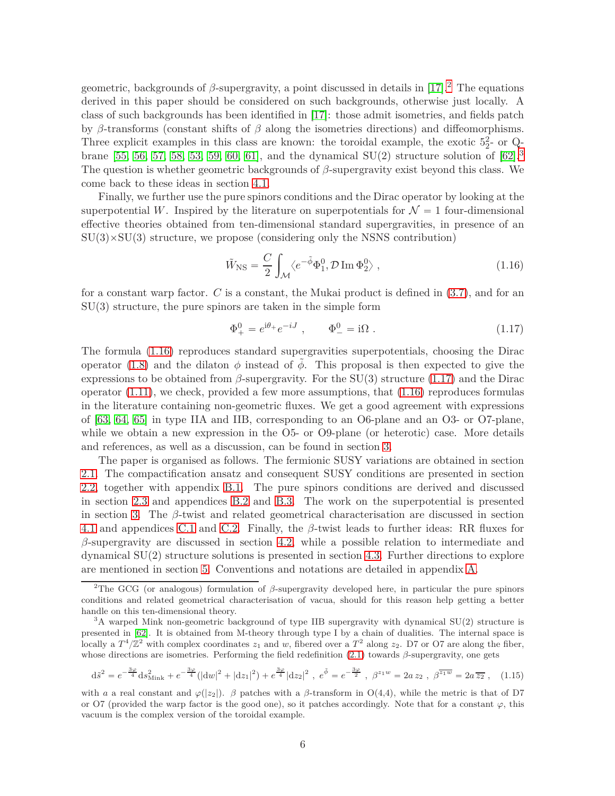geometric, backgrounds of  $\beta$ -supergravity, a point discussed in details in [\[17\]](#page-35-16).<sup>[2](#page-5-1)</sup> The equations derived in this paper should be considered on such backgrounds, otherwise just locally. A class of such backgrounds has been identified in [\[17\]](#page-35-16): those admit isometries, and fields patch by *β*-transforms (constant shifts of *β* along the isometries directions) and diffeomorphisms. Three explicit examples in this class are known: the toroidal example, the exotic  $5\frac{2}{2}$ - or Q-brane [\[55,](#page-38-2) [56,](#page-38-3) [57,](#page-38-4) [58,](#page-38-5) [53,](#page-38-0) [59,](#page-38-6) [60,](#page-38-7) [61\]](#page-38-8), and the dynamical  $SU(2)$  structure solution of [\[62\]](#page-38-9).<sup>[3](#page-5-2)</sup> The question is whether geometric backgrounds of *β*-supergravity exist beyond this class. We come back to these ideas in section [4.1.](#page-18-0)

Finally, we further use the pure spinors conditions and the Dirac operator by looking at the superpotential *W*. Inspired by the literature on superpotentials for  $\mathcal{N} = 1$  four-dimensional effective theories obtained from ten-dimensional standard supergravities, in presence of an  $SU(3) \times SU(3)$  structure, we propose (considering only the NSNS contribution)

<span id="page-5-3"></span>
$$
\tilde{W}_{\rm NS} = \frac{C}{2} \int_{\mathcal{M}} \langle e^{-\tilde{\phi}} \Phi_1^0, \mathcal{D} \operatorname{Im} \Phi_2^0 \rangle , \qquad (1.16)
$$

for a constant warp factor. *C* is a constant, the Mukai product is defined in [\(3.7\)](#page-14-0), and for an  $SU(3)$  structure, the pure spinors are taken in the simple form

<span id="page-5-0"></span>
$$
\Phi_{+}^{0} = e^{i\theta_{+}} e^{-iJ} , \qquad \Phi_{-}^{0} = i\Omega . \qquad (1.17)
$$

The formula [\(1.16\)](#page-5-3) reproduces standard supergravities superpotentials, choosing the Dirac operator [\(1.8\)](#page-4-3) and the dilaton  $\phi$  instead of  $\tilde{\phi}$ . This proposal is then expected to give the expressions to be obtained from  $\beta$ -supergravity. For the SU(3) structure [\(1.17\)](#page-5-0) and the Dirac operator  $(1.11)$ , we check, provided a few more assumptions, that  $(1.16)$  reproduces formulas in the literature containing non-geometric fluxes. We get a good agreement with expressions of [\[63,](#page-38-10) [64,](#page-38-11) [65\]](#page-38-12) in type IIA and IIB, corresponding to an O6-plane and an O3- or O7-plane, while we obtain a new expression in the O5- or O9-plane (or heterotic) case. More details and references, as well as a discussion, can be found in section [3.](#page-13-0)

The paper is organised as follows. The fermionic SUSY variations are obtained in section [2.1.](#page-6-1) The compactification ansatz and consequent SUSY conditions are presented in section [2.2,](#page-7-0) together with appendix [B.1.](#page-26-1) The pure spinors conditions are derived and discussed in section [2.3](#page-10-0) and appendices [B.2](#page-27-0) and [B.3.](#page-30-0) The work on the superpotential is presented in section [3.](#page-13-0) The *β*-twist and related geometrical characterisation are discussed in section [4.1](#page-18-0) and appendices [C.1](#page-32-1) and [C.2.](#page-34-0) Finally, the *β*-twist leads to further ideas: RR fluxes for *β*-supergravity are discussed in section [4.2,](#page-20-0) while a possible relation to intermediate and dynamical SU(2) structure solutions is presented in section [4.3.](#page-21-0) Further directions to explore are mentioned in section [5.](#page-23-0) Conventions and notations are detailed in appendix [A.](#page-25-0)

$$
d\tilde{s}^2 = e^{-\frac{3\varphi}{4}} ds_{\text{Mink}}^2 + e^{-\frac{3\varphi}{4}} (|dw|^2 + |dz_1|^2) + e^{\frac{3\varphi}{4}} |dz_2|^2, \ e^{\tilde{\phi}} = e^{-\frac{3\varphi}{2}}, \ \beta^{z_1 w} = 2a z_2, \ \beta^{\overline{z_1 w}} = 2a \overline{z_2}, \quad (1.15)
$$

<span id="page-5-1"></span><sup>2</sup>The GCG (or analogous) formulation of *β*-supergravity developed here, in particular the pure spinors conditions and related geometrical characterisation of vacua, should for this reason help getting a better handle on this ten-dimensional theory.

<span id="page-5-2"></span><sup>&</sup>lt;sup>3</sup>A warped Mink non-geometric background of type IIB supergravity with dynamical SU(2) structure is presented in [\[62\]](#page-38-9). It is obtained from M-theory through type I by a chain of dualities. The internal space is locally a  $T^4/\mathbb{Z}^2$  with complex coordinates  $z_1$  and  $w$ , fibered over a  $T^2$  along  $z_2$ . D7 or O7 are along the fiber, whose directions are isometries. Performing the field redefinition [\(2.1\)](#page-6-2) towards *β*-supergravity, one gets

with *a* a real constant and  $\varphi(|z_2|)$ . *β* patches with a *β*-transform in O(4,4), while the metric is that of D7 or O7 (provided the warp factor is the good one), so it patches accordingly. Note that for a constant  $\varphi$ , this vacuum is the complex version of the toroidal example.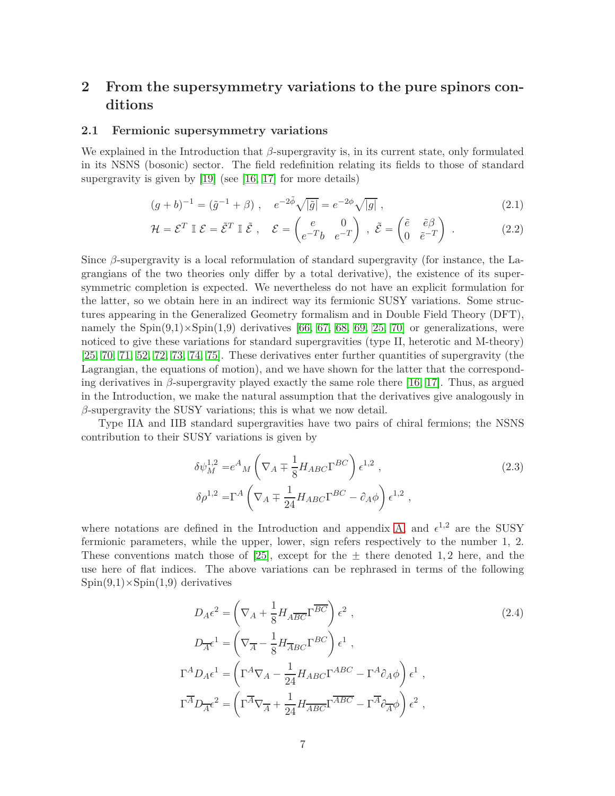# <span id="page-6-0"></span>**2 From the supersymmetry variations to the pure spinors conditions**

#### <span id="page-6-1"></span>**2.1 Fermionic supersymmetry variations**

We explained in the Introduction that *β*-supergravity is, in its current state, only formulated in its NSNS (bosonic) sector. The field redefinition relating its fields to those of standard supergravity is given by [\[19\]](#page-36-1) (see [\[16,](#page-35-15) [17\]](#page-35-16) for more details)

<span id="page-6-3"></span><span id="page-6-2"></span>
$$
(g+b)^{-1} = (\tilde{g}^{-1} + \beta) , \quad e^{-2\tilde{\phi}} \sqrt{|\tilde{g}|} = e^{-2\phi} \sqrt{|g|} , \qquad (2.1)
$$

$$
\mathcal{H} = \mathcal{E}^T \mathbb{I} \mathcal{E} = \tilde{\mathcal{E}}^T \mathbb{I} \tilde{\mathcal{E}}, \quad \mathcal{E} = \begin{pmatrix} e & 0 \\ e^{-T}b & e^{-T} \end{pmatrix}, \quad \tilde{\mathcal{E}} = \begin{pmatrix} \tilde{e} & \tilde{e}\beta \\ 0 & \tilde{e}^{-T} \end{pmatrix}.
$$
 (2.2)

Since *β*-supergravity is a local reformulation of standard supergravity (for instance, the Lagrangians of the two theories only differ by a total derivative), the existence of its supersymmetric completion is expected. We nevertheless do not have an explicit formulation for the latter, so we obtain here in an indirect way its fermionic SUSY variations. Some structures appearing in the Generalized Geometry formalism and in Double Field Theory (DFT), namely the  $\text{Spin}(9,1)\times\text{Spin}(1,9)$  derivatives [\[66,](#page-38-13) [67,](#page-38-14) [68,](#page-38-15) [69,](#page-38-16) [25,](#page-36-7) [70\]](#page-38-17) or generalizations, were noticed to give these variations for standard supergravities (type II, heterotic and M-theory)  $[25, 70, 71, 52, 72, 73, 74, 75]$  $[25, 70, 71, 52, 72, 73, 74, 75]$  $[25, 70, 71, 52, 72, 73, 74, 75]$  $[25, 70, 71, 52, 72, 73, 74, 75]$  $[25, 70, 71, 52, 72, 73, 74, 75]$  $[25, 70, 71, 52, 72, 73, 74, 75]$  $[25, 70, 71, 52, 72, 73, 74, 75]$  $[25, 70, 71, 52, 72, 73, 74, 75]$ . These derivatives enter further quantities of supergravity (the Lagrangian, the equations of motion), and we have shown for the latter that the corresponding derivatives in  $\beta$ -supergravity played exactly the same role there [\[16,](#page-35-15) [17\]](#page-35-16). Thus, as argued in the Introduction, we make the natural assumption that the derivatives give analogously in *β*-supergravity the SUSY variations; this is what we now detail.

Type IIA and IIB standard supergravities have two pairs of chiral fermions; the NSNS contribution to their SUSY variations is given by

$$
\delta \psi_M^{1,2} = e^A{}_M \left( \nabla_A \mp \frac{1}{8} H_{ABC} \Gamma^{BC} \right) \epsilon^{1,2} ,
$$
\n
$$
\delta \rho^{1,2} = \Gamma^A \left( \nabla_A \mp \frac{1}{24} H_{ABC} \Gamma^{BC} - \partial_A \phi \right) \epsilon^{1,2} ,
$$
\n(2.3)

where notations are defined in the Introduction and appendix [A,](#page-25-0) and  $\epsilon^{1,2}$  are the SUSY fermionic parameters, while the upper, lower, sign refers respectively to the number 1, 2. These conventions match those of [\[25\]](#page-36-7), except for the  $\pm$  there denoted 1, 2 here, and the use here of flat indices. The above variations can be rephrased in terms of the following  $Spin(9,1)\times Spin(1,9)$  derivatives

$$
D_{A}\epsilon^{2} = \left(\nabla_{A} + \frac{1}{8}H_{A\overline{BC}}\Gamma^{\overline{BC}}\right)\epsilon^{2},
$$
\n
$$
D_{\overline{A}}\epsilon^{1} = \left(\nabla_{\overline{A}} - \frac{1}{8}H_{\overline{A}BC}\Gamma^{BC}\right)\epsilon^{1},
$$
\n
$$
\Gamma^{A}D_{A}\epsilon^{1} = \left(\Gamma^{A}\nabla_{A} - \frac{1}{24}H_{ABC}\Gamma^{ABC} - \Gamma^{A}\partial_{A}\phi\right)\epsilon^{1},
$$
\n
$$
\Gamma^{\overline{A}}D_{\overline{A}}\epsilon^{2} = \left(\Gamma^{\overline{A}}\nabla_{\overline{A}} + \frac{1}{24}H_{\overline{A}BC}\Gamma^{\overline{A}BC} - \Gamma^{\overline{A}}\partial_{\overline{A}}\phi\right)\epsilon^{2},
$$
\n(2.4)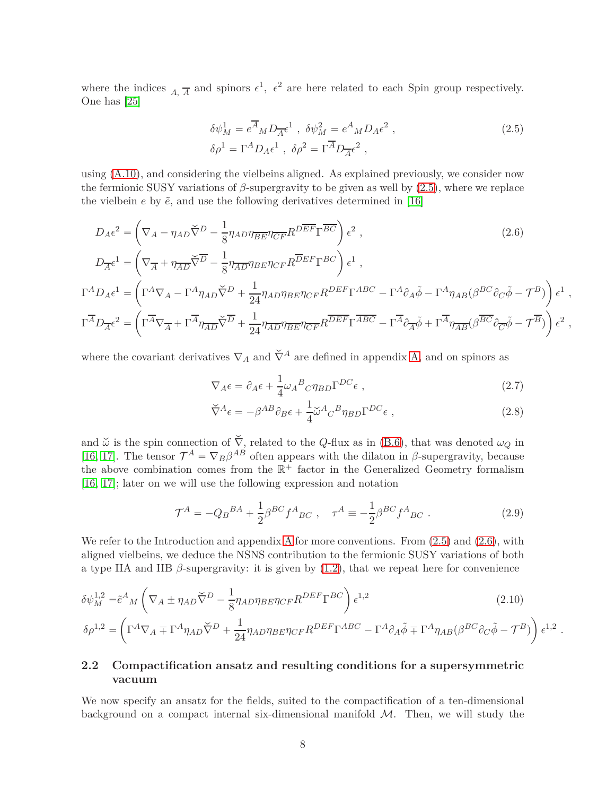where the indices  $_{A, \overline{A}}$  and spinors  $\epsilon^1$ ,  $\epsilon^2$  are here related to each Spin group respectively. One has [\[25\]](#page-36-7)

$$
\delta \psi_M^1 = e^{\overline{A}}{}_M D_{\overline{A}} \epsilon^1 , \ \delta \psi_M^2 = e^A{}_M D_A \epsilon^2 ,
$$
\n
$$
\delta \rho^1 = \Gamma^A D_A \epsilon^1 , \ \delta \rho^2 = \Gamma^{\overline{A}} D_{\overline{A}} \epsilon^2 ,
$$
\n(2.5)

using [\(A.10\)](#page-25-1), and considering the vielbeins aligned. As explained previously, we consider now the fermionic SUSY variations of  $\beta$ -supergravity to be given as well by  $(2.5)$ , where we replace the vielbein  $e$  by  $\tilde{e}$ , and use the following derivatives determined in [\[16\]](#page-35-15)

$$
D_{A}\epsilon^{2} = \left(\nabla_{A} - \eta_{AD}\tilde{\nabla}^{D} - \frac{1}{8}\eta_{AD}\eta_{\overline{BE}}\eta_{\overline{CF}}R^{D\overline{EF}}\Gamma^{\overline{BC}}\right)\epsilon^{2},
$$
\n
$$
D_{\overline{A}}\epsilon^{1} = \left(\nabla_{\overline{A}} + \eta_{\overline{AD}}\tilde{\nabla}^{D} - \frac{1}{8}\eta_{\overline{AD}}\eta_{BE}\eta_{CF}R^{\overline{DEF}}\Gamma^{BC}\right)\epsilon^{1},
$$
\n
$$
\Gamma^{A}D_{A}\epsilon^{1} = \left(\Gamma^{A}\nabla_{A} - \Gamma^{A}\eta_{AD}\tilde{\nabla}^{D} + \frac{1}{24}\eta_{AD}\eta_{BE}\eta_{CF}R^{DEF}\Gamma^{ABC} - \Gamma^{A}\partial_{A}\tilde{\phi} - \Gamma^{A}\eta_{AB}(\beta^{BC}\partial_{C}\tilde{\phi} - \mathcal{T}^{B})\right)\epsilon^{1}
$$
\n
$$
\Gamma^{\overline{A}}D_{\overline{A}}\epsilon^{2} = \left(\Gamma^{\overline{A}}\nabla_{\overline{A}} + \Gamma^{\overline{A}}\eta_{\overline{AD}}\tilde{\nabla}^{D} + \frac{1}{24}\eta_{\overline{AD}}\eta_{\overline{BE}}\eta_{CF}R^{\overline{DEF}}\Gamma^{\overline{ABC}} - \Gamma^{\overline{A}}\partial_{\overline{A}}\tilde{\phi} + \Gamma^{\overline{A}}\eta_{\overline{AB}}(\beta^{\overline{BC}}\partial_{\overline{C}}\tilde{\phi} - \mathcal{T}^{B})\right)\epsilon^{2}
$$

where the covariant derivatives  $\nabla_A$  and  $\check{\nabla}^A$  are defined in appendix [A,](#page-25-0) and on spinors as

$$
\nabla_A \epsilon = \partial_A \epsilon + \frac{1}{4} \omega_A{}^B{}_C \eta_{BD} \Gamma^{DC} \epsilon \;, \tag{2.7}
$$

<span id="page-7-3"></span><span id="page-7-1"></span>*,*

*,*

<span id="page-7-4"></span>*.*

$$
\check{\nabla}^A \epsilon = -\beta^{AB} \partial_B \epsilon + \frac{1}{4} \check{\omega}^A C^B \eta_{BD} \Gamma^{DC} \epsilon \;, \tag{2.8}
$$

and  $\tilde{\omega}$  is the spin connection of  $\tilde{\nabla}$ , related to the *Q*-flux as in [\(B.6\)](#page-26-2), that was denoted  $\omega_Q$  in [\[16,](#page-35-15) [17\]](#page-35-16). The tensor  $\mathcal{T}^A = \nabla_B \beta^{AB}$  often appears with the dilaton in  $\beta$ -supergravity, because the above combination comes from the  $\mathbb{R}^+$  factor in the Generalized Geometry formalism [\[16,](#page-35-15) [17\]](#page-35-16); later on we will use the following expression and notation

<span id="page-7-2"></span>
$$
\mathcal{T}^{A} = -Q_{B}{}^{BA} + \frac{1}{2}\beta^{BC}f^{A}{}_{BC} , \quad \tau^{A} = -\frac{1}{2}\beta^{BC}f^{A}{}_{BC} . \tag{2.9}
$$

We refer to the Introduction and appendix [A](#page-25-0) for more conventions. From  $(2.5)$  and  $(2.6)$ , with aligned vielbeins, we deduce the NSNS contribution to the fermionic SUSY variations of both a type IIA and IIB  $\beta$ -supergravity: it is given by [\(1.2\)](#page-2-1), that we repeat here for convenience

$$
\delta\psi_M^{1,2} = \tilde{e}^A{}_M \left( \nabla_A \pm \eta_{AD} \check{\nabla}^D - \frac{1}{8} \eta_{AD} \eta_{BE} \eta_{CF} R^{DEF} \Gamma^{BC} \right) \epsilon^{1,2}
$$
\n
$$
\delta\rho^{1,2} = \left( \Gamma^A \nabla_A \mp \Gamma^A \eta_{AD} \check{\nabla}^D + \frac{1}{24} \eta_{AD} \eta_{BE} \eta_{CF} R^{DEF} \Gamma^{ABC} - \Gamma^A \partial_A \tilde{\phi} \mp \Gamma^A \eta_{AB} (\beta^{BC} \partial_C \tilde{\phi} - \mathcal{T}^B) \right) \epsilon^{1,2}
$$
\n(2.10)

# <span id="page-7-0"></span>**2.2 Compactification ansatz and resulting conditions for a supersymmetric vacuum**

We now specify an ansatz for the fields, suited to the compactification of a ten-dimensional background on a compact internal six-dimensional manifold  $M$ . Then, we will study the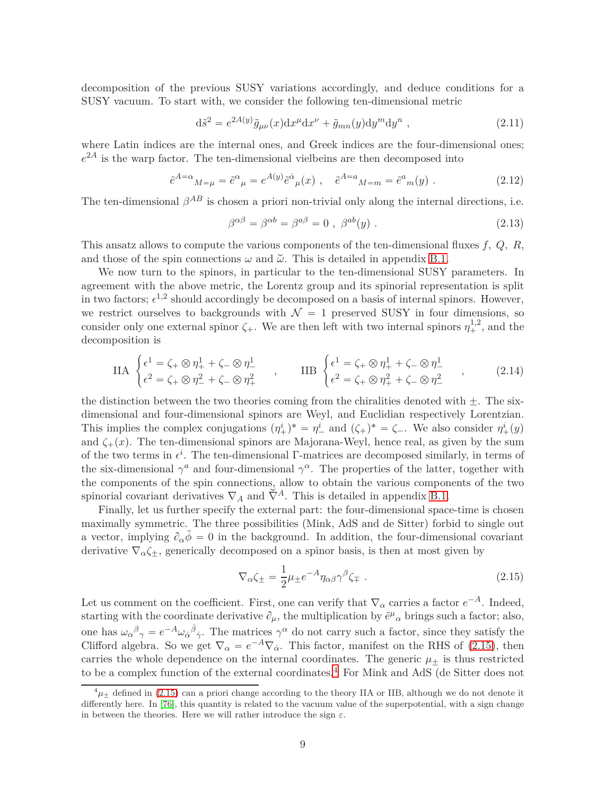decomposition of the previous SUSY variations accordingly, and deduce conditions for a SUSY vacuum. To start with, we consider the following ten-dimensional metric

$$
\mathrm{d}\tilde{s}^2 = e^{2A(y)}\tilde{g}_{\mu\nu}(x)\mathrm{d}x^{\mu}\mathrm{d}x^{\nu} + \tilde{g}_{mn}(y)\mathrm{d}y^m\mathrm{d}y^n , \qquad (2.11)
$$

where Latin indices are the internal ones, and Greek indices are the four-dimensional ones;  $e^{2A}$  is the warp factor. The ten-dimensional vielbeins are then decomposed into

$$
\tilde{e}^{A=\alpha}{}_{M=\mu} = \tilde{e}^{\alpha}{}_{\mu} = e^{A(y)} \tilde{e}^{\dot{\alpha}}{}_{\mu}(x) , \quad \tilde{e}^{A=a}{}_{M=m} = \tilde{e}^{a}{}_{m}(y) . \tag{2.12}
$$

The ten-dimensional  $\beta^{AB}$  is chosen a priori non-trivial only along the internal directions, i.e.

$$
\beta^{\alpha\beta} = \beta^{\alpha b} = \beta^{a\beta} = 0 , \ \beta^{ab}(y) . \tag{2.13}
$$

This ansatz allows to compute the various components of the ten-dimensional fluxes *f, Q, R*, and those of the spin connections  $\omega$  and  $\tilde{\omega}$ . This is detailed in appendix [B.1.](#page-26-1)

We now turn to the spinors, in particular to the ten-dimensional SUSY parameters. In agreement with the above metric, the Lorentz group and its spinorial representation is split in two factors;  $\epsilon^{1,2}$  should accordingly be decomposed on a basis of internal spinors. However, we restrict ourselves to backgrounds with  $\mathcal{N} = 1$  preserved SUSY in four dimensions, so consider only one external spinor  $\zeta_+$ . We are then left with two internal spinors  $\eta_+^{1,2}$ , and the decomposition is

$$
\text{IIA} \begin{cases} \epsilon^{1} = \zeta_{+} \otimes \eta_{+}^{1} + \zeta_{-} \otimes \eta_{-}^{1} \\ \epsilon^{2} = \zeta_{+} \otimes \eta_{-}^{2} + \zeta_{-} \otimes \eta_{+}^{2} \end{cases}, \quad \text{IIB} \begin{cases} \epsilon^{1} = \zeta_{+} \otimes \eta_{+}^{1} + \zeta_{-} \otimes \eta_{-}^{1} \\ \epsilon^{2} = \zeta_{+} \otimes \eta_{+}^{2} + \zeta_{-} \otimes \eta_{-}^{2} \end{cases}, \quad (2.14)
$$

the distinction between the two theories coming from the chiralities denoted with  $\pm$ . The sixdimensional and four-dimensional spinors are Weyl, and Euclidian respectively Lorentzian. This implies the complex conjugations  $(\eta^i_+)^* = \eta^i_-$  and  $(\zeta_+)^* = \zeta_-$ . We also consider  $\eta^i_+(y)$ and  $\zeta_{+}(x)$ . The ten-dimensional spinors are Majorana-Weyl, hence real, as given by the sum of the two terms in  $\epsilon^i$ . The ten-dimensional Γ-matrices are decomposed similarly, in terms of the six-dimensional  $\gamma^a$  and four-dimensional  $\gamma^{\alpha}$ . The properties of the latter, together with the components of the spin connections, allow to obtain the various components of the two spinorial covariant derivatives  $\nabla_A$  and  $\check{\nabla}^A$ . This is detailed in appendix [B.1.](#page-26-1)

Finally, let us further specify the external part: the four-dimensional space-time is chosen maximally symmetric. The three possibilities (Mink, AdS and de Sitter) forbid to single out a vector, implying  $\partial_{\alpha} \tilde{\phi} = 0$  in the background. In addition, the four-dimensional covariant derivative  $\nabla_{\alpha} \zeta_{\pm}$ , generically decomposed on a spinor basis, is then at most given by

<span id="page-8-0"></span>
$$
\nabla_{\alpha}\zeta_{\pm} = \frac{1}{2}\mu_{\pm}e^{-A}\eta_{\alpha\beta}\gamma^{\beta}\zeta_{\mp} \tag{2.15}
$$

Let us comment on the coefficient. First, one can verify that  $\nabla_{\alpha}$  carries a factor  $e^{-A}$ . Indeed, starting with the coordinate derivative  $\partial_{\mu}$ , the multiplication by  $\tilde{e}^{\mu}{}_{\alpha}$  brings such a factor; also, one has  $\omega_{\alpha}{}^{\beta}{}_{\gamma} = e^{-A} \omega_{\dot{\alpha}}{}^{\dot{\beta}}{}_{\dot{\gamma}}$ . The matrices  $\gamma^{\alpha}$  do not carry such a factor, since they satisfy the Clifford algebra. So we get  $\nabla_{\alpha} = e^{-A}\nabla_{\dot{\alpha}}$ . This factor, manifest on the RHS of [\(2.15\)](#page-8-0), then carries the whole dependence on the internal coordinates. The generic  $\mu_{+}$  is thus restricted to be a complex function of the external coordinates.<sup>[4](#page-8-1)</sup> For Mink and AdS (de Sitter does not

<span id="page-8-1"></span> $^{4}\mu_{+}$  defined in [\(2.15\)](#page-8-0) can a priori change according to the theory IIA or IIB, although we do not denote it differently here. In [\[76\]](#page-39-5), this quantity is related to the vacuum value of the superpotential, with a sign change in between the theories. Here we will rather introduce the sign  $\varepsilon$ .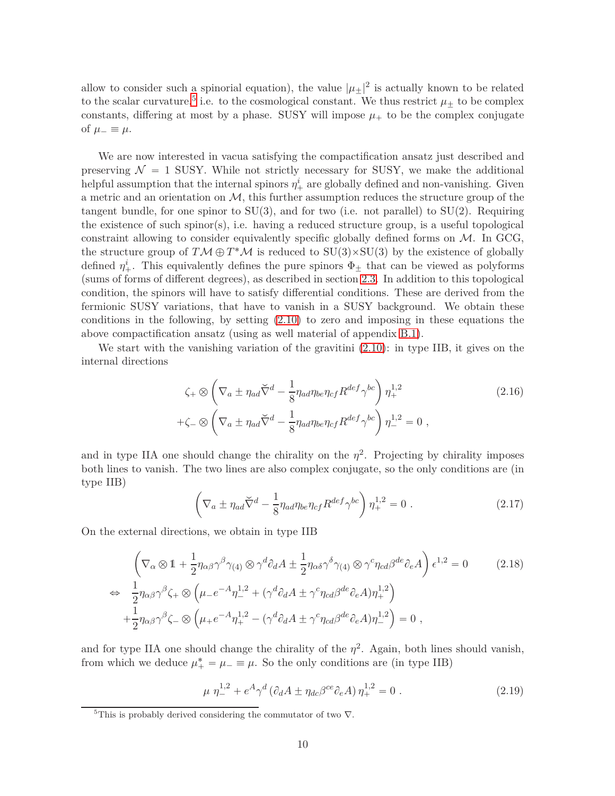allow to consider such a spinorial equation), the value  $|\mu_{\pm}|^2$  is actually known to be related to the scalar curvature,<sup>[5](#page-9-0)</sup> i.e. to the cosmological constant. We thus restrict  $\mu_{\pm}$  to be complex constants, differing at most by a phase. SUSY will impose  $\mu$ <sup> $+$ </sup> to be the complex conjugate of  $\mu_- \equiv \mu$ .

We are now interested in vacua satisfying the compactification ansatz just described and preserving  $\mathcal{N} = 1$  SUSY. While not strictly necessary for SUSY, we make the additional helpful assumption that the internal spinors  $\eta^i_+$  are globally defined and non-vanishing. Given a metric and an orientation on  $M$ , this further assumption reduces the structure group of the tangent bundle, for one spinor to  $SU(3)$ , and for two (i.e. not parallel) to  $SU(2)$ . Requiring the existence of such spinor(s), i.e. having a reduced structure group, is a useful topological constraint allowing to consider equivalently specific globally defined forms on  $M$ . In GCG, the structure group of  $T M \oplus T^* M$  is reduced to  $SU(3) \times SU(3)$  by the existence of globally defined  $\eta^i_+$ . This equivalently defines the pure spinors  $\Phi_{\pm}$  that can be viewed as polyforms (sums of forms of different degrees), as described in section [2.3.](#page-10-0) In addition to this topological condition, the spinors will have to satisfy differential conditions. These are derived from the fermionic SUSY variations, that have to vanish in a SUSY background. We obtain these conditions in the following, by setting  $(2.10)$  to zero and imposing in these equations the above compactification ansatz (using as well material of appendix [B.1\)](#page-26-1).

We start with the vanishing variation of the gravitini [\(2.10\)](#page-7-4): in type IIB, it gives on the internal directions

$$
\zeta_{+} \otimes \left(\nabla_{a} \pm \eta_{ad} \breve{\nabla}^{d} - \frac{1}{8} \eta_{ad} \eta_{be} \eta_{cf} R^{def} \gamma^{bc}\right) \eta_{+}^{1,2} \tag{2.16}
$$
  
 
$$
+\zeta_{-} \otimes \left(\nabla_{a} \pm \eta_{ad} \breve{\nabla}^{d} - \frac{1}{8} \eta_{ad} \eta_{be} \eta_{cf} R^{def} \gamma^{bc}\right) \eta_{-}^{1,2} = 0 ,
$$

and in type IIA one should change the chirality on the  $\eta^2$ . Projecting by chirality imposes both lines to vanish. The two lines are also complex conjugate, so the only conditions are (in type IIB)

$$
\left(\nabla_a \pm \eta_{ad}\check{\nabla}^d - \frac{1}{8}\eta_{ad}\eta_{be}\eta_{cf}R^{def}\gamma^{bc}\right)\eta_+^{1,2} = 0.
$$
\n(2.17)

On the external directions, we obtain in type IIB

$$
\left(\nabla_{\alpha}\otimes\mathbb{1} + \frac{1}{2}\eta_{\alpha\beta}\gamma^{\beta}\gamma_{(4)}\otimes\gamma^{d}\partial_{d}A \pm \frac{1}{2}\eta_{\alpha\delta}\gamma^{\delta}\gamma_{(4)}\otimes\gamma^{c}\eta_{cd}\beta^{de}\partial_{e}A\right)\epsilon^{1,2} = 0
$$
\n
$$
\Leftrightarrow \frac{1}{2}\eta_{\alpha\beta}\gamma^{\beta}\zeta_{+}\otimes\left(\mu_{-}e^{-A}\eta_{-}^{1,2} + (\gamma^{d}\partial_{d}A \pm \gamma^{c}\eta_{cd}\beta^{de}\partial_{e}A)\eta_{+}^{1,2}\right)
$$
\n
$$
+\frac{1}{2}\eta_{\alpha\beta}\gamma^{\beta}\zeta_{-}\otimes\left(\mu_{+}e^{-A}\eta_{+}^{1,2} - (\gamma^{d}\partial_{d}A \pm \gamma^{c}\eta_{cd}\beta^{de}\partial_{e}A)\eta_{-}^{1,2}\right) = 0,
$$
\n(2.18)

and for type IIA one should change the chirality of the  $\eta^2$ . Again, both lines should vanish, from which we deduce  $\mu^*_{+} = \mu_{-} \equiv \mu$ . So the only conditions are (in type IIB)

$$
\mu \eta_{-}^{1,2} + e^A \gamma^d \left( \partial_d A \pm \eta_{dc} \beta^{ce} \partial_e A \right) \eta_{+}^{1,2} = 0 \ . \tag{2.19}
$$

<span id="page-9-0"></span><sup>&</sup>lt;sup>5</sup>This is probably derived considering the commutator of two  $\nabla$ .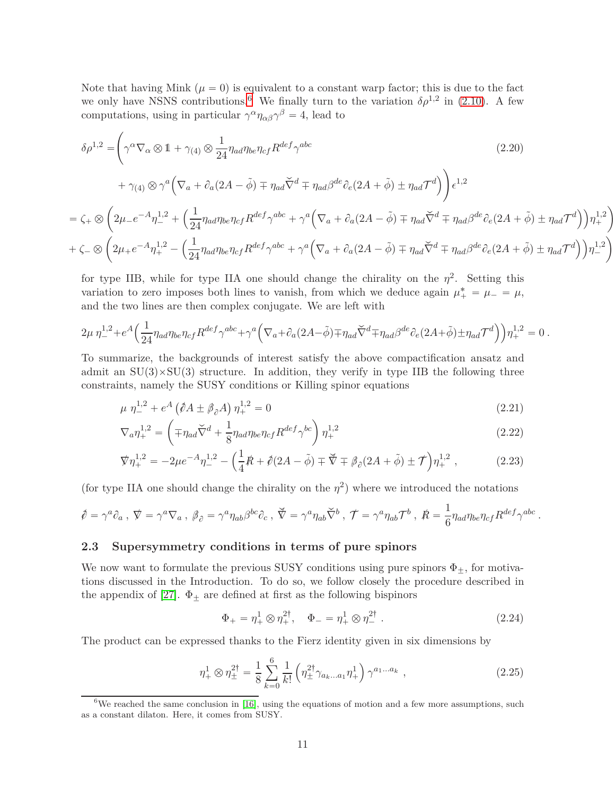Note that having Mink  $(\mu = 0)$  is equivalent to a constant warp factor; this is due to the fact we only have NSNS contributions.<sup>[6](#page-10-1)</sup> We finally turn to the variation  $\delta \rho^{1,2}$  in [\(2.10\)](#page-7-4). A few computations, using in particular  $\gamma^{\alpha} \eta_{\alpha\beta} \gamma^{\beta} = 4$ , lead to

$$
\delta \rho^{1,2} = \left( \gamma^{\alpha} \nabla_{\alpha} \otimes 1 + \gamma_{(4)} \otimes \frac{1}{24} \eta_{ad} \eta_{be} \eta_{cf} R^{def} \gamma^{abc} \right)
$$
\n
$$
+ \gamma_{(4)} \otimes \gamma^{a} \left( \nabla_{a} + \partial_{a} (2A - \tilde{\phi}) \mp \eta_{ad} \tilde{\nabla}^{d} \mp \eta_{ad} \beta^{de} \partial_{e} (2A + \tilde{\phi}) \pm \eta_{ad} \mathcal{T}^{d} \right) \right) \epsilon^{1,2}
$$
\n
$$
= \zeta_{+} \otimes \left( 2\mu_{-} e^{-A} \eta_{-}^{1,2} + \left( \frac{1}{24} \eta_{ad} \eta_{be} \eta_{cf} R^{def} \gamma^{abc} + \gamma^{a} \left( \nabla_{a} + \partial_{a} (2A - \tilde{\phi}) \mp \eta_{ad} \tilde{\nabla}^{d} \mp \eta_{ad} \beta^{de} \partial_{e} (2A + \tilde{\phi}) \pm \eta_{ad} \mathcal{T}^{d} \right) \right) \eta_{+}^{1,2} \right)
$$
\n
$$
+ \zeta_{-} \otimes \left( 2\mu_{+} e^{-A} \eta_{+}^{1,2} - \left( \frac{1}{24} \eta_{ad} \eta_{be} \eta_{cf} R^{def} \gamma^{abc} + \gamma^{a} \left( \nabla_{a} + \partial_{a} (2A - \tilde{\phi}) \mp \eta_{ad} \tilde{\nabla}^{d} \mp \eta_{ad} \beta^{de} \partial_{e} (2A + \tilde{\phi}) \pm \eta_{ad} \mathcal{T}^{d} \right) \right) \eta_{-}^{1,2} \right)
$$

for type IIB, while for type IIA one should change the chirality on the  $\eta^2$ . Setting this variation to zero imposes both lines to vanish, from which we deduce again  $\mu^*$  =  $\mu$  =  $\mu$ , and the two lines are then complex conjugate. We are left with

$$
2\mu \eta_{-}^{1,2} + e^{A} \left( \frac{1}{24} \eta_{ad} \eta_{be} \eta_{cf} R^{def} \gamma^{abc} + \gamma^{a} \left( \nabla_{a} + \partial_{a} (2A - \tilde{\phi}) \mp \eta_{ad} \tilde{\nabla}^{d} \mp \eta_{ad} \beta^{de} \partial_{e} (2A + \tilde{\phi}) \pm \eta_{ad} \mathcal{T}^{d} \right) \right) \eta_{+}^{1,2} = 0.
$$

To summarize, the backgrounds of interest satisfy the above compactification ansatz and admit an  $SU(3) \times SU(3)$  structure. In addition, they verify in type IIB the following three constraints, namely the SUSY conditions or Killing spinor equations

$$
\mu \eta_{-}^{1,2} + e^A \left(\partial A \pm \partial_{\partial} A\right) \eta_{+}^{1,2} = 0 \tag{2.21}
$$

$$
\nabla_a \eta_+^{1,2} = \left( \mp \eta_{ad} \breve{\nabla}^d + \frac{1}{8} \eta_{ad} \eta_{be} \eta_{cf} R^{def} \gamma^{bc} \right) \eta_+^{1,2} \tag{2.22}
$$

$$
\nabla \eta_{+}^{1,2} = -2\mu e^{-A} \eta_{-}^{1,2} - \left(\frac{1}{4}R + \hat{\rho}(2A - \tilde{\phi}) \mp \tilde{\nabla} \mp \beta_{\partial}(2A + \tilde{\phi}) \pm \mathcal{T}\right) \eta_{+}^{1,2} ,\qquad (2.23)
$$

(for type IIA one should change the chirality on the  $\eta^2$ ) where we introduced the notations

$$
\hat{\phi} = \gamma^a \partial_a , \ \nabla = \gamma^a \nabla_a , \ \beta_{\partial} = \gamma^a \eta_{ab} \beta^{bc} \partial_c , \ \nabla = \gamma^a \eta_{ab} \widetilde{\nabla}^b , \ \mathcal{T} = \gamma^a \eta_{ab} \mathcal{T}^b , \ \mathcal{R} = \frac{1}{6} \eta_{ad} \eta_{be} \eta_{cf} R^{def} \gamma^{abc}
$$

### <span id="page-10-0"></span>**2.3 Supersymmetry conditions in terms of pure spinors**

We now want to formulate the previous SUSY conditions using pure spinors  $\Phi_{\pm}$ , for motivations discussed in the Introduction. To do so, we follow closely the procedure described in the appendix of [\[27\]](#page-36-9).  $\Phi_{\pm}$  are defined at first as the following bispinors

<span id="page-10-2"></span>
$$
\Phi_{+} = \eta_{+}^{1} \otimes \eta_{+}^{2\dagger}, \quad \Phi_{-} = \eta_{+}^{1} \otimes \eta_{-}^{2\dagger}.
$$
\n(2.24)

<span id="page-10-5"></span><span id="page-10-4"></span><span id="page-10-3"></span>*.*

The product can be expressed thanks to the Fierz identity given in six dimensions by

$$
\eta_+^1 \otimes \eta_{\pm}^{2\dagger} = \frac{1}{8} \sum_{k=0}^6 \frac{1}{k!} \left( \eta_{\pm}^{2\dagger} \gamma_{a_k...a_1} \eta_+^1 \right) \gamma^{a_1...a_k} , \qquad (2.25)
$$

<span id="page-10-1"></span><sup>&</sup>lt;sup>6</sup>We reached the same conclusion in [\[16\]](#page-35-15), using the equations of motion and a few more assumptions, such as a constant dilaton. Here, it comes from SUSY.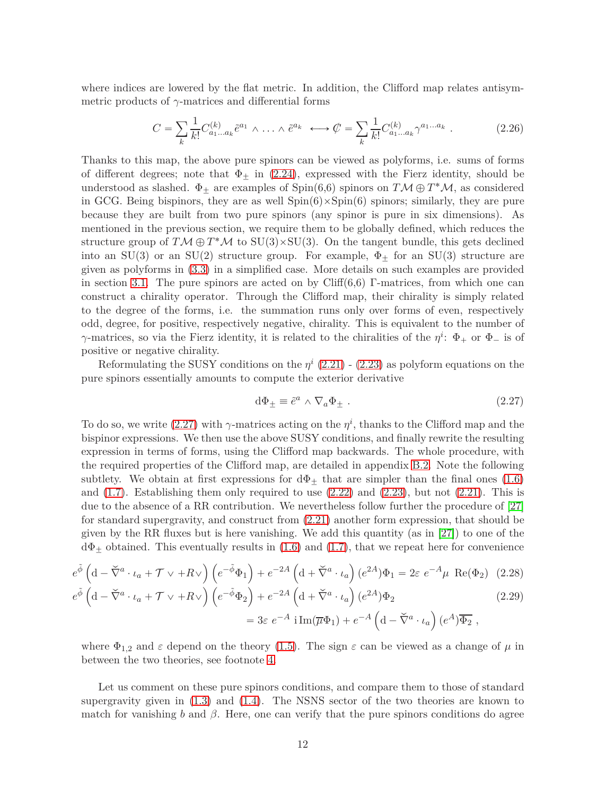where indices are lowered by the flat metric. In addition, the Clifford map relates antisymmetric products of *γ*-matrices and differential forms

<span id="page-11-3"></span>
$$
C = \sum_{k} \frac{1}{k!} C_{a_1 \dots a_k}^{(k)} \tilde{e}^{a_1} \wedge \dots \wedge \tilde{e}^{a_k} \longleftrightarrow \mathcal{C} = \sum_{k} \frac{1}{k!} C_{a_1 \dots a_k}^{(k)} \gamma^{a_1 \dots a_k} . \tag{2.26}
$$

Thanks to this map, the above pure spinors can be viewed as polyforms, i.e. sums of forms of different degrees; note that  $\Phi_{\pm}$  in [\(2.24\)](#page-10-2), expressed with the Fierz identity, should be understood as slashed.  $\Phi_{\pm}$  are examples of Spin(6,6) spinors on  $T M \oplus T^* M$ , as considered in GCG. Being bispinors, they are as well  $Spin(6)\times Spin(6)$  spinors; similarly, they are pure because they are built from two pure spinors (any spinor is pure in six dimensions). As mentioned in the previous section, we require them to be globally defined, which reduces the structure group of  $T M \oplus T^* M$  to  $SU(3) \times SU(3)$ . On the tangent bundle, this gets declined into an SU(3) or an SU(2) structure group. For example,  $\Phi_{\pm}$  for an SU(3) structure are given as polyforms in [\(3.3\)](#page-13-2) in a simplified case. More details on such examples are provided in section [3.1.](#page-13-1) The pure spinors are acted on by  $Cliff(6,6)$  Γ-matrices, from which one can construct a chirality operator. Through the Clifford map, their chirality is simply related to the degree of the forms, i.e. the summation runs only over forms of even, respectively odd, degree, for positive, respectively negative, chirality. This is equivalent to the number of *γ*-matrices, so via the Fierz identity, it is related to the chiralities of the  $\eta^i$ :  $\Phi_+$  or  $\Phi_-$  is of positive or negative chirality.

Reformulating the SUSY conditions on the  $\eta^i$  [\(2.21\)](#page-10-3) - [\(2.23\)](#page-10-4) as polyform equations on the pure spinors essentially amounts to compute the exterior derivative

<span id="page-11-2"></span><span id="page-11-1"></span><span id="page-11-0"></span>
$$
d\Phi_{\pm} \equiv \tilde{e}^a \wedge \nabla_a \Phi_{\pm} . \tag{2.27}
$$

To do so, we write [\(2.27\)](#page-11-0) with  $\gamma$ -matrices acting on the  $\eta^i$ , thanks to the Clifford map and the bispinor expressions. We then use the above SUSY conditions, and finally rewrite the resulting expression in terms of forms, using the Clifford map backwards. The whole procedure, with the required properties of the Clifford map, are detailed in appendix [B.2.](#page-27-0) Note the following subtlety. We obtain at first expressions for  $d\Phi_+$  that are simpler than the final ones [\(1.6\)](#page-3-3) and  $(1.7)$ . Establishing them only required to use  $(2.22)$  and  $(2.23)$ , but not  $(2.21)$ . This is due to the absence of a RR contribution. We nevertheless follow further the procedure of [\[27\]](#page-36-9) for standard supergravity, and construct from [\(2.21\)](#page-10-3) another form expression, that should be given by the RR fluxes but is here vanishing. We add this quantity (as in [\[27\]](#page-36-9)) to one of the  $d\Phi_{+}$  obtained. This eventually results in [\(1.6\)](#page-3-3) and [\(1.7\)](#page-3-4), that we repeat here for convenience

$$
e^{\tilde{\phi}} \left( \mathbf{d} - \tilde{\nabla}^a \cdot \iota_a + \mathcal{T} \vee + R \vee \right) \left( e^{-\tilde{\phi}} \Phi_1 \right) + e^{-2A} \left( \mathbf{d} + \tilde{\nabla}^a \cdot \iota_a \right) (e^{2A}) \Phi_1 = 2\varepsilon \ e^{-A} \mu \ \text{Re}(\Phi_2) \tag{2.28}
$$
\n
$$
e^{\tilde{\phi}} \left( \mathbf{d} - \tilde{\nabla}^a \cdot \iota_a + \mathcal{T} \vee + R \vee \right) \left( e^{-\tilde{\phi}} \Phi_2 \right) + e^{-2A} \left( \mathbf{d} + \tilde{\nabla}^a \cdot \iota_a \right) (e^{2A}) \Phi_2 \tag{2.29}
$$

$$
e^{\tilde{\phi}} \left( \mathrm{d} - \tilde{\nabla}^a \cdot \iota_a + \mathcal{T} \vee + R \vee \right) \left( e^{-\tilde{\phi}} \Phi_2 \right) + e^{-2A} \left( \mathrm{d} + \tilde{\nabla}^a \cdot \iota_a \right) (e^{2A}) \Phi_2
$$
\n
$$
= 3\varepsilon \ e^{-A} \mathrm{i} \operatorname{Im}(\overline{\mu} \Phi_1) + e^{-A} \left( \mathrm{d} - \tilde{\nabla}^a \cdot \iota_a \right) (e^A) \overline{\Phi_2},
$$
\n(2.29)

where  $\Phi_{1,2}$  and  $\varepsilon$  depend on the theory [\(1.5\)](#page-3-5). The sign  $\varepsilon$  can be viewed as a change of  $\mu$  in between the two theories, see footnote [4.](#page-8-1)

Let us comment on these pure spinors conditions, and compare them to those of standard supergravity given in  $(1.3)$  and  $(1.4)$ . The NSNS sector of the two theories are known to match for vanishing *b* and  $\beta$ . Here, one can verify that the pure spinors conditions do agree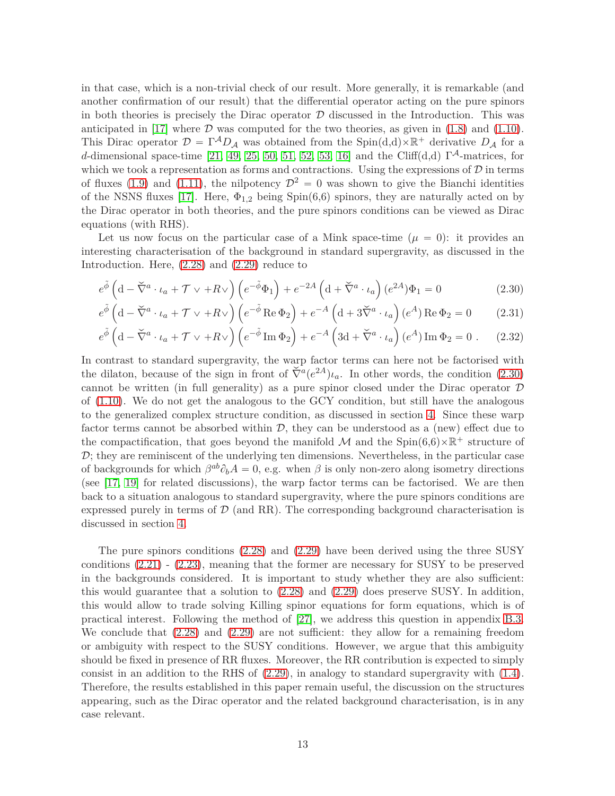in that case, which is a non-trivial check of our result. More generally, it is remarkable (and another confirmation of our result) that the differential operator acting on the pure spinors in both theories is precisely the Dirac operator  $D$  discussed in the Introduction. This was anticipated in [\[17\]](#page-35-16) where  $D$  was computed for the two theories, as given in [\(1.8\)](#page-4-3) and [\(1.10\)](#page-4-0). This Dirac operator  $\mathcal{D} = \Gamma^A D_A$  was obtained from the Spin(d,d)×R<sup>+</sup> derivative  $D_A$  for a *d*-dimensional space-time [\[21,](#page-36-3) [49,](#page-37-13) [25,](#page-36-7) [50,](#page-37-14) [51,](#page-37-15) [52,](#page-37-16) [53,](#page-38-0) [16\]](#page-35-15) and the Cliff(d,d)  $\Gamma^{\mathcal{A}}$ -matrices, for which we took a representation as forms and contractions. Using the expressions of  $D$  in terms of fluxes [\(1.9\)](#page-4-5) and [\(1.11\)](#page-4-4), the nilpotency  $\mathcal{D}^2 = 0$  was shown to give the Bianchi identities of the NSNS fluxes [\[17\]](#page-35-16). Here, Φ1*,*<sup>2</sup> being Spin(6,6) spinors, they are naturally acted on by the Dirac operator in both theories, and the pure spinors conditions can be viewed as Dirac equations (with RHS).

Let us now focus on the particular case of a Mink space-time  $(\mu = 0)$ : it provides an interesting characterisation of the background in standard supergravity, as discussed in the Introduction. Here, [\(2.28\)](#page-11-1) and [\(2.29\)](#page-11-2) reduce to

<span id="page-12-0"></span>
$$
e^{\tilde{\phi}} \left( \mathbf{d} - \tilde{\nabla}^a \cdot \iota_a + \mathcal{T} \vee + R \vee \right) \left( e^{-\tilde{\phi}} \Phi_1 \right) + e^{-2A} \left( \mathbf{d} + \tilde{\nabla}^a \cdot \iota_a \right) (e^{2A}) \Phi_1 = 0 \tag{2.30}
$$

$$
e^{\tilde{\phi}} \left( d - \tilde{\nabla}^a \cdot \iota_a + \mathcal{T} \vee + R \vee \right) \left( e^{-\tilde{\phi}} \operatorname{Re} \Phi_2 \right) + e^{-A} \left( d + 3 \tilde{\nabla}^a \cdot \iota_a \right) (e^A) \operatorname{Re} \Phi_2 = 0 \tag{2.31}
$$

$$
e^{\tilde{\phi}} \left( \mathrm{d} - \tilde{\nabla}^a \cdot \iota_a + \mathcal{T} \vee + R \vee \right) \left( e^{-\tilde{\phi}} \operatorname{Im} \Phi_2 \right) + e^{-A} \left( 3\mathrm{d} + \tilde{\nabla}^a \cdot \iota_a \right) (e^A) \operatorname{Im} \Phi_2 = 0 \ . \tag{2.32}
$$

In contrast to standard supergravity, the warp factor terms can here not be factorised with the dilaton, because of the sign in front of  $\check{\nabla}^a(e^{2A})\iota_a$ . In other words, the condition [\(2.30\)](#page-12-0) cannot be written (in full generality) as a pure spinor closed under the Dirac operator  $\mathcal D$ of [\(1.10\)](#page-4-0). We do not get the analogous to the GCY condition, but still have the analogous to the generalized complex structure condition, as discussed in section [4.](#page-17-0) Since these warp factor terms cannot be absorbed within  $\mathcal{D}$ , they can be understood as a (new) effect due to the compactification, that goes beyond the manifold M and the  $Spin(6,6)\times\mathbb{R}^+$  structure of  $\mathcal{D}$ ; they are reminiscent of the underlying ten dimensions. Nevertheless, in the particular case of backgrounds for which  $\beta^{ab}\partial_bA = 0$ , e.g. when  $\beta$  is only non-zero along isometry directions (see [\[17,](#page-35-16) [19\]](#page-36-1) for related discussions), the warp factor terms can be factorised. We are then back to a situation analogous to standard supergravity, where the pure spinors conditions are expressed purely in terms of  $\mathcal{D}$  (and RR). The corresponding background characterisation is discussed in section [4.](#page-17-0)

The pure spinors conditions [\(2.28\)](#page-11-1) and [\(2.29\)](#page-11-2) have been derived using the three SUSY conditions [\(2.21\)](#page-10-3) - [\(2.23\)](#page-10-4), meaning that the former are necessary for SUSY to be preserved in the backgrounds considered. It is important to study whether they are also sufficient: this would guarantee that a solution to [\(2.28\)](#page-11-1) and [\(2.29\)](#page-11-2) does preserve SUSY. In addition, this would allow to trade solving Killing spinor equations for form equations, which is of practical interest. Following the method of [\[27\]](#page-36-9), we address this question in appendix [B.3.](#page-30-0) We conclude that [\(2.28\)](#page-11-1) and [\(2.29\)](#page-11-2) are not sufficient: they allow for a remaining freedom or ambiguity with respect to the SUSY conditions. However, we argue that this ambiguity should be fixed in presence of RR fluxes. Moreover, the RR contribution is expected to simply consist in an addition to the RHS of  $(2.29)$ , in analogy to standard supergravity with  $(1.4)$ . Therefore, the results established in this paper remain useful, the discussion on the structures appearing, such as the Dirac operator and the related background characterisation, is in any case relevant.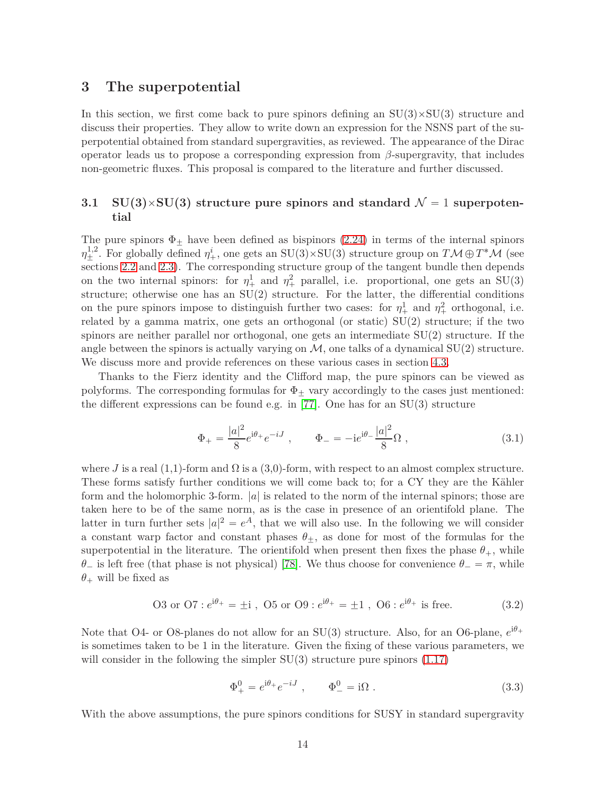# <span id="page-13-0"></span>**3 The superpotential**

In this section, we first come back to pure spinors defining an  $SU(3) \times SU(3)$  structure and discuss their properties. They allow to write down an expression for the NSNS part of the superpotential obtained from standard supergravities, as reviewed. The appearance of the Dirac operator leads us to propose a corresponding expression from *β*-supergravity, that includes non-geometric fluxes. This proposal is compared to the literature and further discussed.

# <span id="page-13-1"></span>**3.1 SU(3)** $\times$ SU(3) structure pure spinors and standard  $\mathcal{N} = 1$  superpoten**tial**

The pure spinors  $\Phi_{\pm}$  have been defined as bispinors [\(2.24\)](#page-10-2) in terms of the internal spinors  $\eta_{\pm}^{1,2}$ . For globally defined  $\eta_{+}^{i}$ , one gets an SU(3)×SU(3) structure group on  $T\mathcal{M}\oplus T^{*}\mathcal{M}$  (see sections [2.2](#page-7-0) and [2.3\)](#page-10-0). The corresponding structure group of the tangent bundle then depends on the two internal spinors: for  $\eta_+^1$  and  $\eta_+^2$  parallel, i.e. proportional, one gets an SU(3) structure; otherwise one has an  $SU(2)$  structure. For the latter, the differential conditions on the pure spinors impose to distinguish further two cases: for  $\eta_+^1$  and  $\eta_+^2$  orthogonal, i.e. related by a gamma matrix, one gets an orthogonal (or static) SU(2) structure; if the two spinors are neither parallel nor orthogonal, one gets an intermediate SU(2) structure. If the angle between the spinors is actually varying on  $\mathcal{M}$ , one talks of a dynamical SU(2) structure. We discuss more and provide references on these various cases in section [4.3.](#page-21-0)

Thanks to the Fierz identity and the Clifford map, the pure spinors can be viewed as polyforms. The corresponding formulas for  $\Phi_{\pm}$  vary accordingly to the cases just mentioned: the different expressions can be found e.g. in [\[77\]](#page-39-6). One has for an  $SU(3)$  structure

$$
\Phi_{+} = \frac{|a|^2}{8} e^{i\theta_{+}} e^{-iJ} , \qquad \Phi_{-} = -i e^{i\theta_{-}} \frac{|a|^2}{8} \Omega , \qquad (3.1)
$$

where *J* is a real  $(1,1)$ -form and  $\Omega$  is a  $(3,0)$ -form, with respect to an almost complex structure. These forms satisfy further conditions we will come back to; for a CY they are the Kähler form and the holomorphic 3-form. |*a*| is related to the norm of the internal spinors; those are taken here to be of the same norm, as is the case in presence of an orientifold plane. The latter in turn further sets  $|a|^2 = e^A$ , that we will also use. In the following we will consider a constant warp factor and constant phases  $\theta_{+}$ , as done for most of the formulas for the superpotential in the literature. The orientifold when present then fixes the phase  $\theta_+$ , while *θ*<sup> $-$ </sup> is left free (that phase is not physical) [\[78\]](#page-39-7). We thus choose for convenience  $\theta$ <sup> $=$ </sup>  $\pi$ , while  $\theta$ <sup>+</sup> will be fixed as

<span id="page-13-3"></span>03 or O7: 
$$
e^{i\theta_{+}} = \pm i
$$
, O5 or O9:  $e^{i\theta_{+}} = \pm 1$ , O6:  $e^{i\theta_{+}}$  is free. (3.2)

Note that O4- or O8-planes do not allow for an  $SU(3)$  structure. Also, for an O6-plane,  $e^{i\theta_+}$ is sometimes taken to be 1 in the literature. Given the fixing of these various parameters, we will consider in the following the simpler  $SU(3)$  structure pure spinors  $(1.17)$ 

<span id="page-13-2"></span>
$$
\Phi_{+}^{0} = e^{i\theta_{+}} e^{-iJ} , \qquad \Phi_{-}^{0} = i\Omega . \qquad (3.3)
$$

With the above assumptions, the pure spinors conditions for SUSY in standard supergravity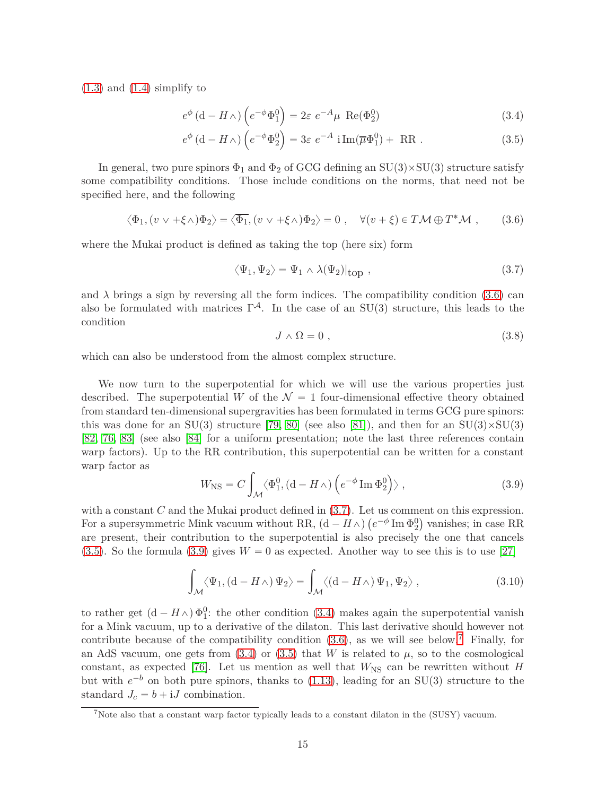$(1.3)$  and  $(1.4)$  simplify to

$$
e^{\phi} \left( d - H \wedge \right) \left( e^{-\phi} \Phi_1^0 \right) = 2\varepsilon \ e^{-A} \mu \ \text{Re}(\Phi_2^0) \tag{3.4}
$$

$$
e^{\phi} \left( d - H \wedge \right) \left( e^{-\phi} \Phi_2^0 \right) = 3\varepsilon \ e^{-A} \ i \operatorname{Im}(\overline{\mu} \Phi_1^0) + \ \operatorname{RR} \ . \tag{3.5}
$$

In general, two pure spinors  $\Phi_1$  and  $\Phi_2$  of GCG defining an SU(3)×SU(3) structure satisfy some compatibility conditions. Those include conditions on the norms, that need not be specified here, and the following

<span id="page-14-1"></span>
$$
\langle \Phi_1, (v \vee +\xi \wedge) \Phi_2 \rangle = \langle \overline{\Phi_1}, (v \vee +\xi \wedge) \Phi_2 \rangle = 0 \;, \quad \forall (v + \xi) \in T\mathcal{M} \oplus T^*\mathcal{M} \;, \tag{3.6}
$$

where the Mukai product is defined as taking the top (here six) form

<span id="page-14-4"></span><span id="page-14-2"></span><span id="page-14-0"></span>
$$
\langle \Psi_1, \Psi_2 \rangle = \Psi_1 \wedge \lambda(\Psi_2)|_{\text{top}} , \qquad (3.7)
$$

and  $\lambda$  brings a sign by reversing all the form indices. The compatibility condition [\(3.6\)](#page-14-1) can also be formulated with matrices  $\Gamma^{\mathcal{A}}$ . In the case of an SU(3) structure, this leads to the condition

<span id="page-14-6"></span>
$$
J \wedge \Omega = 0 \tag{3.8}
$$

which can also be understood from the almost complex structure.

We now turn to the superpotential for which we will use the various properties just described. The superpotential *W* of the  $\mathcal{N} = 1$  four-dimensional effective theory obtained from standard ten-dimensional supergravities has been formulated in terms GCG pure spinors: this was done for an  $SU(3)$  structure [\[79,](#page-39-8) [80\]](#page-39-9) (see also [\[81\]](#page-39-10)), and then for an  $SU(3)\times SU(3)$ [\[82,](#page-39-11) [76,](#page-39-5) [83\]](#page-39-12) (see also [\[84\]](#page-39-13) for a uniform presentation; note the last three references contain warp factors). Up to the RR contribution, this superpotential can be written for a constant warp factor as

<span id="page-14-3"></span>
$$
W_{\rm NS} = C \int_{\mathcal{M}} \langle \Phi_1^0, (d - H \wedge) \left( e^{-\phi} \operatorname{Im} \Phi_2^0 \right) \rangle , \qquad (3.9)
$$

with a constant *C* and the Mukai product defined in [\(3.7\)](#page-14-0). Let us comment on this expression. For a supersymmetric Mink vacuum without RR,  $(d - H_0)$   $(e^{-\phi} \text{Im } \Phi_2^0)$  vanishes; in case RR are present, their contribution to the superpotential is also precisely the one that cancels  $(3.5)$ . So the formula  $(3.9)$  gives  $W = 0$  as expected. Another way to see this is to use [\[27\]](#page-36-9)

<span id="page-14-7"></span>
$$
\int_{\mathcal{M}} \langle \Psi_1, \left( d - H \wedge \right) \Psi_2 \rangle = \int_{\mathcal{M}} \langle \left( d - H \wedge \right) \Psi_1, \Psi_2 \rangle , \qquad (3.10)
$$

to rather get  $(d - H \wedge) \Phi_1^0$ : the other condition [\(3.4\)](#page-14-4) makes again the superpotential vanish for a Mink vacuum, up to a derivative of the dilaton. This last derivative should however not contribute because of the compatibility condition  $(3.6)$ , as we will see below.<sup>[7](#page-14-5)</sup> Finally, for an AdS vacuum, one gets from  $(3.4)$  or  $(3.5)$  that *W* is related to  $\mu$ , so to the cosmological constant, as expected [\[76\]](#page-39-5). Let us mention as well that  $W_{\text{NS}}$  can be rewritten without *H* but with  $e^{-b}$  on both pure spinors, thanks to  $(1.13)$ , leading for an SU(3) structure to the standard  $J_c = b + iJ$  combination.

<span id="page-14-5"></span><sup>7</sup>Note also that a constant warp factor typically leads to a constant dilaton in the (SUSY) vacuum.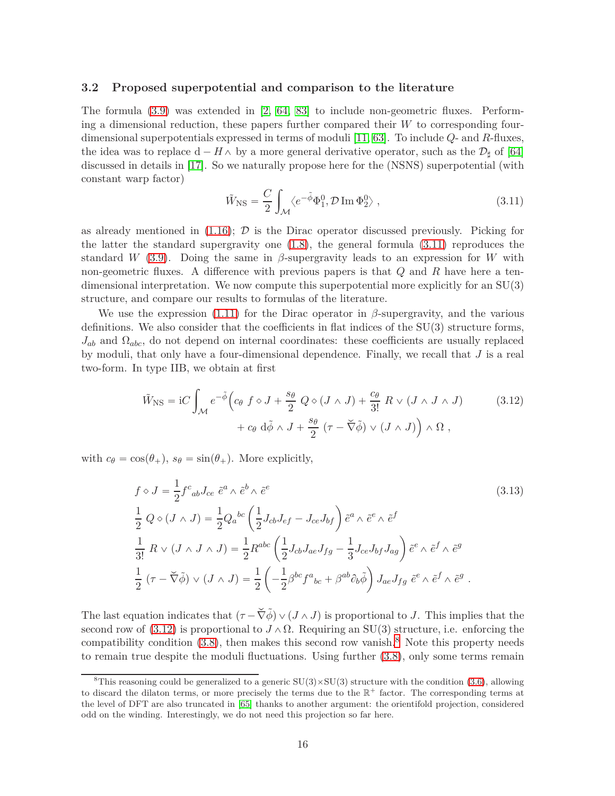#### <span id="page-15-0"></span>**3.2 Proposed superpotential and comparison to the literature**

The formula [\(3.9\)](#page-14-3) was extended in [\[2,](#page-35-1) [64,](#page-38-11) [83\]](#page-39-12) to include non-geometric fluxes. Performing a dimensional reduction, these papers further compared their *W* to corresponding fourdimensional superpotentials expressed in terms of moduli [\[11,](#page-35-10) [63\]](#page-38-10). To include *Q*- and *R*-fluxes, the idea was to replace  $d - H \wedge$  by a more general derivative operator, such as the  $\mathcal{D}_{\sharp}$  of [\[64\]](#page-38-11) discussed in details in [\[17\]](#page-35-16). So we naturally propose here for the (NSNS) superpotential (with constant warp factor)

<span id="page-15-2"></span><span id="page-15-1"></span>
$$
\tilde{W}_{\rm NS} = \frac{C}{2} \int_{\mathcal{M}} \langle e^{-\tilde{\phi}} \Phi_1^0, \mathcal{D} \operatorname{Im} \Phi_2^0 \rangle , \qquad (3.11)
$$

as already mentioned in  $(1.16)$ ;  $\mathcal{D}$  is the Dirac operator discussed previously. Picking for the latter the standard supergravity one [\(1.8\)](#page-4-3), the general formula [\(3.11\)](#page-15-1) reproduces the standard *W* [\(3.9\)](#page-14-3). Doing the same in  $\beta$ -supergravity leads to an expression for *W* with non-geometric fluxes. A difference with previous papers is that *Q* and *R* have here a tendimensional interpretation. We now compute this superpotential more explicitly for an SU(3) structure, and compare our results to formulas of the literature.

We use the expression [\(1.11\)](#page-4-4) for the Dirac operator in  $\beta$ -supergravity, and the various definitions. We also consider that the coefficients in flat indices of the  $SU(3)$  structure forms, *Jab* and Ω*abc*, do not depend on internal coordinates: these coefficients are usually replaced by moduli, that only have a four-dimensional dependence. Finally, we recall that *J* is a real two-form. In type IIB, we obtain at first

$$
\tilde{W}_{\text{NS}} = iC \int_{\mathcal{M}} e^{-\tilde{\phi}} \Big( c_{\theta} \ f \diamond J + \frac{s_{\theta}}{2} \ Q \diamond (J \wedge J) + \frac{c_{\theta}}{3!} \ R \vee (J \wedge J \wedge J) \Big) \n+ c_{\theta} \ d\tilde{\phi} \wedge J + \frac{s_{\theta}}{2} \left( \tau - \check{\nabla} \tilde{\phi} \right) \vee (J \wedge J) \Big) \wedge \Omega ,
$$
\n(3.12)

with  $c_{\theta} = \cos(\theta_+), s_{\theta} = \sin(\theta_+).$  More explicitly,

$$
f \diamond J = \frac{1}{2} f^c{}_{ab} J_{ce} \tilde{e}^a \wedge \tilde{e}^b \wedge \tilde{e}^e
$$
\n
$$
\frac{1}{2} Q \diamond (J \wedge J) = \frac{1}{2} Q_a{}^{bc} \left( \frac{1}{2} J_{cb} J_{ef} - J_{ce} J_{bf} \right) \tilde{e}^a \wedge \tilde{e}^e \wedge \tilde{e}^f
$$
\n
$$
\frac{1}{3!} R \vee (J \wedge J \wedge J) = \frac{1}{2} R^{abc} \left( \frac{1}{2} J_{cb} J_{ae} J_{fg} - \frac{1}{3} J_{ce} J_{bf} J_{ag} \right) \tilde{e}^e \wedge \tilde{e}^f \wedge \tilde{e}^g
$$
\n
$$
\frac{1}{2} (\tau - \tilde{\nabla} \tilde{\phi}) \vee (J \wedge J) = \frac{1}{2} \left( -\frac{1}{2} \beta^{bc} f^a{}_{bc} + \beta^{ab} \partial_b \tilde{\phi} \right) J_{ae} J_{fg} \tilde{e}^e \wedge \tilde{e}^f \wedge \tilde{e}^g.
$$
\n
$$
(3.13)
$$

The last equation indicates that  $(\tau - \check{\nabla} \tilde{\phi}) \vee (J \wedge J)$  is proportional to *J*. This implies that the second row of [\(3.12\)](#page-15-2) is proportional to  $J \wedge \Omega$ . Requiring an SU(3) structure, i.e. enforcing the compatibility condition  $(3.8)$  $(3.8)$  $(3.8)$ , then makes this second row vanish.<sup>8</sup> Note this property needs to remain true despite the moduli fluctuations. Using further [\(3.8\)](#page-14-6), only some terms remain

<span id="page-15-3"></span><sup>&</sup>lt;sup>8</sup>This reasoning could be generalized to a generic  $SU(3) \times SU(3)$  structure with the condition [\(3.6\)](#page-14-1), allowing to discard the dilaton terms, or more precisely the terms due to the  $\mathbb{R}^+$  factor. The corresponding terms at the level of DFT are also truncated in [\[65\]](#page-38-12) thanks to another argument: the orientifold projection, considered odd on the winding. Interestingly, we do not need this projection so far here.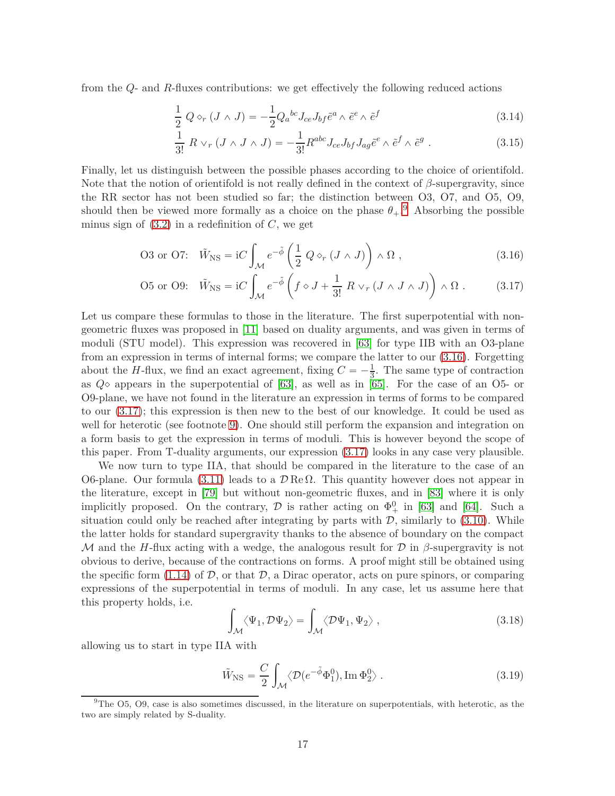from the *Q*- and *R*-fluxes contributions: we get effectively the following reduced actions

$$
\frac{1}{2} Q \diamond_r (J \wedge J) = -\frac{1}{2} Q_a{}^{bc} J_{ce} J_{bf} \tilde{e}^a \wedge \tilde{e}^e \wedge \tilde{e}^f \tag{3.14}
$$

<span id="page-16-2"></span><span id="page-16-1"></span>
$$
\frac{1}{3!} R \vee_r (J \wedge J \wedge J) = -\frac{1}{3!} R^{abc} J_{ce} J_{bf} J_{ag} \tilde{e}^e \wedge \tilde{e}^f \wedge \tilde{e}^g \ . \tag{3.15}
$$

Finally, let us distinguish between the possible phases according to the choice of orientifold. Note that the notion of orientifold is not really defined in the context of *β*-supergravity, since the RR sector has not been studied so far; the distinction between O3, O7, and O5, O9, should then be viewed more formally as a choice on the phase  $\theta_+$ <sup>[9](#page-16-0)</sup>. Absorbing the possible minus sign of  $(3.2)$  in a redefinition of  $C$ , we get

$$
\text{O3 or O7:} \quad \tilde{W}_{\text{NS}} = \text{i}C \int_{\mathcal{M}} e^{-\tilde{\phi}} \left( \frac{1}{2} \ Q \diamond_r (J \wedge J) \right) \wedge \Omega \;, \tag{3.16}
$$

$$
\text{O5 or O9:} \quad \tilde{W}_{\text{NS}} = \text{i}C \int_{\mathcal{M}} e^{-\tilde{\phi}} \left( f \diamond J + \frac{1}{3!} \, R \vee_r (J \wedge J \wedge J) \right) \wedge \Omega \,. \tag{3.17}
$$

Let us compare these formulas to those in the literature. The first superpotential with nongeometric fluxes was proposed in [\[11\]](#page-35-10) based on duality arguments, and was given in terms of moduli (STU model). This expression was recovered in [\[63\]](#page-38-10) for type IIB with an O3-plane from an expression in terms of internal forms; we compare the latter to our [\(3.16\)](#page-16-1). Forgetting about the *H*-flux, we find an exact agreement, fixing  $C = -\frac{1}{3}$ . The same type of contraction as  $Q\circ$  appears in the superpotential of [\[63\]](#page-38-10), as well as in [\[65\]](#page-38-12). For the case of an O5- or O9-plane, we have not found in the literature an expression in terms of forms to be compared to our [\(3.17\)](#page-16-2); this expression is then new to the best of our knowledge. It could be used as well for heterotic (see footnote [9\)](#page-16-0). One should still perform the expansion and integration on a form basis to get the expression in terms of moduli. This is however beyond the scope of this paper. From T-duality arguments, our expression [\(3.17\)](#page-16-2) looks in any case very plausible.

We now turn to type IIA, that should be compared in the literature to the case of an O6-plane. Our formula [\(3.11\)](#page-15-1) leads to a  $\mathcal{D}$  Re Ω. This quantity however does not appear in the literature, except in [\[79\]](#page-39-8) but without non-geometric fluxes, and in [\[83\]](#page-39-12) where it is only implicitly proposed. On the contrary,  $\mathcal D$  is rather acting on  $\Phi_+^0$  in [\[63\]](#page-38-10) and [\[64\]](#page-38-11). Such a situation could only be reached after integrating by parts with  $D$ , similarly to  $(3.10)$ . While the latter holds for standard supergravity thanks to the absence of boundary on the compact M and the *H*-flux acting with a wedge, the analogous result for  $\mathcal D$  in  $\beta$ -supergravity is not obvious to derive, because of the contractions on forms. A proof might still be obtained using the specific form [\(1.14\)](#page-4-1) of  $D$ , or that  $D$ , a Dirac operator, acts on pure spinors, or comparing expressions of the superpotential in terms of moduli. In any case, let us assume here that this property holds, i.e.

$$
\int_{\mathcal{M}} \langle \Psi_1, \mathcal{D}\Psi_2 \rangle = \int_{\mathcal{M}} \langle \mathcal{D}\Psi_1, \Psi_2 \rangle , \qquad (3.18)
$$

allowing us to start in type IIA with

<span id="page-16-3"></span>
$$
\tilde{W}_{\rm NS} = \frac{C}{2} \int_{\mathcal{M}} \langle \mathcal{D}(e^{-\tilde{\phi}} \Phi_1^0), \operatorname{Im} \Phi_2^0 \rangle . \tag{3.19}
$$

<span id="page-16-0"></span> $9$ The O5, O9, case is also sometimes discussed, in the literature on superpotentials, with heterotic, as the two are simply related by S-duality.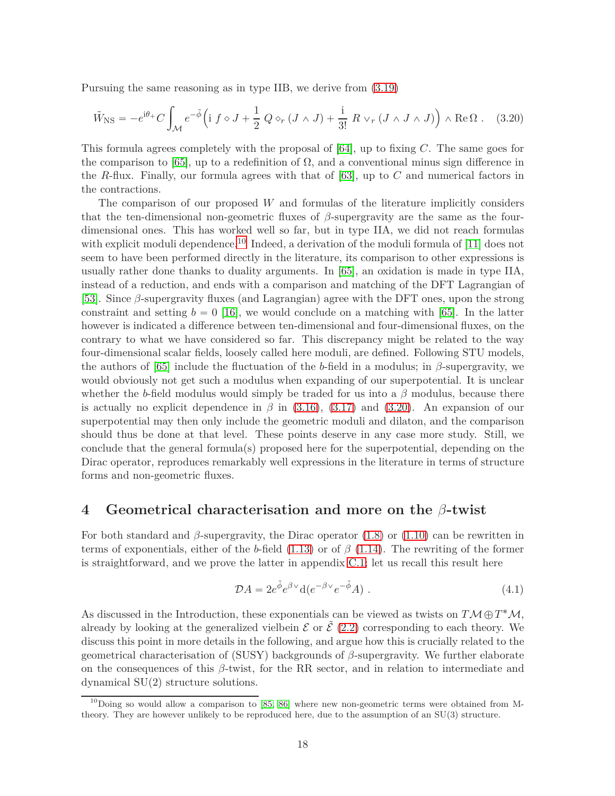Pursuing the same reasoning as in type IIB, we derive from [\(3.19\)](#page-16-3)

<span id="page-17-2"></span>
$$
\tilde{W}_{\rm NS} = -e^{i\theta_{+}}C \int_{\mathcal{M}} e^{-\tilde{\phi}} \left( i \, f \diamond J + \frac{1}{2} \, Q \diamond_r (J \wedge J) + \frac{i}{3!} \, R \vee_r (J \wedge J \wedge J) \right) \wedge \text{Re}\,\Omega \; . \tag{3.20}
$$

This formula agrees completely with the proposal of [\[64\]](#page-38-11), up to fixing *C*. The same goes for the comparison to [\[65\]](#page-38-12), up to a redefinition of  $\Omega$ , and a conventional minus sign difference in the *R*-flux. Finally, our formula agrees with that of [\[63\]](#page-38-10), up to *C* and numerical factors in the contractions.

The comparison of our proposed *W* and formulas of the literature implicitly considers that the ten-dimensional non-geometric fluxes of *β*-supergravity are the same as the fourdimensional ones. This has worked well so far, but in type IIA, we did not reach formulas with explicit moduli dependence.<sup>[10](#page-17-1)</sup> Indeed, a derivation of the moduli formula of [\[11\]](#page-35-10) does not seem to have been performed directly in the literature, its comparison to other expressions is usually rather done thanks to duality arguments. In [\[65\]](#page-38-12), an oxidation is made in type IIA, instead of a reduction, and ends with a comparison and matching of the DFT Lagrangian of [\[53\]](#page-38-0). Since *β*-supergravity fluxes (and Lagrangian) agree with the DFT ones, upon the strong constraint and setting  $b = 0$  [\[16\]](#page-35-15), we would conclude on a matching with [\[65\]](#page-38-12). In the latter however is indicated a difference between ten-dimensional and four-dimensional fluxes, on the contrary to what we have considered so far. This discrepancy might be related to the way four-dimensional scalar fields, loosely called here moduli, are defined. Following STU models, the authors of [\[65\]](#page-38-12) include the fluctuation of the *b*-field in a modulus; in  $\beta$ -supergravity, we would obviously not get such a modulus when expanding of our superpotential. It is unclear whether the *b*-field modulus would simply be traded for us into a  $\beta$  modulus, because there is actually no explicit dependence in  $\beta$  in [\(3.16\)](#page-16-1), [\(3.17\)](#page-16-2) and [\(3.20\)](#page-17-2). An expansion of our superpotential may then only include the geometric moduli and dilaton, and the comparison should thus be done at that level. These points deserve in any case more study. Still, we conclude that the general formula(s) proposed here for the superpotential, depending on the Dirac operator, reproduces remarkably well expressions in the literature in terms of structure forms and non-geometric fluxes.

## <span id="page-17-0"></span>**4 Geometrical characterisation and more on the** *β***-twist**

For both standard and *β*-supergravity, the Dirac operator [\(1.8\)](#page-4-3) or [\(1.10\)](#page-4-0) can be rewritten in terms of exponentials, either of the *b*-field [\(1.13\)](#page-4-2) or of *β* [\(1.14\)](#page-4-1). The rewriting of the former is straightforward, and we prove the latter in appendix [C.1;](#page-32-1) let us recall this result here

<span id="page-17-3"></span>
$$
\mathcal{D}A = 2e^{\tilde{\phi}}e^{\beta \vee}d(e^{-\beta \vee}e^{-\tilde{\phi}}A) . \tag{4.1}
$$

As discussed in the Introduction, these exponentials can be viewed as twists on  $T\mathcal{M} \oplus T^*\mathcal{M}$ , already by looking at the generalized vielbein  $\mathcal E$  or  $\tilde{\mathcal E}$  [\(2.2\)](#page-6-3) corresponding to each theory. We discuss this point in more details in the following, and argue how this is crucially related to the geometrical characterisation of (SUSY) backgrounds of *β*-supergravity. We further elaborate on the consequences of this *β*-twist, for the RR sector, and in relation to intermediate and dynamical SU(2) structure solutions.

<span id="page-17-1"></span> $^{10}$ Doing so would allow a comparison to [\[85,](#page-39-14) [86\]](#page-39-15) where new non-geometric terms were obtained from Mtheory. They are however unlikely to be reproduced here, due to the assumption of an SU(3) structure.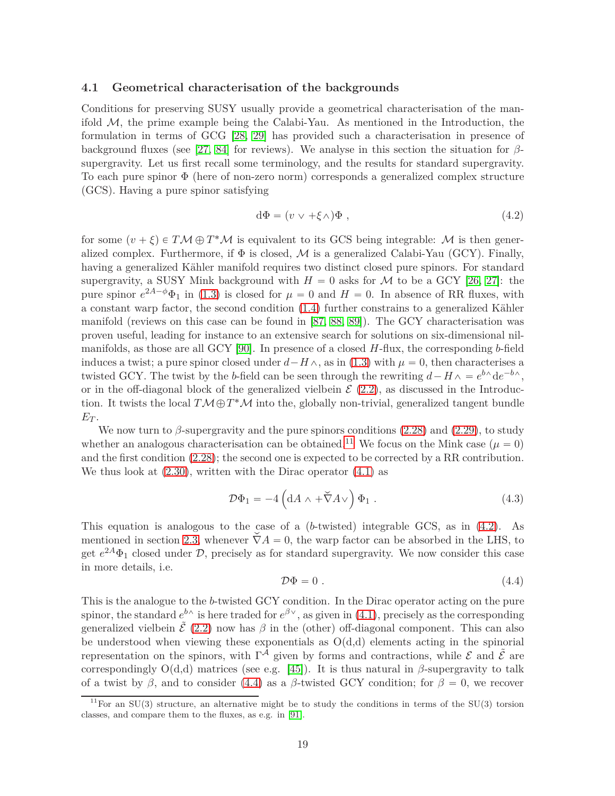#### <span id="page-18-0"></span>**4.1 Geometrical characterisation of the backgrounds**

Conditions for preserving SUSY usually provide a geometrical characterisation of the manifold  $M$ , the prime example being the Calabi-Yau. As mentioned in the Introduction, the formulation in terms of GCG [\[28,](#page-36-10) [29\]](#page-36-11) has provided such a characterisation in presence of background fluxes (see [\[27,](#page-36-9) [84\]](#page-39-13) for reviews). We analyse in this section the situation for *β*supergravity. Let us first recall some terminology, and the results for standard supergravity. To each pure spinor Φ (here of non-zero norm) corresponds a generalized complex structure (GCS). Having a pure spinor satisfying

<span id="page-18-2"></span>
$$
d\Phi = (v \lor +\xi \land)\Phi , \qquad (4.2)
$$

for some  $(v + \xi) \in T\mathcal{M} \oplus T^*\mathcal{M}$  is equivalent to its GCS being integrable:  $\mathcal{M}$  is then generalized complex. Furthermore, if  $\Phi$  is closed,  $\mathcal M$  is a generalized Calabi-Yau (GCY). Finally, having a generalized Kähler manifold requires two distinct closed pure spinors. For standard supergravity, a SUSY Mink background with  $H = 0$  asks for M to be a GCY [\[26,](#page-36-8) [27\]](#page-36-9): the pure spinor  $e^{2A-\phi}\Phi_1$  in [\(1.3\)](#page-3-0) is closed for  $\mu=0$  and  $H=0$ . In absence of RR fluxes, with a constant warp factor, the second condition [\(1.4\)](#page-3-1) further constrains to a generalized Kähler manifold (reviews on this case can be found in [\[87,](#page-39-16) [88,](#page-39-17) [89\]](#page-40-0)). The GCY characterisation was proven useful, leading for instance to an extensive search for solutions on six-dimensional nilmanifolds, as those are all GCY [\[90\]](#page-40-1). In presence of a closed *H*-flux, the corresponding *b*-field induces a twist; a pure spinor closed under  $d-H\wedge$ , as in [\(1.3\)](#page-3-0) with  $\mu = 0$ , then characterises a twisted GCY. The twist by the *b*-field can be seen through the rewriting  $d - H \wedge = e^{b \wedge} de^{-b \wedge}$ , or in the off-diagonal block of the generalized vielbein  $\mathcal{E}(2.2)$  $\mathcal{E}(2.2)$ , as discussed in the Introduction. It twists the local  $T\mathcal{M}\oplus T^*\mathcal{M}$  into the, globally non-trivial, generalized tangent bundle  $E_T$ .

We now turn to  $\beta$ -supergravity and the pure spinors conditions  $(2.28)$  and  $(2.29)$ , to study whether an analogous characterisation can be obtained.<sup>[11](#page-18-1)</sup> We focus on the Mink case ( $\mu = 0$ ) and the first condition [\(2.28\)](#page-11-1); the second one is expected to be corrected by a RR contribution. We thus look at  $(2.30)$ , written with the Dirac operator  $(4.1)$  as

$$
\mathcal{D}\Phi_1 = -4\left(\mathrm{d}A \wedge +\breve{\nabla}A\vee\right)\Phi_1\,. \tag{4.3}
$$

This equation is analogous to the case of a (*b*-twisted) integrable GCS, as in [\(4.2\)](#page-18-2). As mentioned in section [2.3,](#page-10-0) whenever  $\check{\nabla}A = 0$ , the warp factor can be absorbed in the LHS, to get  $e^{2A}\Phi_1$  closed under  $\mathcal{D}$ , precisely as for standard supergravity. We now consider this case in more details, i.e.

<span id="page-18-3"></span>
$$
\mathcal{D}\Phi = 0. \tag{4.4}
$$

This is the analogue to the *b*-twisted GCY condition. In the Dirac operator acting on the pure spinor, the standard  $e^{b\wedge}$  is here traded for  $e^{\beta\vee}$ , as given in [\(4.1\)](#page-17-3), precisely as the corresponding generalized vielbein  $\tilde{\mathcal{E}}$  [\(2.2\)](#page-6-3) now has  $\beta$  in the (other) off-diagonal component. This can also be understood when viewing these exponentials as  $O(d,d)$  elements acting in the spinorial representation on the spinors, with  $\Gamma^{\mathcal{A}}$  given by forms and contractions, while  $\mathcal{E}$  and  $\tilde{\mathcal{E}}$  are correspondingly  $O(d,d)$  matrices (see e.g. [\[45\]](#page-37-9)). It is thus natural in  $\beta$ -supergravity to talk of a twist by  $\beta$ , and to consider [\(4.4\)](#page-18-3) as a  $\beta$ -twisted GCY condition; for  $\beta = 0$ , we recover

<span id="page-18-1"></span> $11$ For an SU(3) structure, an alternative might be to study the conditions in terms of the SU(3) torsion classes, and compare them to the fluxes, as e.g. in [\[91\]](#page-40-2).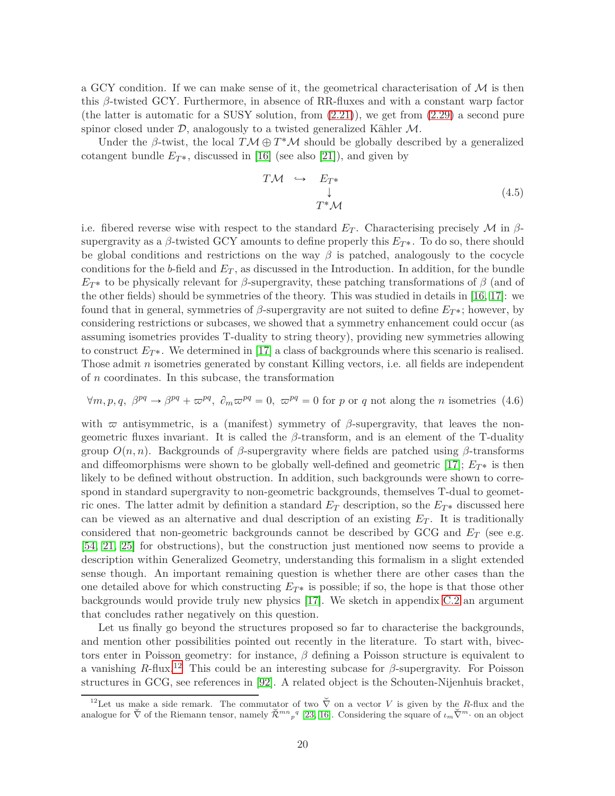a GCY condition. If we can make sense of it, the geometrical characterisation of  $\mathcal M$  is then this *β*-twisted GCY. Furthermore, in absence of RR-fluxes and with a constant warp factor (the latter is automatic for a SUSY solution, from [\(2.21\)](#page-10-3)), we get from [\(2.29\)](#page-11-2) a second pure spinor closed under  $D$ , analogously to a twisted generalized Kähler  $M$ .

Under the  $\beta$ -twist, the local  $T\mathcal{M} \oplus T^*\mathcal{M}$  should be globally described by a generalized cotangent bundle  $E_{T^*}$ , discussed in [\[16\]](#page-35-15) (see also [\[21\]](#page-36-3)), and given by

$$
T\mathcal{M} \hookrightarrow E_{T^*}
$$
  
\n
$$
\downarrow
$$
  
\n
$$
T^*\mathcal{M}
$$
\n(4.5)

i.e. fibered reverse wise with respect to the standard  $E_T$ . Characterising precisely M in  $\beta$ supergravity as a  $\beta$ -twisted GCY amounts to define properly this  $E_{T^*}$ . To do so, there should be global conditions and restrictions on the way  $\beta$  is patched, analogously to the cocycle conditions for the *b*-field and *E<sup>T</sup>* , as discussed in the Introduction. In addition, for the bundle  $E_{T^*}$  to be physically relevant for *β*-supergravity, these patching transformations of *β* (and of the other fields) should be symmetries of the theory. This was studied in details in [\[16,](#page-35-15) [17\]](#page-35-16): we found that in general, symmetries of  $\beta$ -supergravity are not suited to define  $E_T^*$ ; however, by considering restrictions or subcases, we showed that a symmetry enhancement could occur (as assuming isometries provides T-duality to string theory), providing new symmetries allowing to construct  $E_{T^*}$ . We determined in [\[17\]](#page-35-16) a class of backgrounds where this scenario is realised. Those admit *n* isometries generated by constant Killing vectors, i.e. all fields are independent of *n* coordinates. In this subcase, the transformation

<span id="page-19-1"></span>
$$
\forall m, p, q, \beta^{pq} \rightarrow \beta^{pq} + \omega^{pq}, \partial_m \omega^{pq} = 0, \omega^{pq} = 0
$$
 for p or q not along the n isometries (4.6)

with  $\bar{\varpi}$  antisymmetric, is a (manifest) symmetry of  $\beta$ -supergravity, that leaves the nongeometric fluxes invariant. It is called the *β*-transform, and is an element of the T-duality group  $O(n, n)$ . Backgrounds of  $\beta$ -supergravity where fields are patched using  $\beta$ -transforms and diffeomorphisms were shown to be globally well-defined and geometric [\[17\]](#page-35-16);  $E_{T^*}$  is then likely to be defined without obstruction. In addition, such backgrounds were shown to correspond in standard supergravity to non-geometric backgrounds, themselves T-dual to geometric ones. The latter admit by definition a standard  $E_T$  description, so the  $E_T^*$  discussed here can be viewed as an alternative and dual description of an existing *E<sup>T</sup>* . It is traditionally considered that non-geometric backgrounds cannot be described by GCG and *E<sup>T</sup>* (see e.g. [\[54,](#page-38-1) [21,](#page-36-3) [25\]](#page-36-7) for obstructions), but the construction just mentioned now seems to provide a description within Generalized Geometry, understanding this formalism in a slight extended sense though. An important remaining question is whether there are other cases than the one detailed above for which constructing  $E_{T^*}$  is possible; if so, the hope is that those other backgrounds would provide truly new physics [\[17\]](#page-35-16). We sketch in appendix [C.2](#page-34-0) an argument that concludes rather negatively on this question.

Let us finally go beyond the structures proposed so far to characterise the backgrounds, and mention other possibilities pointed out recently in the literature. To start with, bivectors enter in Poisson geometry: for instance, *β* defining a Poisson structure is equivalent to a vanishing *R*-flux.<sup>[12](#page-19-0)</sup> This could be an interesting subcase for  $\beta$ -supergravity. For Poisson structures in GCG, see references in [\[92\]](#page-40-3). A related object is the Schouten-Nijenhuis bracket,

<span id="page-19-0"></span><sup>&</sup>lt;sup>12</sup>Let us make a side remark. The commutator of two  $\check{\nabla}$  on a vector *V* is given by the *R*-flux and the analogue for  $\check{\nabla}$  of the Riemann tensor, namely  $\check{\mathcal{R}}^{mn}{}_{p}{}^{q}$  [\[23,](#page-36-5) [16\]](#page-35-15). Considering the square of  $\iota_m\check{\nabla}^m$  on an object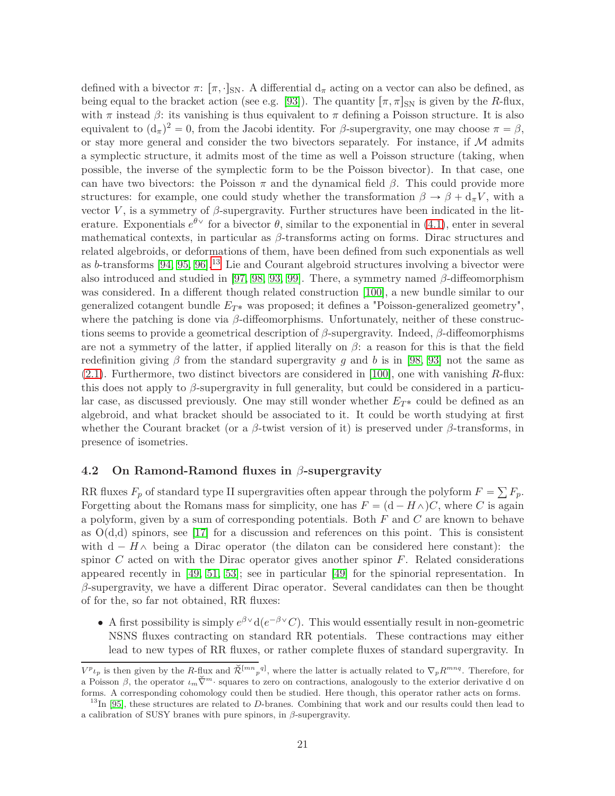defined with a bivector  $\pi: [\pi, \cdot]_{\text{SN}}$ . A differential  $d_{\pi}$  acting on a vector can also be defined, as being equal to the bracket action (see e.g. [\[93\]](#page-40-4)). The quantity  $\lceil \pi, \pi \rceil_{\rm SN}$  is given by the *R*-flux, with  $\pi$  instead  $\beta$ : its vanishing is thus equivalent to  $\pi$  defining a Poisson structure. It is also equivalent to  $(d_{\pi})^2 = 0$ , from the Jacobi identity. For *β*-supergravity, one may choose  $\pi = \beta$ , or stay more general and consider the two bivectors separately. For instance, if  $M$  admits a symplectic structure, it admits most of the time as well a Poisson structure (taking, when possible, the inverse of the symplectic form to be the Poisson bivector). In that case, one can have two bivectors: the Poisson *π* and the dynamical field *β*. This could provide more structures: for example, one could study whether the transformation  $\beta \to \beta + d_{\pi}V$ , with a vector *V*, is a symmetry of  $\beta$ -supergravity. Further structures have been indicated in the literature. Exponentials  $e^{\theta V}$  for a bivector  $\theta$ , similar to the exponential in [\(4.1\)](#page-17-3), enter in several mathematical contexts, in particular as *β*-transforms acting on forms. Dirac structures and related algebroids, or deformations of them, have been defined from such exponentials as well as *b*-transforms [\[94,](#page-40-5) [95,](#page-40-6) [96\]](#page-40-7).[13](#page-20-1) Lie and Courant algebroid structures involving a bivector were also introduced and studied in [\[97,](#page-40-8) [98,](#page-40-9) [93,](#page-40-4) [99\]](#page-40-10). There, a symmetry named *β*-diffeomorphism was considered. In a different though related construction [\[100\]](#page-40-11), a new bundle similar to our generalized cotangent bundle  $E_{T*}$  was proposed; it defines a "Poisson-generalized geometry", where the patching is done via *β*-diffeomorphisms. Unfortunately, neither of these constructions seems to provide a geometrical description of *β*-supergravity. Indeed, *β*-diffeomorphisms are not a symmetry of the latter, if applied literally on  $\beta$ : a reason for this is that the field redefinition giving  $\beta$  from the standard supergravity *g* and *b* is in [\[98,](#page-40-9) [93\]](#page-40-4) not the same as [\(2.1\)](#page-6-2). Furthermore, two distinct bivectors are considered in [\[100\]](#page-40-11), one with vanishing *R*-flux: this does not apply to *β*-supergravity in full generality, but could be considered in a particular case, as discussed previously. One may still wonder whether  $E_{T^*}$  could be defined as an algebroid, and what bracket should be associated to it. It could be worth studying at first whether the Courant bracket (or a *β*-twist version of it) is preserved under *β*-transforms, in presence of isometries.

#### <span id="page-20-0"></span>**4.2 On Ramond-Ramond fluxes in** *β***-supergravity**

RR fluxes  $F_p$  of standard type II supergravities often appear through the polyform  $F = \sum F_p$ . Forgetting about the Romans mass for simplicity, one has  $F = (d - H\wedge)C$ , where *C* is again a polyform, given by a sum of corresponding potentials. Both *F* and *C* are known to behave as  $O(d,d)$  spinors, see [\[17\]](#page-35-16) for a discussion and references on this point. This is consistent with  $d - H \wedge$  being a Dirac operator (the dilaton can be considered here constant): the spinor *C* acted on with the Dirac operator gives another spinor *F*. Related considerations appeared recently in [\[49,](#page-37-13) [51,](#page-37-15) [53\]](#page-38-0); see in particular [\[49\]](#page-37-13) for the spinorial representation. In *β*-supergravity, we have a different Dirac operator. Several candidates can then be thought of for the, so far not obtained, RR fluxes:

• A first possibility is simply  $e^{\beta \vee} d(e^{-\beta \vee} C)$ . This would essentially result in non-geometric NSNS fluxes contracting on standard RR potentials. These contractions may either lead to new types of RR fluxes, or rather complete fluxes of standard supergravity. In

 $V^p \iota_p$  is then given by the *R*-flux and  $\tilde{\mathcal{R}}^{[mn}{}_{p}{}^{q}$ , where the latter is actually related to  $\nabla_p R^{mnq}$ . Therefore, for a Poisson  $\beta$ , the operator  $\iota_m \check{\nabla}^m$  squares to zero on contractions, analogously to the exterior derivative d on forms. A corresponding cohomology could then be studied. Here though, this operator rather acts on forms.

<span id="page-20-1"></span><sup>&</sup>lt;sup>13</sup>In [\[95\]](#page-40-6), these structures are related to *D*-branes. Combining that work and our results could then lead to a calibration of SUSY branes with pure spinors, in *β*-supergravity.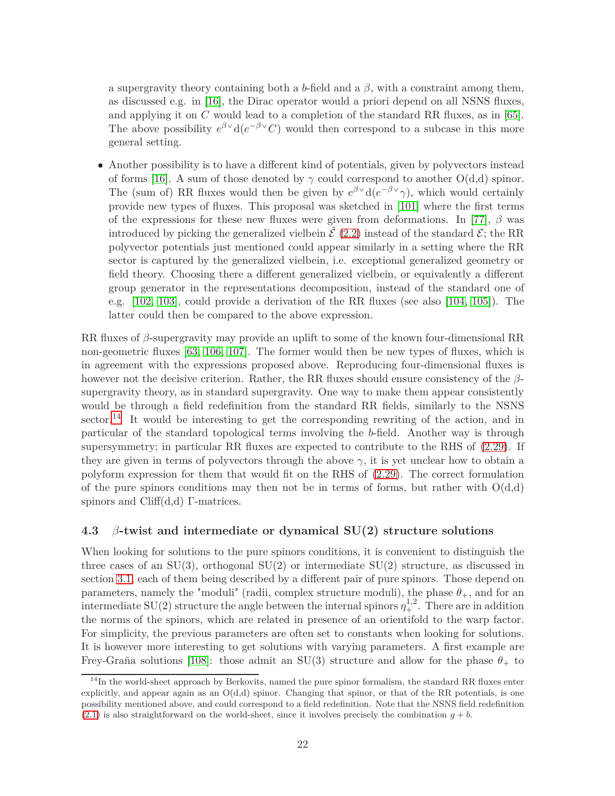a supergravity theory containing both a *b*-field and a  $\beta$ , with a constraint among them, as discussed e.g. in [\[16\]](#page-35-15), the Dirac operator would a priori depend on all NSNS fluxes, and applying it on *C* would lead to a completion of the standard RR fluxes, as in [\[65\]](#page-38-12). The above possibility  $e^{\beta \vee} d(e^{-\beta \vee} C)$  would then correspond to a subcase in this more general setting.

• Another possibility is to have a different kind of potentials, given by polyvectors instead of forms [\[16\]](#page-35-15). A sum of those denoted by  $\gamma$  could correspond to another  $O(d,d)$  spinor. The (sum of) RR fluxes would then be given by  $e^{\beta V}d(e^{-\beta V}\gamma)$ , which would certainly provide new types of fluxes. This proposal was sketched in [\[101\]](#page-40-12) where the first terms of the expressions for these new fluxes were given from deformations. In [\[77\]](#page-39-6), *β* was introduced by picking the generalized vielbein  $\mathcal{E}(2.2)$  $\mathcal{E}(2.2)$  instead of the standard  $\mathcal{E}$ ; the RR polyvector potentials just mentioned could appear similarly in a setting where the RR sector is captured by the generalized vielbein, i.e. exceptional generalized geometry or field theory. Choosing there a different generalized vielbein, or equivalently a different group generator in the representations decomposition, instead of the standard one of e.g. [\[102,](#page-40-13) [103\]](#page-40-14), could provide a derivation of the RR fluxes (see also [\[104,](#page-40-15) [105\]](#page-41-0)). The latter could then be compared to the above expression.

RR fluxes of *β*-supergravity may provide an uplift to some of the known four-dimensional RR non-geometric fluxes [\[63,](#page-38-10) [106,](#page-41-1) [107\]](#page-41-2). The former would then be new types of fluxes, which is in agreement with the expressions proposed above. Reproducing four-dimensional fluxes is however not the decisive criterion. Rather, the RR fluxes should ensure consistency of the *β*supergravity theory, as in standard supergravity. One way to make them appear consistently would be through a field redefinition from the standard RR fields, similarly to the NSNS sector.<sup>[14](#page-21-1)</sup> It would be interesting to get the corresponding rewriting of the action, and in particular of the standard topological terms involving the *b*-field. Another way is through supersymmetry; in particular RR fluxes are expected to contribute to the RHS of [\(2.29\)](#page-11-2). If they are given in terms of polyvectors through the above  $\gamma$ , it is yet unclear how to obtain a polyform expression for them that would fit on the RHS of [\(2.29\)](#page-11-2). The correct formulation of the pure spinors conditions may then not be in terms of forms, but rather with  $O(d,d)$ spinors and Cliff(d,d) Γ-matrices.

#### <span id="page-21-0"></span>**4.3** *β***-twist and intermediate or dynamical SU(2) structure solutions**

When looking for solutions to the pure spinors conditions, it is convenient to distinguish the three cases of an  $SU(3)$ , orthogonal  $SU(2)$  or intermediate  $SU(2)$  structure, as discussed in section [3.1,](#page-13-1) each of them being described by a different pair of pure spinors. Those depend on parameters, namely the "moduli" (radii, complex structure moduli), the phase  $\theta_+$ , and for an intermediate SU(2) structure the angle between the internal spinors  $\eta^{1,2}_+$ . There are in addition the norms of the spinors, which are related in presence of an orientifold to the warp factor. For simplicity, the previous parameters are often set to constants when looking for solutions. It is however more interesting to get solutions with varying parameters. A first example are Frey-Graña solutions [\[108\]](#page-41-3): those admit an SU(3) structure and allow for the phase  $\theta_+$  to

<span id="page-21-1"></span> $\frac{14}{14}$ In the world-sheet approach by Berkovits, named the pure spinor formalism, the standard RR fluxes enter explicitly, and appear again as an  $O(d,d)$  spinor. Changing that spinor, or that of the RR potentials, is one possibility mentioned above, and could correspond to a field redefinition. Note that the NSNS field redefinition  $(2.1)$  is also straightforward on the world-sheet, since it involves precisely the combination  $g + b$ .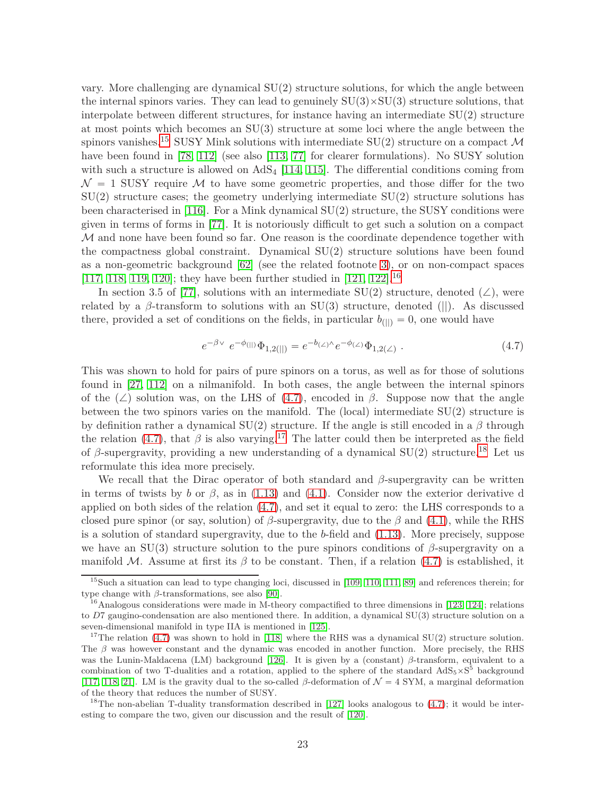vary. More challenging are dynamical  $SU(2)$  structure solutions, for which the angle between the internal spinors varies. They can lead to genuinely  $SU(3) \times SU(3)$  structure solutions, that interpolate between different structures, for instance having an intermediate  $SU(2)$  structure at most points which becomes an SU(3) structure at some loci where the angle between the spinors vanishes.<sup>[15](#page-22-0)</sup> SUSY Mink solutions with intermediate SU(2) structure on a compact  $\mathcal M$ have been found in [\[78,](#page-39-7) [112\]](#page-41-4) (see also [\[113,](#page-41-5) [77\]](#page-39-6) for clearer formulations). No SUSY solution with such a structure is allowed on  $AdS_4$  [\[114,](#page-41-6) [115\]](#page-41-7). The differential conditions coming from  $\mathcal{N} = 1$  SUSY require M to have some geometric properties, and those differ for the two  $SU(2)$  structure cases; the geometry underlying intermediate  $SU(2)$  structure solutions has been characterised in [\[116\]](#page-41-8). For a Mink dynamical SU(2) structure, the SUSY conditions were given in terms of forms in [\[77\]](#page-39-6). It is notoriously difficult to get such a solution on a compact  $M$  and none have been found so far. One reason is the coordinate dependence together with the compactness global constraint. Dynamical SU(2) structure solutions have been found as a non-geometric background [\[62\]](#page-38-9) (see the related footnote [3\)](#page-5-2), or on non-compact spaces [\[117,](#page-41-9) [118,](#page-41-10) [119,](#page-41-11) [120\]](#page-41-12); they have been further studied in [\[121,](#page-42-0) [122\]](#page-42-1).<sup>[16](#page-22-1)</sup>

In section 3.5 of [\[77\]](#page-39-6), solutions with an intermediate SU(2) structure, denoted ( $\angle$ ), were related by a  $\beta$ -transform to solutions with an SU(3) structure, denoted (||). As discussed there, provided a set of conditions on the fields, in particular  $b_{(||)} = 0$ , one would have

<span id="page-22-2"></span>
$$
e^{-\beta \vee} e^{-\phi(||)} \Phi_{1,2(||)} = e^{-b_{(\angle)} \wedge} e^{-\phi_{(\angle)} \Phi_{1,2(\angle)} . \tag{4.7}
$$

This was shown to hold for pairs of pure spinors on a torus, as well as for those of solutions found in [\[27,](#page-36-9) [112\]](#page-41-4) on a nilmanifold. In both cases, the angle between the internal spinors of the  $(\angle)$  solution was, on the LHS of [\(4.7\)](#page-22-2), encoded in *β*. Suppose now that the angle between the two spinors varies on the manifold. The (local) intermediate SU(2) structure is by definition rather a dynamical  $SU(2)$  structure. If the angle is still encoded in a  $\beta$  through the relation [\(4.7\)](#page-22-2), that  $\beta$  is also varying.<sup>[17](#page-22-3)</sup> The latter could then be interpreted as the field of  $\beta$ -supergravity, providing a new understanding of a dynamical SU(2) structure.<sup>[18](#page-22-4)</sup> Let us reformulate this idea more precisely.

We recall that the Dirac operator of both standard and *β*-supergravity can be written in terms of twists by *b* or  $\beta$ , as in [\(1.13\)](#page-4-2) and [\(4.1\)](#page-17-3). Consider now the exterior derivative d applied on both sides of the relation [\(4.7\)](#page-22-2), and set it equal to zero: the LHS corresponds to a closed pure spinor (or say, solution) of *β*-supergravity, due to the *β* and [\(4.1\)](#page-17-3), while the RHS is a solution of standard supergravity, due to the *b*-field and [\(1.13\)](#page-4-2). More precisely, suppose we have an SU(3) structure solution to the pure spinors conditions of *β*-supergravity on a manifold M. Assume at first its  $\beta$  to be constant. Then, if a relation [\(4.7\)](#page-22-2) is established, it

<span id="page-22-0"></span><sup>&</sup>lt;sup>15</sup>Such a situation can lead to type changing loci, discussed in [\[109,](#page-41-13) [110,](#page-41-14) [111,](#page-41-15) [89\]](#page-40-0) and references therein; for type change with *β*-transformations, see also [\[90\]](#page-40-1).

<span id="page-22-1"></span><sup>&</sup>lt;sup>16</sup>Analogous considerations were made in M-theory compactified to three dimensions in [\[123,](#page-42-2) [124\]](#page-42-3); relations to *D*7 gaugino-condensation are also mentioned there. In addition, a dynamical SU(3) structure solution on a seven-dimensional manifold in type IIA is mentioned in [\[125\]](#page-42-4).

<span id="page-22-3"></span><sup>&</sup>lt;sup>17</sup>The relation [\(4.7\)](#page-22-2) was shown to hold in [\[118\]](#page-41-10) where the RHS was a dynamical SU(2) structure solution. The *β* was however constant and the dynamic was encoded in another function. More precisely, the RHS was the Lunin-Maldacena (LM) background [\[126\]](#page-42-5). It is given by a (constant) *β*-transform, equivalent to a combination of two T-dualities and a rotation, applied to the sphere of the standard  $AdS_5 \times S^5$  background [\[117,](#page-41-9) [118,](#page-41-10) [21\]](#page-36-3). LM is the gravity dual to the so-called *β*-deformation of  $\mathcal{N} = 4$  SYM, a marginal deformation of the theory that reduces the number of SUSY.

<span id="page-22-4"></span><sup>&</sup>lt;sup>18</sup>The non-abelian T-duality transformation described in [\[127\]](#page-42-6) looks analogous to  $(4.7)$ ; it would be interesting to compare the two, given our discussion and the result of [\[120\]](#page-41-12).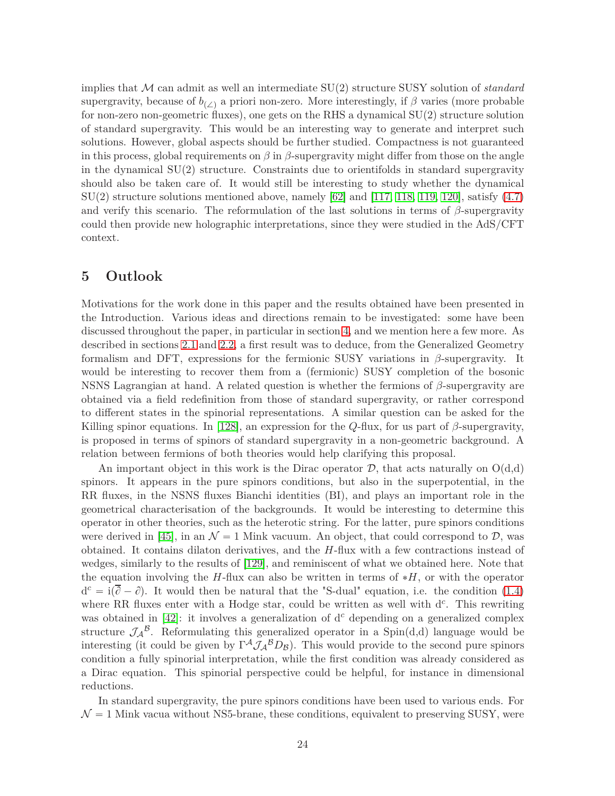implies that M can admit as well an intermediate SU(2) structure SUSY solution of *standard* supergravity, because of  $b_{\ell\ell}$  a priori non-zero. More interestingly, if  $\beta$  varies (more probable for non-zero non-geometric fluxes), one gets on the RHS a dynamical SU(2) structure solution of standard supergravity. This would be an interesting way to generate and interpret such solutions. However, global aspects should be further studied. Compactness is not guaranteed in this process, global requirements on  $\beta$  in  $\beta$ -supergravity might differ from those on the angle in the dynamical SU(2) structure. Constraints due to orientifolds in standard supergravity should also be taken care of. It would still be interesting to study whether the dynamical  $SU(2)$  structure solutions mentioned above, namely [\[62\]](#page-38-9) and [\[117,](#page-41-9) [118,](#page-41-10) [119,](#page-41-11) [120\]](#page-41-12), satisfy  $(4.7)$ and verify this scenario. The reformulation of the last solutions in terms of  $\beta$ -supergravity could then provide new holographic interpretations, since they were studied in the AdS/CFT context.

# <span id="page-23-0"></span>**5 Outlook**

Motivations for the work done in this paper and the results obtained have been presented in the Introduction. Various ideas and directions remain to be investigated: some have been discussed throughout the paper, in particular in section [4,](#page-17-0) and we mention here a few more. As described in sections [2.1](#page-6-1) and [2.2,](#page-7-0) a first result was to deduce, from the Generalized Geometry formalism and DFT, expressions for the fermionic SUSY variations in *β*-supergravity. It would be interesting to recover them from a (fermionic) SUSY completion of the bosonic NSNS Lagrangian at hand. A related question is whether the fermions of *β*-supergravity are obtained via a field redefinition from those of standard supergravity, or rather correspond to different states in the spinorial representations. A similar question can be asked for the Killing spinor equations. In [\[128\]](#page-42-7), an expression for the *Q*-flux, for us part of  $\beta$ -supergravity, is proposed in terms of spinors of standard supergravity in a non-geometric background. A relation between fermions of both theories would help clarifying this proposal.

An important object in this work is the Dirac operator  $\mathcal{D}$ , that acts naturally on  $O(d,d)$ spinors. It appears in the pure spinors conditions, but also in the superpotential, in the RR fluxes, in the NSNS fluxes Bianchi identities (BI), and plays an important role in the geometrical characterisation of the backgrounds. It would be interesting to determine this operator in other theories, such as the heterotic string. For the latter, pure spinors conditions were derived in [\[45\]](#page-37-9), in an  $\mathcal{N} = 1$  Mink vacuum. An object, that could correspond to  $\mathcal{D}$ , was obtained. It contains dilaton derivatives, and the *H*-flux with a few contractions instead of wedges, similarly to the results of [\[129\]](#page-42-8), and reminiscent of what we obtained here. Note that the equation involving the  $H$ -flux can also be written in terms of  $*H$ , or with the operator  $d^c = i(\overline{\partial} - \partial)$ . It would then be natural that the "S-dual" equation, i.e. the condition [\(1.4\)](#page-3-1) where RR fluxes enter with a Hodge star, could be written as well with  $d^c$ . This rewriting was obtained in [\[42\]](#page-37-6): it involves a generalization of d<sup>c</sup> depending on a generalized complex structure  $\mathcal{J}_{\mathcal{A}}^{\mathcal{B}}$ . Reformulating this generalized operator in a Spin(d,d) language would be interesting (it could be given by  $\Gamma^{\mathcal{A}} \mathcal{J}_{\mathcal{A}}{}^{\mathcal{B}}D_{\mathcal{B}}$ ). This would provide to the second pure spinors condition a fully spinorial interpretation, while the first condition was already considered as a Dirac equation. This spinorial perspective could be helpful, for instance in dimensional reductions.

In standard supergravity, the pure spinors conditions have been used to various ends. For  $\mathcal{N} = 1$  Mink vacua without NS5-brane, these conditions, equivalent to preserving SUSY, were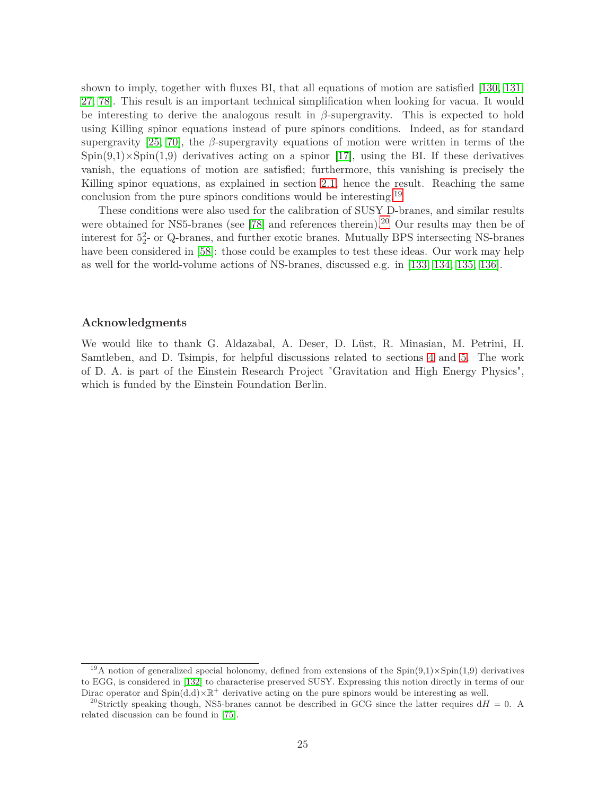shown to imply, together with fluxes BI, that all equations of motion are satisfied [\[130,](#page-42-9) [131,](#page-42-10) [27,](#page-36-9) [78\]](#page-39-7). This result is an important technical simplification when looking for vacua. It would be interesting to derive the analogous result in *β*-supergravity. This is expected to hold using Killing spinor equations instead of pure spinors conditions. Indeed, as for standard supergravity [\[25,](#page-36-7) [70\]](#page-38-17), the *β*-supergravity equations of motion were written in terms of the  $Spin(9,1)\times Spin(1,9)$  derivatives acting on a spinor [\[17\]](#page-35-16), using the BI. If these derivatives vanish, the equations of motion are satisfied; furthermore, this vanishing is precisely the Killing spinor equations, as explained in section [2.1,](#page-6-1) hence the result. Reaching the same conclusion from the pure spinors conditions would be interesting.<sup>[19](#page-24-0)</sup>

These conditions were also used for the calibration of SUSY D-branes, and similar results were obtained for NS5-branes (see [\[78\]](#page-39-7) and references therein).<sup>[20](#page-24-1)</sup> Our results may then be of interest for 5<sup>2</sup>- or Q-branes, and further exotic branes. Mutually BPS intersecting NS-branes have been considered in [\[58\]](#page-38-5): those could be examples to test these ideas. Our work may help as well for the world-volume actions of NS-branes, discussed e.g. in [\[133,](#page-42-11) [134,](#page-42-12) [135,](#page-42-13) [136\]](#page-42-14).

#### **Acknowledgments**

We would like to thank G. Aldazabal, A. Deser, D. Lüst, R. Minasian, M. Petrini, H. Samtleben, and D. Tsimpis, for helpful discussions related to sections [4](#page-17-0) and [5.](#page-23-0) The work of D. A. is part of the Einstein Research Project "Gravitation and High Energy Physics", which is funded by the Einstein Foundation Berlin.

<span id="page-24-0"></span><sup>&</sup>lt;sup>19</sup>A notion of generalized special holonomy, defined from extensions of the  $Spin(9,1)\times Spin(1,9)$  derivatives to EGG, is considered in [\[132\]](#page-42-15) to characterise preserved SUSY. Expressing this notion directly in terms of our Dirac operator and  $Spin(d,d)\times\mathbb{R}^+$  derivative acting on the pure spinors would be interesting as well.

<span id="page-24-1"></span><sup>&</sup>lt;sup>20</sup>Strictly speaking though, NS5-branes cannot be described in GCG since the latter requires  $dH = 0$ . A related discussion can be found in [\[75\]](#page-39-4).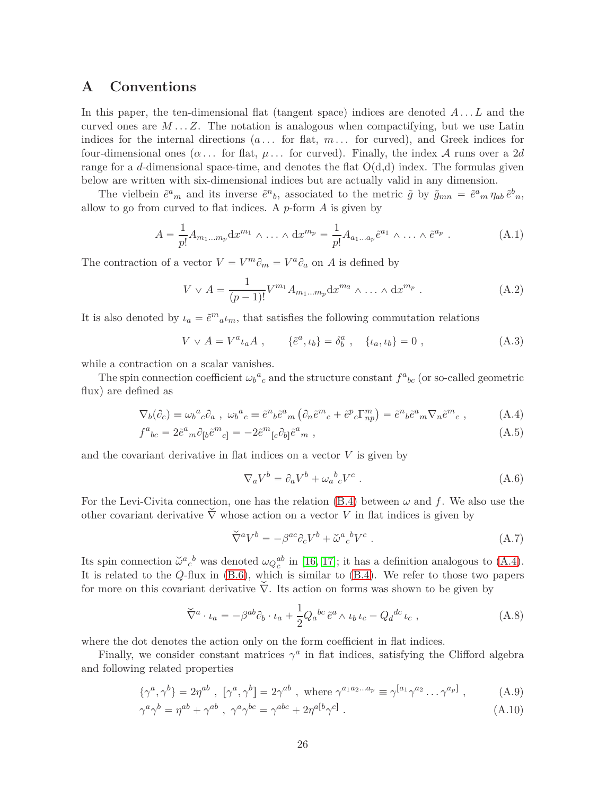# <span id="page-25-0"></span>**A Conventions**

In this paper, the ten-dimensional flat (tangent space) indices are denoted *A . . . L* and the curved ones are  $M \dots Z$ . The notation is analogous when compactifying, but we use Latin indices for the internal directions  $(a \dots$  for flat,  $m \dots$  for curved), and Greek indices for four-dimensional ones  $(\alpha \dots)$  for flat,  $\mu \dots$  for curved). Finally, the index A runs over a 2*d* range for a *d*-dimensional space-time, and denotes the flat  $O(d,d)$  index. The formulas given below are written with six-dimensional indices but are actually valid in any dimension.

The vielbein  $\tilde{e}^a{}_m$  and its inverse  $\tilde{e}^n{}_b$ , associated to the metric  $\tilde{g}$  by  $\tilde{g}_{mn} = \tilde{e}^a{}_m \eta_{ab} \tilde{e}^b{}_n$ , allow to go from curved to flat indices. A *p*-form *A* is given by

$$
A = \frac{1}{p!} A_{m_1 \dots m_p} dx^{m_1} \wedge \dots \wedge dx^{m_p} = \frac{1}{p!} A_{a_1 \dots a_p} \tilde{e}^{a_1} \wedge \dots \wedge \tilde{e}^{a_p} . \tag{A.1}
$$

The contraction of a vector  $V = V^m \partial_m = V^a \partial_a$  on *A* is defined by

$$
V \vee A = \frac{1}{(p-1)!} V^{m_1} A_{m_1...m_p} dx^{m_2} \wedge \dots \wedge dx^{m_p} . \tag{A.2}
$$

It is also denoted by  $\iota_a = \tilde{e}^m{}_{a} \iota_m$ , that satisfies the following commutation relations

$$
V \vee A = V^a \iota_a A \;, \qquad \{\tilde{e}^a, \iota_b\} = \delta^a_b \;, \quad \{\iota_a, \iota_b\} = 0 \;, \tag{A.3}
$$

while a contraction on a scalar vanishes.

The spin connection coefficient  $\omega_b^a{}_c$  and the structure constant  $f^a{}_{bc}$  (or so-called geometric flux) are defined as

$$
\nabla_b(\partial_c) \equiv \omega_b{}^a{}_c \partial_a \ , \ \omega_b{}^a{}_c \equiv \tilde{e}^n{}_b \tilde{e}^a{}_m \left( \partial_n \tilde{e}^m{}_c + \tilde{e}^p{}_c \Gamma^m_{np} \right) = \tilde{e}^n{}_b \tilde{e}^a{}_m \nabla_n \tilde{e}^m{}_c \ , \tag{A.4}
$$

$$
f^{a}{}_{bc} = 2\tilde{e}^{a}{}_{m}\partial_{\lbrack b}\tilde{e}^{m}{}_{c]} = -2\tilde{e}^{m}{}_{[c}\partial_{b]} \tilde{e}^{a}{}_{m} , \qquad (A.5)
$$

and the covariant derivative in flat indices on a vector *V* is given by

<span id="page-25-2"></span>
$$
\nabla_a V^b = \partial_a V^b + \omega_a{}^b{}_c V^c \ . \tag{A.6}
$$

For the Levi-Civita connection, one has the relation  $(B.4)$  between  $\omega$  and f. We also use the other covariant derivative  $\check{\nabla}$  whose action on a vector *V* in flat indices is given by

<span id="page-25-1"></span>
$$
\check{\nabla}^a V^b = -\beta^{ac} \partial_c V^b + \check{\omega}^a{}_c{}^b V^c \ . \tag{A.7}
$$

Its spin connection  $\check{\omega}^a{}_c{}^b$  was denoted  $\omega_Q{}^{ab}_{c}$  in [\[16,](#page-35-15) [17\]](#page-35-16); it has a definition analogous to [\(A.4\)](#page-25-2). It is related to the *Q*-flux in [\(B.6\)](#page-26-2), which is similar to [\(B.4\)](#page-26-3). We refer to those two papers for more on this covariant derivative  $\check{\nabla}$ . Its action on forms was shown to be given by

$$
\check{\nabla}^a \cdot \iota_a = -\beta^{ab} \partial_b \cdot \iota_a + \frac{1}{2} Q_a{}^{bc} \tilde{e}^a \wedge \iota_b \iota_c - Q_d{}^{dc} \iota_c , \qquad (A.8)
$$

where the dot denotes the action only on the form coefficient in flat indices.

Finally, we consider constant matrices  $\gamma^a$  in flat indices, satisfying the Clifford algebra and following related properties

$$
\{\gamma^a, \gamma^b\} = 2\eta^{ab} , \ [\gamma^a, \gamma^b] = 2\gamma^{ab} , \text{ where } \gamma^{a_1 a_2 \dots a_p} \equiv \gamma^{[a_1} \gamma^{a_2} \dots \gamma^{a_p]}, \tag{A.9}
$$

$$
\gamma^a \gamma^b = \eta^{ab} + \gamma^{ab} , \ \gamma^a \gamma^{bc} = \gamma^{abc} + 2\eta^{a[b} \gamma^{c]} . \tag{A.10}
$$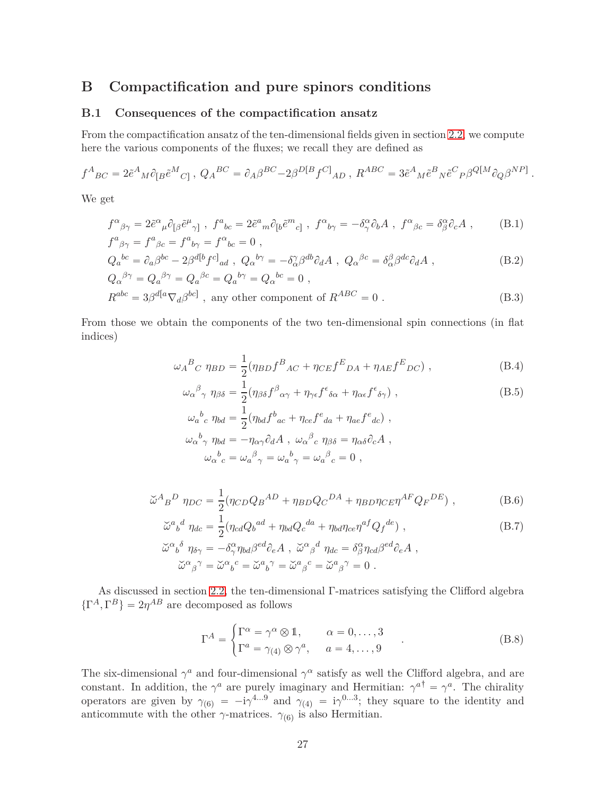# <span id="page-26-1"></span><span id="page-26-0"></span>**B Compactification and pure spinors conditions**

#### **B.1 Consequences of the compactification ansatz**

From the compactification ansatz of the ten-dimensional fields given in section [2.2,](#page-7-0) we compute here the various components of the fluxes; we recall they are defined as

$$
f^{A}{}_{BC} = 2\tilde{e}^{A}{}_{M}\partial_{\lbrack B}\tilde{e}^{M}{}_{C\rbrack},\ Q_{A}{}^{BC} = \partial_{A}\beta^{BC} - 2\beta^{D\lbrack B}f^{C\rbrack}{}_{AD}\ ,\ R^{ABC} = 3\tilde{e}^{A}{}_{M}\tilde{e}^{B}{}_{N}\tilde{e}^{C}{}_{P}\beta^{Q\lbrack M}\partial_{Q}\beta^{NP\rbrack}
$$

We get

$$
f^{\alpha}{}_{\beta\gamma} = 2\tilde{e}^{\alpha}{}_{\mu}\partial_{[\beta}\tilde{e}^{\mu}{}_{\gamma]} , \ f^a{}_{bc} = 2\tilde{e}^a{}_{m}\partial_{[b}\tilde{e}^m{}_{c]} , \ f^{\alpha}{}_{b\gamma} = -\delta^{\alpha}_{\gamma}\partial_b A , \ f^{\alpha}{}_{\beta c} = \delta^{\alpha}_{\beta}\partial_c A ,
$$
 (B.1)  

$$
f^a{}_{\beta\gamma} = f^a{}_{\beta c} = f^a{}_{b\gamma} = f^{\alpha}{}_{bc} = 0 ,
$$

$$
Q_a{}^{bc} = \partial_a \beta^{bc} - 2\beta^{d[b} f^{c]}{}_{ad} , Q_a{}^{b\gamma} = -\delta^{\gamma}_{\alpha} \beta^{db} \partial_d A , Q_{\alpha}{}^{\beta c} = \delta^{\beta}_{\alpha} \beta^{dc} \partial_d A , \qquad (B.2)
$$

$$
Q_{\alpha}{}^{\beta\gamma} = Q_{a}{}^{\beta\gamma} = Q_{a}{}^{\beta c} = Q_{a}{}^{b\gamma} = Q_{\alpha}{}^{bc} = 0 ,
$$
  
\n
$$
R^{abc} = 3\beta^{d[a}\nabla_{d}\beta^{bc]},
$$
 any other component of  $R^{ABC} = 0$ . (B.3)

From those we obtain the components of the two ten-dimensional spin connections (in flat indices)

$$
\omega_A{}^B{}_C \eta_{BD} = \frac{1}{2} (\eta_{BD} f^B{}_{AC} + \eta_{CE} f^E{}_{DA} + \eta_{AE} f^E{}_{DC}) \;, \tag{B.4}
$$

<span id="page-26-3"></span><span id="page-26-2"></span>*.*

$$
\omega_{\alpha}{}^{\beta}{}_{\gamma} \eta_{\beta\delta} = \frac{1}{2} (\eta_{\beta\delta} f^{\beta}{}_{\alpha\gamma} + \eta_{\gamma\epsilon} f^{\epsilon}{}_{\delta\alpha} + \eta_{\alpha\epsilon} f^{\epsilon}{}_{\delta\gamma}) , \qquad (B.5)
$$

$$
\omega_a{}^b{}_c \eta_{bd} = \frac{1}{2} (\eta_{bd} f^b{}_{ac} + \eta_{ce} f^e{}_{da} + \eta_{ae} f^e{}_{dc}) ,
$$
  

$$
\omega_\alpha{}^b{}_{\gamma} \eta_{bd} = -\eta_{\alpha\gamma} \partial_d A , \omega_\alpha{}^\beta{}_c \eta_{\beta\delta} = \eta_{\alpha\delta} \partial_c A ,
$$
  

$$
\omega_\alpha{}^b{}_c = \omega_a{}^\beta{}_{\gamma} = \omega_a{}^b{}_{\gamma} = \omega_a{}^\beta{}_c = 0 ,
$$

$$
\check{\omega}^A{}_B{}^D \eta_{DC} = \frac{1}{2} (\eta_{CD} Q_B{}^{AD} + \eta_{BD} Q_C{}^{DA} + \eta_{BD} \eta_{CE} \eta^{AF} Q_F{}^{DE}), \qquad (B.6)
$$

$$
\tilde{\omega}^{a}{}_{b}{}^{d} \eta_{dc} = \frac{1}{2} (\eta_{cd} Q_{b}{}^{ad} + \eta_{bd} Q_{c}{}^{da} + \eta_{bd} \eta_{ce} \eta^{af} Q_{f}{}^{de}),
$$
\n
$$
\tilde{\omega}^{\alpha}{}_{b}{}^{\delta} \eta_{\delta\gamma} = -\delta^{\alpha}_{\gamma} \eta_{bd} \beta^{ed} \partial_{e} A , \ \tilde{\omega}^{\alpha}{}_{\beta}{}^{d} \eta_{dc} = \delta^{\alpha}_{\beta} \eta_{cd} \beta^{ed} \partial_{e} A ,
$$
\n
$$
\tilde{\omega}^{\alpha}{}_{\beta}{}^{\gamma} = \tilde{\omega}^{\alpha}{}_{b}{}^{c} = \tilde{\omega}^{a}{}_{b}{}^{\gamma} = \tilde{\omega}^{\alpha}{}_{\beta}{}^{c} = \tilde{\omega}^{\alpha}{}_{\beta}{}^{\gamma} = 0 .
$$
\n(B.7)

As discussed in section [2.2,](#page-7-0) the ten-dimensional Γ-matrices satisfying the Clifford algebra  $\{\Gamma^A, \Gamma^B\} = 2\eta^{AB}$  are decomposed as follows

$$
\Gamma^{A} = \begin{cases} \Gamma^{\alpha} = \gamma^{\alpha} \otimes \mathbb{1}, & \alpha = 0, \dots, 3 \\ \Gamma^{a} = \gamma_{(4)} \otimes \gamma^{a}, & a = 4, \dots, 9 \end{cases}
$$
 (B.8)

The six-dimensional  $\gamma^a$  and four-dimensional  $\gamma^\alpha$  satisfy as well the Clifford algebra, and are constant. In addition, the  $\gamma^a$  are purely imaginary and Hermitian:  $\gamma^{a\dagger} = \gamma^a$ . The chirality operators are given by  $\gamma_{(6)} = -i\gamma^{4...9}$  and  $\gamma_{(4)} = i\gamma^{0...3}$ ; they square to the identity and anticommute with the other  $\gamma$ -matrices.  $\gamma_{(6)}$  is also Hermitian.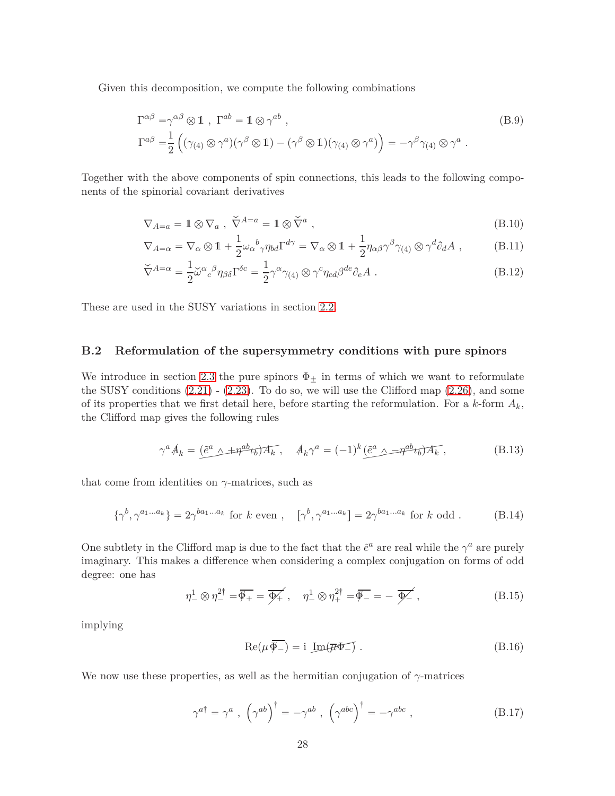Given this decomposition, we compute the following combinations

$$
\Gamma^{\alpha\beta} = \gamma^{\alpha\beta} \otimes \mathbb{1} , \Gamma^{ab} = \mathbb{1} \otimes \gamma^{ab} ,
$$
\n
$$
\Gamma^{a\beta} = \frac{1}{2} \left( (\gamma_{(4)} \otimes \gamma^a)(\gamma^\beta \otimes \mathbb{1}) - (\gamma^\beta \otimes \mathbb{1})(\gamma_{(4)} \otimes \gamma^a) \right) = -\gamma^\beta \gamma_{(4)} \otimes \gamma^a .
$$
\n(B.9)

Together with the above components of spin connections, this leads to the following components of the spinorial covariant derivatives

$$
\nabla_{A=a} = 1 \otimes \nabla_a , \ \check{\nabla}^{A=a} = 1 \otimes \check{\nabla}^a , \tag{B.10}
$$

$$
\nabla_{A=\alpha} = \nabla_{\alpha} \otimes 1 + \frac{1}{2} \omega_{\alpha}{}^{b}{}_{\gamma} \eta_{bd} \Gamma^{d\gamma} = \nabla_{\alpha} \otimes 1 + \frac{1}{2} \eta_{\alpha\beta} \gamma^{\beta} \gamma_{(4)} \otimes \gamma^{d} \partial_{d} A , \qquad (B.11)
$$

$$
\check{\nabla}^{A=\alpha} = \frac{1}{2} \check{\omega}^{\alpha}{}_{c}{}^{\beta} \eta_{\beta \delta} \Gamma^{\delta c} = \frac{1}{2} \gamma^{\alpha} \gamma_{(4)} \otimes \gamma^{c} \eta_{cd} \beta^{de} \partial_{e} A . \tag{B.12}
$$

These are used in the SUSY variations in section [2.2.](#page-7-0)

#### <span id="page-27-0"></span>**B.2 Reformulation of the supersymmetry conditions with pure spinors**

We introduce in section [2.3](#page-10-0) the pure spinors  $\Phi_{\pm}$  in terms of which we want to reformulate the SUSY conditions [\(2.21\)](#page-10-3) - [\(2.23\)](#page-10-4). To do so, we will use the Clifford map [\(2.26\)](#page-11-3), and some of its properties that we first detail here, before starting the reformulation. For a  $k$ -form  $A_k$ , the Clifford map gives the following rules

$$
\gamma^a A_k = \left(\tilde{e}^a \wedge \pm \eta^{ab} t_b\right) A_k, \quad A_k \gamma^a = (-1)^k \left(\tilde{e}^a \wedge \pm \eta^{ab} t_b\right) A_k, \tag{B.13}
$$

that come from identities on *γ*-matrices, such as

$$
\{\gamma^b, \gamma^{a_1...a_k}\} = 2\gamma^{ba_1...a_k} \text{ for } k \text{ even }, \quad [\gamma^b, \gamma^{a_1...a_k}] = 2\gamma^{ba_1...a_k} \text{ for } k \text{ odd }.
$$
 (B.14)

One subtlety in the Clifford map is due to the fact that the  $\tilde{e}^a$  are real while the  $\gamma^a$  are purely imaginary. This makes a difference when considering a complex conjugation on forms of odd degree: one has

<span id="page-27-1"></span>
$$
\eta_{-}^{1} \otimes \eta_{-}^{2\dagger} = \overline{\Phi_{+}} = \overline{\Phi_{+}'}, \quad \eta_{-}^{1} \otimes \eta_{+}^{2\dagger} = \overline{\Phi_{-}} = -\overline{\Phi_{-}'}, \tag{B.15}
$$

implying

$$
\operatorname{Re}(\mu \overline{\Phi_{-}}) = i \operatorname{Im}(\overline{\mu} \Phi_{-}) . \tag{B.16}
$$

We now use these properties, as well as the hermitian conjugation of  $\gamma$ -matrices

$$
\gamma^{a\dagger} = \gamma^a , \left(\gamma^{ab}\right)^\dagger = -\gamma^{ab} , \left(\gamma^{abc}\right)^\dagger = -\gamma^{abc} , \qquad (B.17)
$$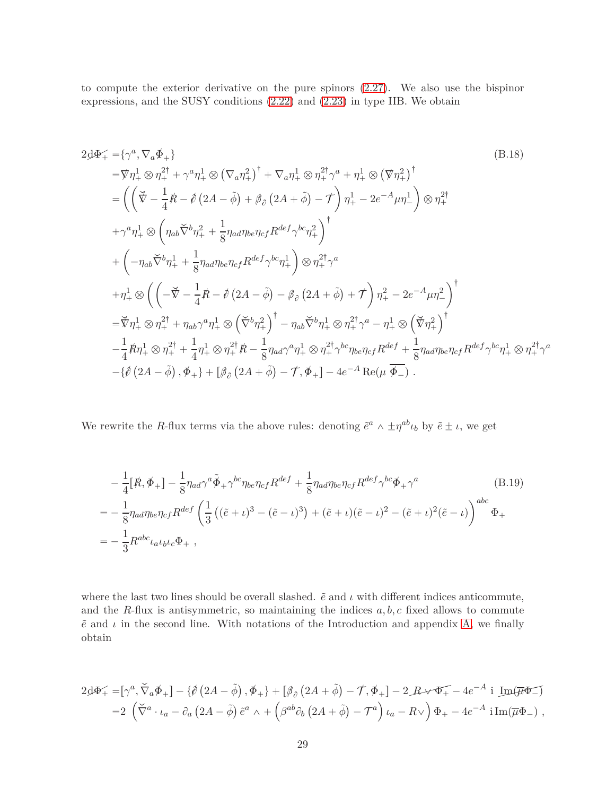to compute the exterior derivative on the pure spinors [\(2.27\)](#page-11-0). We also use the bispinor expressions, and the SUSY conditions [\(2.22\)](#page-10-5) and [\(2.23\)](#page-10-4) in type IIB. We obtain

<span id="page-28-1"></span>
$$
2d\Phi_{+} = \{\gamma^{a}, \nabla_{a}\Phi_{+}\}\
$$
\n
$$
= \nabla \eta_{+}^{1} \otimes \eta_{+}^{2\dagger} + \gamma^{a} \eta_{+}^{1} \otimes (\nabla_{a} \eta_{+}^{2})^{\dagger} + \nabla_{a} \eta_{+}^{1} \otimes \eta_{+}^{2\dagger} \gamma^{a} + \eta_{+}^{1} \otimes (\nabla \eta_{+}^{2})^{\dagger}
$$
\n
$$
= \left( \left( \nabla - \frac{1}{4} R - \hat{\rho} (2A - \tilde{\phi}) + \beta_{\partial} (2A + \tilde{\phi}) - \mathcal{T} \right) \eta_{+}^{1} - 2e^{-A} \mu \eta_{-}^{1} \right) \otimes \eta_{+}^{2\dagger}
$$
\n
$$
+ \gamma^{a} \eta_{+}^{1} \otimes \left( \eta_{ab} \nabla^{b} \eta_{+}^{2} + \frac{1}{8} \eta_{ad} \eta_{be} \eta_{cf} R^{def} \gamma^{bc} \eta_{+}^{2} \right)^{\dagger}
$$
\n
$$
+ \left( -\eta_{ab} \nabla^{b} \eta_{+}^{1} + \frac{1}{8} \eta_{ad} \eta_{be} \eta_{cf} R^{def} \gamma^{bc} \eta_{+}^{1} \right) \otimes \eta_{+}^{2\dagger} \gamma^{a}
$$
\n
$$
+ \eta_{+}^{1} \otimes \left( \left( -\nabla - \frac{1}{4} R - \hat{\rho} (2A - \tilde{\phi}) - \beta_{\partial} (2A + \tilde{\phi}) + \mathcal{T} \right) \eta_{+}^{2} - 2e^{-A} \mu \eta_{-}^{2} \right)^{\dagger}
$$
\n
$$
= \nabla \eta_{+}^{1} \otimes \eta_{+}^{2\dagger} + \eta_{ab} \gamma^{a} \eta_{+}^{1} \otimes \left( \nabla^{b} \eta_{+}^{2} \right)^{\dagger} - \eta_{ab} \nabla^{b} \eta_{+}^{1} \otimes \eta_{+}^{2\dagger} \gamma^{a} - \eta_{+}^{1} \otimes \left( \nabla \eta_{+}^{2} \right)^{\dagger}
$$
\n
$$
- \frac{1}{4} R \eta_{+}^{
$$

We rewrite the *R*-flux terms via the above rules: denoting  $\tilde{e}^a \wedge \pm \eta^{ab} \iota_b$  by  $\tilde{e} \pm \iota$ , we get

<span id="page-28-0"></span>
$$
-\frac{1}{4}[\mathbf{\mathcal{R}}, \Phi_{+}] - \frac{1}{8}\eta_{ad}\gamma^{a}\tilde{\Phi}_{+}\gamma^{bc}\eta_{be}\eta_{cf}R^{def} + \frac{1}{8}\eta_{ad}\eta_{be}\eta_{cf}R^{def}\gamma^{bc}\Phi_{+}\gamma^{a}
$$
(B.19)  

$$
=-\frac{1}{8}\eta_{ad}\eta_{be}\eta_{cf}R^{def}\left(\frac{1}{3}((\tilde{e}+\iota)^{3}-(\tilde{e}-\iota)^{3})+(\tilde{e}+\iota)(\tilde{e}-\iota)^{2}-(\tilde{e}+\iota)^{2}(\tilde{e}-\iota)\right)^{abc}\Phi_{+}
$$

$$
=-\frac{1}{3}R^{abc}\iota_{a}\iota_{b}\iota_{c}\Phi_{+},
$$

where the last two lines should be overall slashed.  $\tilde{e}$  and  $\iota$  with different indices anticommute, and the *R*-flux is antisymmetric, so maintaining the indices  $a, b, c$  fixed allows to commute  $\tilde{e}$  and  $\iota$  in the second line. With notations of the Introduction and appendix [A,](#page-25-0) we finally obtain

$$
2\mathcal{A}\Phi_{+} = [\gamma^{a}, \breve{\nabla}_{a}\Phi_{+}] - \{\mathcal{O}(2A - \tilde{\phi}), \Phi_{+}\} + [\beta_{\partial}(2A + \tilde{\phi}) - \mathcal{T}, \Phi_{+}] - 2 \mathcal{B} \mathcal{B} \Phi_{+} - 4e^{-A} \text{ i } \underline{\text{Im}}(\overline{\mu}\Phi_{-})
$$
  
= 2  $(\breve{\nabla}^{a} \cdot \iota_{a} - \partial_{a}(2A - \tilde{\phi})\tilde{e}^{a} \wedge + (\beta^{ab}\partial_{b}(2A + \tilde{\phi}) - \mathcal{T}^{a})\iota_{a} - R \vee (\overline{\mu}^{a} - 4e^{-A}) \text{ i } \text{Im}(\overline{\mu}\Phi_{-}),$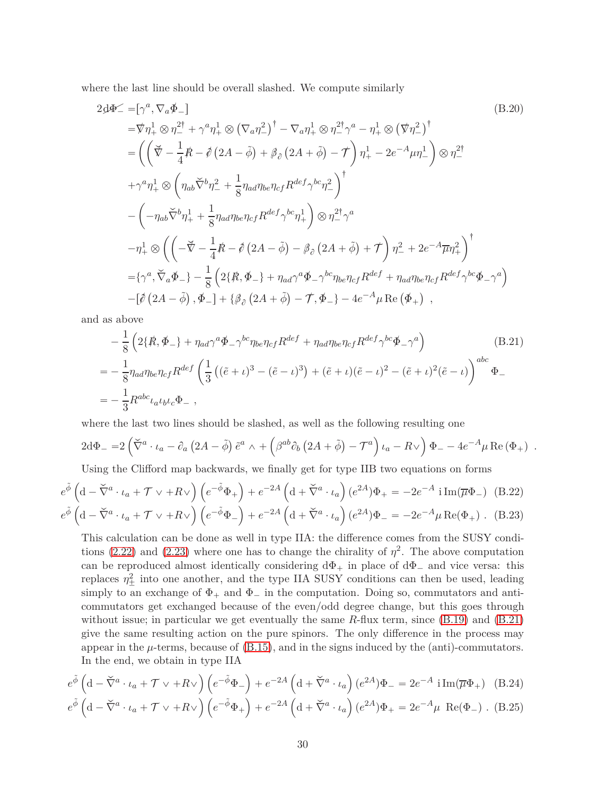where the last line should be overall slashed. We compute similarly

<span id="page-29-5"></span>
$$
2d\Phi \angle = [\gamma^a, \nabla_a \Phi_-\]
$$
\n
$$
= \nabla \eta_+^1 \otimes \eta_-^{2\dagger} + \gamma^a \eta_+^1 \otimes (\nabla_a \eta_-^2)^\dagger - \nabla_a \eta_+^1 \otimes \eta_-^{2\dagger} \gamma^a - \eta_+^1 \otimes (\nabla \eta_-^2)^\dagger
$$
\n
$$
= \left( \left( \vec{\nabla} - \frac{1}{4} \vec{R} - \vec{\phi} \left( 2A - \tilde{\phi} \right) + \beta_\partial \left( 2A + \tilde{\phi} \right) - \vec{\tau} \right) \eta_+^1 - 2e^{-A} \mu \eta_-^1 \right) \otimes \eta_-^{2\dagger}
$$
\n
$$
+ \gamma^a \eta_+^1 \otimes \left( \eta_{ab} \vec{\nabla}^b \eta_-^2 + \frac{1}{8} \eta_{ad} \eta_{bc} \eta_{cf} R^{def} \gamma^{bc} \eta_-^2 \right)^\dagger
$$
\n
$$
- \left( -\eta_{ab} \vec{\nabla}^b \eta_+^1 + \frac{1}{8} \eta_{ad} \eta_{bc} \eta_{cf} R^{def} \gamma^{bc} \eta_+^1 \right) \otimes \eta_-^{2\dagger} \gamma^a
$$
\n
$$
- \eta_+^1 \otimes \left( \left( -\vec{\nabla} - \frac{1}{4} \vec{R} - \vec{\phi} \left( 2A - \tilde{\phi} \right) - \beta_\partial \left( 2A + \tilde{\phi} \right) + \vec{\tau} \right) \eta_-^2 + 2e^{-A} \overline{\mu} \eta_+^2 \right)^\dagger
$$
\n
$$
= \{\gamma^a, \vec{\nabla}_a \Phi_-\} - \frac{1}{8} \left( 2\{\vec{R}, \Phi_-\} + \eta_{ad} \gamma^a \Phi_- \gamma^{bc} \eta_{bc} \eta_{cf} R^{def} + \eta_{ad} \eta_{bc} \eta_{cf} R^{def} \gamma^{bc} \Phi_- \gamma^a \right)
$$
\n
$$
- \left[ \vec{\phi} \left( 2A - \tilde{\phi} \right), \Phi_- \right] + \left\{ \beta_\partial \left( 2A + \tilde{\phi} \right) - \vec{\tau}, \Phi_- \right
$$

and as above

<span id="page-29-0"></span>
$$
-\frac{1}{8}\left(2\{\mathring{R},\Phi_{-}\}+\eta_{ad}\gamma^{a}\Phi_{-}\gamma^{bc}\eta_{be}\eta_{cf}R^{def}+\eta_{ad}\eta_{be}\eta_{cf}R^{def}\gamma^{bc}\Phi_{-}\gamma^{a}\right)
$$
(B.21)  
=
$$
-\frac{1}{8}\eta_{ad}\eta_{be}\eta_{cf}R^{def}\left(\frac{1}{3}\left((\tilde{e}+\iota)^{3}-(\tilde{e}-\iota)^{3}\right)+(\tilde{e}+\iota)(\tilde{e}-\iota)^{2}-(\tilde{e}+\iota)^{2}(\tilde{e}-\iota)\right)^{abc}\Phi_{-}
$$
  
=
$$
-\frac{1}{3}R^{abc}\iota_{a}\iota_{b}\iota_{c}\Phi_{-},
$$

where the last two lines should be slashed, as well as the following resulting one

$$
2\mathrm{d}\Phi_{-} = 2\left(\breve{\nabla}^{a}\cdot\iota_{a}-\partial_{a}\left(2A-\tilde{\phi}\right)\tilde{e}^{a}\wedge+\left(\beta^{ab}\partial_{b}\left(2A+\tilde{\phi}\right)-\mathcal{T}^{a}\right)\iota_{a}-R\vee\right)\Phi_{-} - 4e^{-A}\mu\operatorname{Re}\left(\Phi_{+}\right) .
$$

<span id="page-29-3"></span><span id="page-29-1"></span>Using the Clifford map backwards, we finally get for type IIB two equations on forms

$$
e^{\tilde{\phi}} \left( \mathrm{d} - \check{\nabla}^a \cdot \iota_a + \mathcal{T} \vee + R \vee \right) \left( e^{-\tilde{\phi}} \Phi_+ \right) + e^{-2A} \left( \mathrm{d} + \check{\nabla}^a \cdot \iota_a \right) (e^{2A}) \Phi_+ = -2e^{-A} i \operatorname{Im}(\overline{\mu} \Phi_-) \tag{B.22}
$$
  

$$
e^{\tilde{\phi}} \left( \mathrm{d} - \check{\nabla}^a \cdot \iota_a + \mathcal{T} \vee + R \vee \right) \left( e^{-\tilde{\phi}} \Phi_- \right) + e^{-2A} \left( \mathrm{d} + \check{\nabla}^a \cdot \iota_a \right) (e^{2A}) \Phi_- = -2e^{-A} \mu \operatorname{Re}(\Phi_+) \tag{B.23}
$$

This calculation can be done as well in type IIA: the difference comes from the SUSY condi-tions [\(2.22\)](#page-10-5) and [\(2.23\)](#page-10-4) where one has to change the chirality of  $\eta^2$ . The above computation can be reproduced almost identically considering  $d\Phi_+$  in place of  $d\Phi_-$  and vice versa: this replaces  $\eta_{\pm}^2$  into one another, and the type IIA SUSY conditions can then be used, leading simply to an exchange of  $\Phi_+$  and  $\Phi_-$  in the computation. Doing so, commutators and anticommutators get exchanged because of the even/odd degree change, but this goes through without issue; in particular we get eventually the same *R*-flux term, since [\(B.19\)](#page-28-0) and [\(B.21\)](#page-29-0) give the same resulting action on the pure spinors. The only difference in the process may appear in the  $\mu$ -terms, because of  $(B.15)$ , and in the signs induced by the (anti)-commutators. In the end, we obtain in type IIA

<span id="page-29-4"></span><span id="page-29-2"></span>
$$
e^{\tilde{\phi}} \left( \mathrm{d} - \tilde{\nabla}^a \cdot \iota_a + \mathcal{T} \vee + R \vee \right) \left( e^{-\tilde{\phi}} \Phi_- \right) + e^{-2A} \left( \mathrm{d} + \tilde{\nabla}^a \cdot \iota_a \right) (e^{2A}) \Phi_- = 2e^{-A} \mathrm{i} \operatorname{Im}(\overline{\mu} \Phi_+) \quad \text{(B.24)}
$$
  

$$
e^{\tilde{\phi}} \left( \mathrm{d} - \tilde{\nabla}^a \cdot \iota_a + \mathcal{T} \vee + R \vee \right) \left( e^{-\tilde{\phi}} \Phi_+ \right) + e^{-2A} \left( \mathrm{d} + \tilde{\nabla}^a \cdot \iota_a \right) (e^{2A}) \Phi_+ = 2e^{-A} \mu \operatorname{Re}(\Phi_-) \quad \text{(B.25)}
$$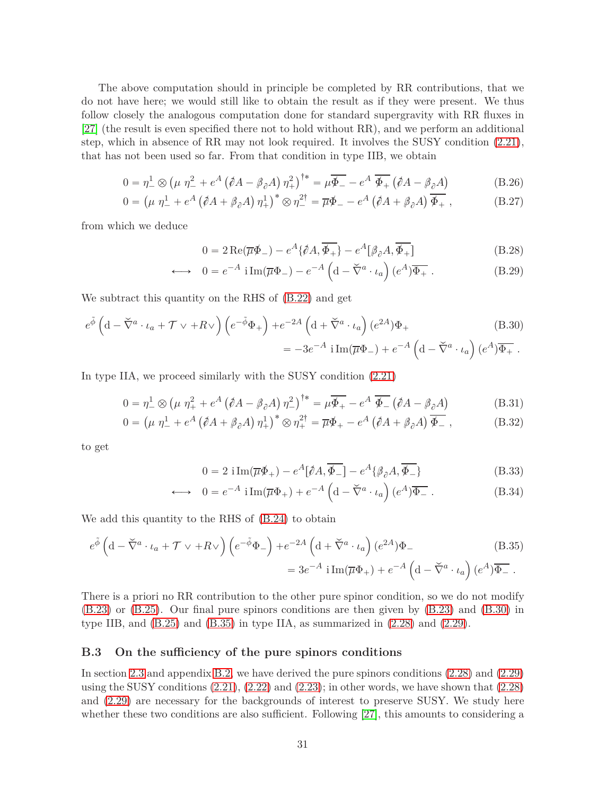The above computation should in principle be completed by RR contributions, that we do not have here; we would still like to obtain the result as if they were present. We thus follow closely the analogous computation done for standard supergravity with RR fluxes in [\[27\]](#page-36-9) (the result is even specified there not to hold without RR), and we perform an additional step, which in absence of RR may not look required. It involves the SUSY condition [\(2.21\)](#page-10-3), that has not been used so far. From that condition in type IIB, we obtain

$$
0 = \eta_{-}^{1} \otimes \left(\mu \eta_{-}^{2} + e^{A} \left(\partial A - \beta_{\partial} A\right) \eta_{+}^{2}\right)^{\dagger *} = \mu \overline{\Phi_{-}} - e^{A} \overline{\Phi_{+}} \left(\partial A - \beta_{\partial} A\right)
$$
(B.26)

$$
0 = \left(\mu \eta_-^1 + e^A \left(\partial A + \beta_\partial A\right) \eta_+^1\right)^* \otimes \eta_-^{2\dagger} = \overline{\mu} \Phi_- - e^A \left(\partial A + \beta_\partial A\right) \overline{\Phi_+} \,,\tag{B.27}
$$

from which we deduce

<span id="page-30-3"></span><span id="page-30-1"></span>
$$
0 = 2 \operatorname{Re}(\overline{\mu}\phi_{-}) - e^{A} \{\partial A, \overline{\phi_{+}}\} - e^{A} [\beta_{\partial} A, \overline{\phi_{+}}]
$$
(B.28)

$$
\longleftrightarrow 0 = e^{-A} \operatorname{i} \operatorname{Im}(\overline{\mu} \Phi_{-}) - e^{-A} \left( d - \breve{\nabla}^{a} \cdot \iota_{a} \right) (e^{A}) \overline{\Phi_{+}} . \tag{B.29}
$$

We subtract this quantity on the RHS of [\(B.22\)](#page-29-1) and get

$$
e^{\tilde{\phi}} \left( d - \tilde{\nabla}^a \cdot \iota_a + \mathcal{T} \vee + R \vee \right) \left( e^{-\tilde{\phi}} \Phi_+ \right) + e^{-2A} \left( d + \tilde{\nabla}^a \cdot \iota_a \right) (e^{2A}) \Phi_+ \tag{B.30}
$$

$$
= -3e^{-A} i \operatorname{Im}(\overline{\mu} \Phi_-) + e^{-A} \left( d - \tilde{\nabla}^a \cdot \iota_a \right) (e^A) \overline{\Phi_+} \ .
$$

In type IIA, we proceed similarly with the SUSY condition [\(2.21\)](#page-10-3)

$$
0 = \eta_{-}^{1} \otimes \left(\mu \eta_{+}^{2} + e^{A} \left(\partial A - \beta_{\partial} A\right) \eta_{-}^{2}\right)^{\dagger} = \mu \overline{\Phi_{+}} - e^{A} \overline{\Phi_{-}} \left(\partial A - \beta_{\partial} A\right)
$$
(B.31)

$$
0 = \left(\mu \eta_-^1 + e^A \left(\partial A + \beta_\partial A\right) \eta_+^1\right)^* \otimes \eta_+^{2\dagger} = \overline{\mu} \Phi_+ - e^A \left(\partial A + \beta_\partial A\right) \overline{\Phi_-} \,,\tag{B.32}
$$

to get

<span id="page-30-2"></span>
$$
0 = 2 \operatorname{i} \operatorname{Im}(\overline{\mu} \phi_+) - e^A [\partial A, \overline{\phi_-}] - e^A \{\beta \partial A, \overline{\phi_-}\}\
$$
(B.33)

$$
\longleftrightarrow 0 = e^{-A} \operatorname{i} \operatorname{Im}(\overline{\mu} \Phi_{+}) + e^{-A} \left( d - \overline{\nabla}^{a} \cdot \iota_{a} \right) (e^{A}) \overline{\Phi_{-}} . \tag{B.34}
$$

We add this quantity to the RHS of [\(B.24\)](#page-29-2) to obtain

$$
e^{\tilde{\phi}} \left( d - \tilde{\nabla}^a \cdot \iota_a + \mathcal{T} \vee + R \vee \right) \left( e^{-\tilde{\phi}} \Phi_- \right) + e^{-2A} \left( d + \tilde{\nabla}^a \cdot \iota_a \right) (e^{2A}) \Phi_-
$$
\n
$$
= 3e^{-A} i \operatorname{Im}(\overline{\mu} \Phi_+) + e^{-A} \left( d - \tilde{\nabla}^a \cdot \iota_a \right) (e^A) \overline{\Phi_-}.
$$
\n(B.35)

There is a priori no RR contribution to the other pure spinor condition, so we do not modify [\(B.23\)](#page-29-3) or [\(B.25\)](#page-29-4). Our final pure spinors conditions are then given by [\(B.23\)](#page-29-3) and [\(B.30\)](#page-30-1) in type IIB, and  $(B.25)$  and  $(B.35)$  in type IIA, as summarized in  $(2.28)$  and  $(2.29)$ .

#### <span id="page-30-0"></span>**B.3 On the sufficiency of the pure spinors conditions**

In section [2.3](#page-10-0) and appendix [B.2,](#page-27-0) we have derived the pure spinors conditions [\(2.28\)](#page-11-1) and [\(2.29\)](#page-11-2) using the SUSY conditions  $(2.21)$ ,  $(2.22)$  and  $(2.23)$ ; in other words, we have shown that  $(2.28)$ and [\(2.29\)](#page-11-2) are necessary for the backgrounds of interest to preserve SUSY. We study here whether these two conditions are also sufficient. Following [\[27\]](#page-36-9), this amounts to considering a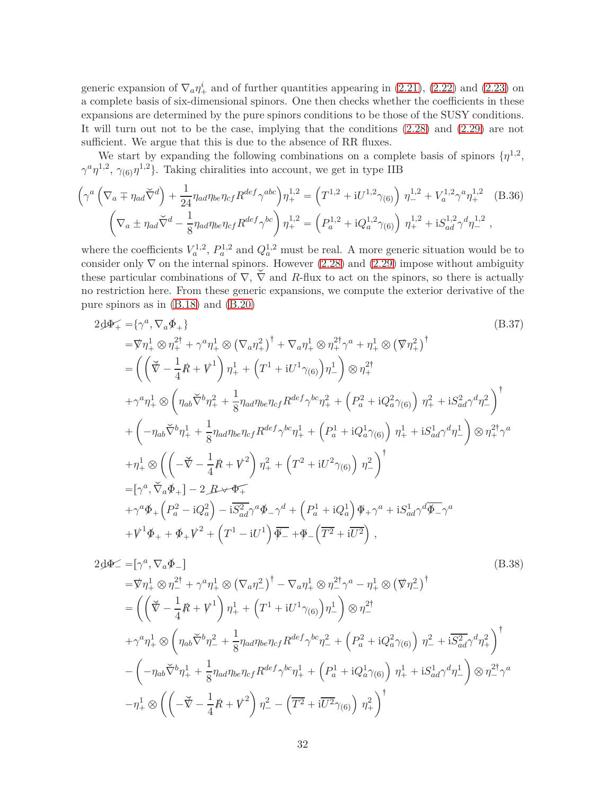generic expansion of  $\nabla_a \eta_+^i$  and of further quantities appearing in [\(2.21\)](#page-10-3), [\(2.22\)](#page-10-5) and [\(2.23\)](#page-10-4) on a complete basis of six-dimensional spinors. One then checks whether the coefficients in these expansions are determined by the pure spinors conditions to be those of the SUSY conditions. It will turn out not to be the case, implying that the conditions [\(2.28\)](#page-11-1) and [\(2.29\)](#page-11-2) are not sufficient. We argue that this is due to the absence of RR fluxes.

We start by expanding the following combinations on a complete basis of spinors  $\{\eta^{1,2},\eta^{1,2},\eta^{1,2}\}$  $\gamma^a \eta^{1,2}$ ,  $\gamma_{(6)} \eta^{1,2}$ . Taking chiralities into account, we get in type IIB

$$
\left(\gamma^{a}\left(\nabla_{a} \mp \eta_{ad}\breve{\nabla}^{d}\right) + \frac{1}{24}\eta_{ad}\eta_{be}\eta_{cf}R^{def}\gamma^{abc}\right)\eta_{+}^{1,2} = \left(T^{1,2} + iU^{1,2}\gamma_{(6)}\right)\eta_{-}^{1,2} + V_{a}^{1,2}\gamma^{a}\eta_{+}^{1,2} \quad (B.36)
$$

$$
\left(\nabla_{a} \pm \eta_{ad}\breve{\nabla}^{d} - \frac{1}{8}\eta_{ad}\eta_{be}\eta_{cf}R^{def}\gamma^{bc}\right)\eta_{+}^{1,2} = \left(P_{a}^{1,2} + iQ_{a}^{1,2}\gamma_{(6)}\right)\eta_{+}^{1,2} + iS_{ad}^{1,2}\gamma^{d}\eta_{-}^{1,2} \,,
$$

where the coefficients  $V_a^{1,2}$ ,  $P_a^{1,2}$  and  $Q_a^{1,2}$  must be real. A more generic situation would be to consider only  $\nabla$  on the internal spinors. However [\(2.28\)](#page-11-1) and [\(2.29\)](#page-11-2) impose without ambiguity these particular combinations of  $\nabla$ ,  $\check{\nabla}$  and *R*-flux to act on the spinors, so there is actually no restriction here. From these generic expansions, we compute the exterior derivative of the pure spinors as in [\(B.18\)](#page-28-1) and [\(B.20\)](#page-29-5)

<span id="page-31-1"></span>
$$
2\Phi_{+}^{2} = \{\gamma^{a}, \nabla_{a} \Phi_{+}\}\
$$
\n
$$
= \nabla \eta_{+}^{1} \otimes \eta_{+}^{2\dagger} + \gamma^{a} \eta_{+}^{1} \otimes (\nabla_{a} \eta_{+}^{2})^{\dagger} + \nabla_{a} \eta_{+}^{1} \otimes \eta_{+}^{2\dagger} \gamma^{a} + \eta_{+}^{1} \otimes (\nabla \eta_{+}^{2})^{\dagger}
$$
\n
$$
= \left( \left( \nabla - \frac{1}{4} \mathcal{R} + V^{1} \right) \eta_{+}^{1} + \left( T^{1} + iU^{1} \gamma_{(6)} \right) \eta_{-}^{1} \right) \otimes \eta_{+}^{2\dagger}
$$
\n
$$
+ \gamma^{a} \eta_{+}^{1} \otimes \left( \eta_{ab} \nabla^{b} \eta_{+}^{2} + \frac{1}{8} \eta_{ad} \eta_{be} \eta_{cf} R^{def} \gamma^{bc} \eta_{+}^{2} + \left( P_{a}^{2} + i Q_{a}^{2} \gamma_{(6)} \right) \eta_{+}^{2} + i S_{ad}^{2} \gamma^{d} \eta_{-}^{2} \right)^{\dagger}
$$
\n
$$
+ \left( -\eta_{ab} \nabla^{b} \eta_{+}^{1} + \frac{1}{8} \eta_{ad} \eta_{be} \eta_{cf} R^{def} \gamma^{bc} \eta_{+}^{1} + \left( P_{a}^{1} + i Q_{a}^{1} \gamma_{(6)} \right) \eta_{+}^{1} + i S_{ad}^{1} \gamma^{d} \eta_{-}^{1} \right) \otimes \eta_{+}^{2\dagger} \gamma^{a}
$$
\n
$$
+ \eta_{+}^{1} \otimes \left( \left( - \nabla - \frac{1}{4} \mathcal{R} + V^{2} \right) \eta_{+}^{2} + \left( T^{2} + i U^{2} \gamma_{(6)} \right) \eta_{-}^{2} \right)^{\dagger}
$$
\n
$$
= [\gamma^{a}, \nabla_{a} \Phi_{+}] - 2 \mathcal{R} \cdot \nabla \Phi_{+}
$$
\n
$$
+ \gamma^{a} \Phi_{+} \left( P_{a}^{2} - i Q_{a}^{2} \right
$$

<span id="page-31-0"></span>
$$
2d\Phi_{-} = [\gamma^{a}, \nabla_{a}\Phi_{-}]
$$
\n
$$
= \nabla \eta_{+}^{1} \otimes \eta_{-}^{2\dagger} + \gamma^{a} \eta_{+}^{1} \otimes (\nabla_{a} \eta_{-}^{2})^{\dagger} - \nabla_{a} \eta_{+}^{1} \otimes \eta_{-}^{2\dagger} \gamma^{a} - \eta_{+}^{1} \otimes (\nabla \eta_{-}^{2})^{\dagger}
$$
\n
$$
= \left( \left( \nabla - \frac{1}{4} R + V^{1} \right) \eta_{+}^{1} + \left( T^{1} + i U^{1} \gamma_{(6)} \right) \eta_{-}^{1} \right) \otimes \eta_{-}^{2\dagger}
$$
\n
$$
+ \gamma^{a} \eta_{+}^{1} \otimes \left( \eta_{ab} \nabla^{b} \eta_{-}^{2} + \frac{1}{8} \eta_{ad} \eta_{bc} \eta_{cf} R^{def} \gamma^{bc} \eta_{-}^{2} + \left( P_{a}^{2} + i Q_{a}^{2} \gamma_{(6)} \right) \eta_{-}^{2} + i \overline{S_{ad}^{2}} \gamma^{d} \eta_{+}^{2} \right)^{\dagger}
$$
\n
$$
- \left( -\eta_{ab} \nabla^{b} \eta_{+}^{1} + \frac{1}{8} \eta_{ad} \eta_{bc} \eta_{cf} R^{def} \gamma^{bc} \eta_{+}^{1} + \left( P_{a}^{1} + i Q_{a}^{1} \gamma_{(6)} \right) \eta_{+}^{1} + i S_{ad}^{1} \gamma^{d} \eta_{-}^{1} \right) \otimes \eta_{-}^{2\dagger} \gamma^{a}
$$
\n
$$
- \eta_{+}^{1} \otimes \left( \left( -\nabla - \frac{1}{4} R + V^{2} \right) \eta_{-}^{2} - \left( \overline{T^{2}} + i \overline{U^{2}} \gamma_{(6)} \right) \eta_{+}^{2} \right)^{\dagger}
$$
\n(B.38)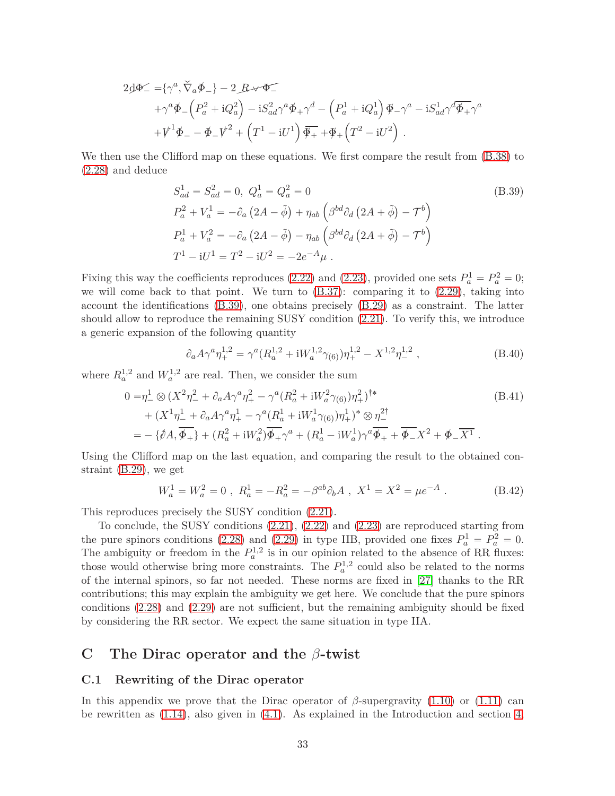$$
2d\Phi^{\angle} = {\gamma^a, \widetilde{\nabla}_a \Phi_-\} - 2 \cdot B \cdot \widetilde{\Phi^-}
$$
  
+ 
$$
\gamma^a \Phi_- (P_a^2 + iQ_a^2) - iS_{ad}^2 \gamma^a \Phi_+ \gamma^d - (P_a^1 + iQ_a^1) \Phi_- \gamma^a - iS_{ad}^1 \gamma^d \overline{\Phi_+} \gamma^a
$$
  
+ 
$$
V^1 \Phi_- - \Phi_- V^2 + (T^1 - iU^1) \overline{\Phi_+} + \Phi_+ (T^2 - iU^2) .
$$

We then use the Clifford map on these equations. We first compare the result from [\(B.38\)](#page-31-0) to [\(2.28\)](#page-11-1) and deduce

<span id="page-32-2"></span>
$$
S_{ad}^{1} = S_{ad}^{2} = 0, \ Q_{a}^{1} = Q_{a}^{2} = 0
$$
\n
$$
P_{a}^{2} + V_{a}^{1} = -\partial_{a} (2A - \tilde{\phi}) + \eta_{ab} (\beta^{bd} \partial_{d} (2A + \tilde{\phi}) - \mathcal{T}^{b})
$$
\n
$$
P_{a}^{1} + V_{a}^{2} = -\partial_{a} (2A - \tilde{\phi}) - \eta_{ab} (\beta^{bd} \partial_{d} (2A + \tilde{\phi}) - \mathcal{T}^{b})
$$
\n
$$
T^{1} - iU^{1} = T^{2} - iU^{2} = -2e^{-A} \mu.
$$
\n(B.39)

Fixing this way the coefficients reproduces [\(2.22\)](#page-10-5) and [\(2.23\)](#page-10-4), provided one sets  $P_a^1 = P_a^2 = 0$ ; we will come back to that point. We turn to  $(B.37)$ : comparing it to  $(2.29)$ , taking into account the identifications [\(B.39\)](#page-32-2), one obtains precisely [\(B.29\)](#page-30-3) as a constraint. The latter should allow to reproduce the remaining SUSY condition [\(2.21\)](#page-10-3). To verify this, we introduce a generic expansion of the following quantity

$$
\partial_a A \gamma^a \eta_+^{1,2} = \gamma^a (R_a^{1,2} + iW_a^{1,2} \gamma_{(6)}) \eta_+^{1,2} - X^{1,2} \eta_-^{1,2} , \qquad (B.40)
$$

where  $R_a^{1,2}$  and  $W_a^{1,2}$  are real. Then, we consider the sum

$$
0 = \eta_{-}^{1} \otimes (X^{2} \eta_{-}^{2} + \partial_{a} A \gamma^{a} \eta_{+}^{2} - \gamma^{a} (R_{a}^{2} + iW_{a}^{2} \gamma_{(6)}) \eta_{+}^{2})^{\dagger *}
$$
\n
$$
+ (X^{1} \eta_{-}^{1} + \partial_{a} A \gamma^{a} \eta_{+}^{1} - \gamma^{a} (R_{a}^{1} + iW_{a}^{1} \gamma_{(6)}) \eta_{+}^{1})^{*} \otimes \eta_{-}^{2\dagger}
$$
\n
$$
= - \{\partial A, \overline{\Phi_{+}}\} + (R_{a}^{2} + iW_{a}^{2}) \overline{\Phi_{+}} \gamma^{a} + (R_{a}^{1} - iW_{a}^{1}) \gamma^{a} \overline{\Phi_{+}} + \overline{\Phi_{-}} X^{2} + \Phi_{-} \overline{X^{1}}.
$$
\n(B.41)

Using the Clifford map on the last equation, and comparing the result to the obtained constraint [\(B.29\)](#page-30-3), we get

$$
W_a^1 = W_a^2 = 0 \ , \ R_a^1 = -R_a^2 = -\beta^{ab}\partial_b A \ , \ X^1 = X^2 = \mu e^{-A} \ . \tag{B.42}
$$

This reproduces precisely the SUSY condition [\(2.21\)](#page-10-3).

To conclude, the SUSY conditions [\(2.21\)](#page-10-3), [\(2.22\)](#page-10-5) and [\(2.23\)](#page-10-4) are reproduced starting from the pure spinors conditions [\(2.28\)](#page-11-1) and [\(2.29\)](#page-11-2) in type IIB, provided one fixes  $P_a^1 = P_a^2 = 0$ . The ambiguity or freedom in the  $P_a^{1,2}$  is in our opinion related to the absence of RR fluxes: those would otherwise bring more constraints. The  $P_a^{1,2}$  could also be related to the norms of the internal spinors, so far not needed. These norms are fixed in [\[27\]](#page-36-9) thanks to the RR contributions; this may explain the ambiguity we get here. We conclude that the pure spinors conditions [\(2.28\)](#page-11-1) and [\(2.29\)](#page-11-2) are not sufficient, but the remaining ambiguity should be fixed by considering the RR sector. We expect the same situation in type IIA.

# <span id="page-32-0"></span>**C The Dirac operator and the** *β***-twist**

#### <span id="page-32-1"></span>**C.1 Rewriting of the Dirac operator**

In this appendix we prove that the Dirac operator of  $\beta$ -supergravity [\(1.10\)](#page-4-0) or [\(1.11\)](#page-4-4) can be rewritten as  $(1.14)$ , also given in  $(4.1)$ . As explained in the Introduction and section [4,](#page-17-0)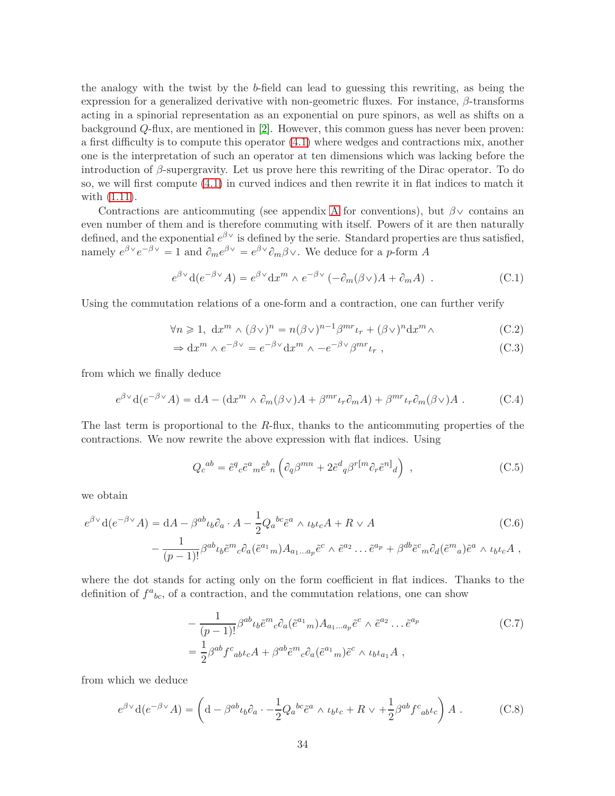the analogy with the twist by the *b*-field can lead to guessing this rewriting, as being the expression for a generalized derivative with non-geometric fluxes. For instance, *β*-transforms acting in a spinorial representation as an exponential on pure spinors, as well as shifts on a background *Q*-flux, are mentioned in [\[2\]](#page-35-1). However, this common guess has never been proven: a first difficulty is to compute this operator [\(4.1\)](#page-17-3) where wedges and contractions mix, another one is the interpretation of such an operator at ten dimensions which was lacking before the introduction of *β*-supergravity. Let us prove here this rewriting of the Dirac operator. To do so, we will first compute [\(4.1\)](#page-17-3) in curved indices and then rewrite it in flat indices to match it with [\(1.11\)](#page-4-4).

Contractions are anticommuting (see appendix [A](#page-25-0) for conventions), but  $\beta$  contains an even number of them and is therefore commuting with itself. Powers of it are then naturally defined, and the exponential  $e^{\beta V}$  is defined by the serie. Standard properties are thus satisfied, namely  $e^{\beta \vee} e^{-\beta \vee} = 1$  and  $\partial_m e^{\beta \vee} = e^{\beta \vee} \partial_m \beta \vee$ . We deduce for a *p*-form *A* 

$$
e^{\beta \vee} d(e^{-\beta \vee} A) = e^{\beta \vee} dx^{m} \wedge e^{-\beta \vee} (-\partial_{m}(\beta \vee) A + \partial_{m} A) . \tag{C.1}
$$

Using the commutation relations of a one-form and a contraction, one can further verify

$$
\forall n \geq 1, dx^m \wedge (\beta \vee)^n = n(\beta \vee)^{n-1} \beta^{mr} \iota_r + (\beta \vee)^n dx^m \wedge \tag{C.2}
$$

$$
\Rightarrow dx^{m} \wedge e^{-\beta \vee} = e^{-\beta \vee} dx^{m} \wedge -e^{-\beta \vee} \beta^{mr} \iota_{r} , \qquad (C.3)
$$

from which we finally deduce

<span id="page-33-0"></span>
$$
e^{\beta \vee} d(e^{-\beta \vee} A) = dA - (dx^m \wedge \partial_m(\beta \vee)A + \beta^{mr} \iota_r \partial_m A) + \beta^{mr} \iota_r \partial_m(\beta \vee) A . \tag{C.4}
$$

The last term is proportional to the *R*-flux, thanks to the anticommuting properties of the contractions. We now rewrite the above expression with flat indices. Using

$$
Q_c{}^{ab} = \tilde{e}^q{}_c \tilde{e}^a{}_m \tilde{e}^b{}_n \left( \partial_q \beta^{mn} + 2 \tilde{e}^d{}_q \beta^{r[m} \partial_r \tilde{e}^{n]}{}_d \right) , \qquad (C.5)
$$

we obtain

$$
e^{\beta \vee} d(e^{-\beta \vee} A) = dA - \beta^{ab} \iota_b \partial_a \cdot A - \frac{1}{2} Q_a{}^{bc} \tilde{e}^a \wedge \iota_b \iota_c A + R \vee A
$$
\n
$$
- \frac{1}{(p-1)!} \beta^{ab} \iota_b \tilde{e}^m{}_c \partial_a (\tilde{e}^{a_1}{}_m) A_{a_1...a_p} \tilde{e}^c \wedge \tilde{e}^{a_2} \dots \tilde{e}^{a_p} + \beta^{db} \tilde{e}^c{}_m \partial_d (\tilde{e}^m{}_a) \tilde{e}^a \wedge \iota_b \iota_c A,
$$
\n(C.6)

where the dot stands for acting only on the form coefficient in flat indices. Thanks to the definition of  $f^a{}_{bc}$ , of a contraction, and the commutation relations, one can show

$$
-\frac{1}{(p-1)!}\beta^{ab}\iota_b\tilde{e}^m{}_c\partial_a(\tilde{e}^{a_1}{}_m)A_{a_1...a_p}\tilde{e}^c\wedge\tilde{e}^{a_2}\dots\tilde{e}^{a_p}
$$
\n
$$
=\frac{1}{2}\beta^{ab}f^c{}_{ab}\iota_c A + \beta^{ab}\tilde{e}^m{}_c\partial_a(\tilde{e}^{a_1}{}_m)\tilde{e}^c\wedge\iota_b\iota_{a_1}A,
$$
\n(C.7)

from which we deduce

$$
e^{\beta \vee} d(e^{-\beta \vee} A) = \left( d - \beta^{ab} \iota_b \partial_a \cdot -\frac{1}{2} Q_a{}^{bc} \tilde{e}^a \wedge \iota_b \iota_c + R \vee + \frac{1}{2} \beta^{ab} f^c{}_{ab} \iota_c \right) A . \tag{C.8}
$$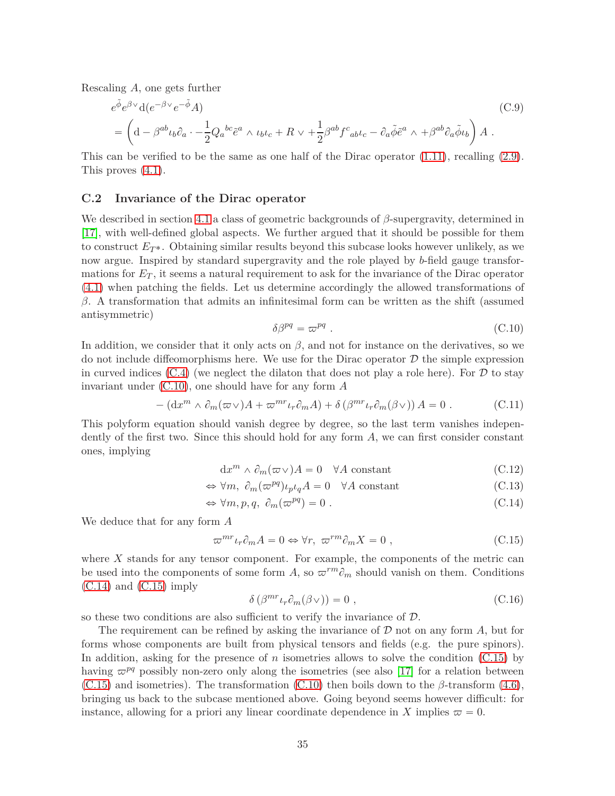Rescaling *A*, one gets further

$$
e^{\tilde{\phi}}e^{\beta \vee}d(e^{-\beta \vee}e^{-\tilde{\phi}}A)
$$
\n
$$
= \left(d - \beta^{ab}\iota_b\partial_a \cdot -\frac{1}{2}Q_a{}^{bc}\tilde{e}^a \wedge \iota_b\iota_c + R \vee + \frac{1}{2}\beta^{ab}f^c{}_{ab}\iota_c - \partial_a\tilde{\phi}\tilde{e}^a \wedge + \beta^{ab}\partial_a\tilde{\phi}\iota_b\right)A.
$$
\n(C.9)

This can be verified to be the same as one half of the Dirac operator  $(1.11)$ , recalling  $(2.9)$ . This proves [\(4.1\)](#page-17-3).

#### <span id="page-34-0"></span>**C.2 Invariance of the Dirac operator**

We described in section [4.1](#page-18-0) a class of geometric backgrounds of *β*-supergravity, determined in [\[17\]](#page-35-16), with well-defined global aspects. We further argued that it should be possible for them to construct  $E_T$ <sup>\*</sup>. Obtaining similar results beyond this subcase looks however unlikely, as we now argue. Inspired by standard supergravity and the role played by *b*-field gauge transformations for *E<sup>T</sup>* , it seems a natural requirement to ask for the invariance of the Dirac operator [\(4.1\)](#page-17-3) when patching the fields. Let us determine accordingly the allowed transformations of *β*. A transformation that admits an infinitesimal form can be written as the shift (assumed antisymmetric)

<span id="page-34-1"></span>
$$
\delta \beta^{pq} = \varpi^{pq} \tag{C.10}
$$

In addition, we consider that it only acts on  $\beta$ , and not for instance on the derivatives, so we do not include diffeomorphisms here. We use for the Dirac operator  $D$  the simple expression in curved indices  $(C.4)$  (we neglect the dilaton that does not play a role here). For  $D$  to stay invariant under [\(C.10\)](#page-34-1), one should have for any form *A*

$$
- (\mathrm{d}x^m \wedge \partial_m(\varpi \vee)A + \varpi^{mr}\iota_r \partial_m A) + \delta \left( \beta^{mr}\iota_r \partial_m(\beta \vee) \right) A = 0 \ . \tag{C.11}
$$

This polyform equation should vanish degree by degree, so the last term vanishes independently of the first two. Since this should hold for any form *A*, we can first consider constant ones, implying

$$
dx^{m} \wedge \partial_{m}(\varpi \vee)A = 0 \quad \forall A \text{ constant}
$$
\n(C.12)

$$
\Leftrightarrow \forall m, \ \partial_m(\varpi^{pq}) \iota_p \iota_q A = 0 \quad \forall A \text{ constant} \tag{C.13}
$$

$$
\Leftrightarrow \forall m, p, q, \ \partial_m(\varpi^{pq}) = 0 \ . \tag{C.14}
$$

We deduce that for any form *A*

<span id="page-34-3"></span>
$$
\varpi^{mr}\iota_r\partial_m A = 0 \Leftrightarrow \forall r, \ \varpi^{rm}\partial_m X = 0 , \qquad (C.15)
$$

where *X* stands for any tensor component. For example, the components of the metric can be used into the components of some form A, so  $\varpi^{rm}\partial_m$  should vanish on them. Conditions  $(C.14)$  and  $(C.15)$  imply

<span id="page-34-2"></span>
$$
\delta\left(\beta^{mr}\iota_r\partial_m(\beta\vee)\right) = 0 ,\qquad (C.16)
$$

so these two conditions are also sufficient to verify the invariance of  $D$ .

The requirement can be refined by asking the invariance of D not on any form *A*, but for forms whose components are built from physical tensors and fields (e.g. the pure spinors). In addition, asking for the presence of *n* isometries allows to solve the condition [\(C.15\)](#page-34-3) by having  $\varpi^{pq}$  possibly non-zero only along the isometries (see also [\[17\]](#page-35-16) for a relation between  $(C.15)$  and isometries). The transformation  $(C.10)$  then boils down to the  $\beta$ -transform  $(4.6)$ , bringing us back to the subcase mentioned above. Going beyond seems however difficult: for instance, allowing for a priori any linear coordinate dependence in *X* implies  $\varpi = 0$ .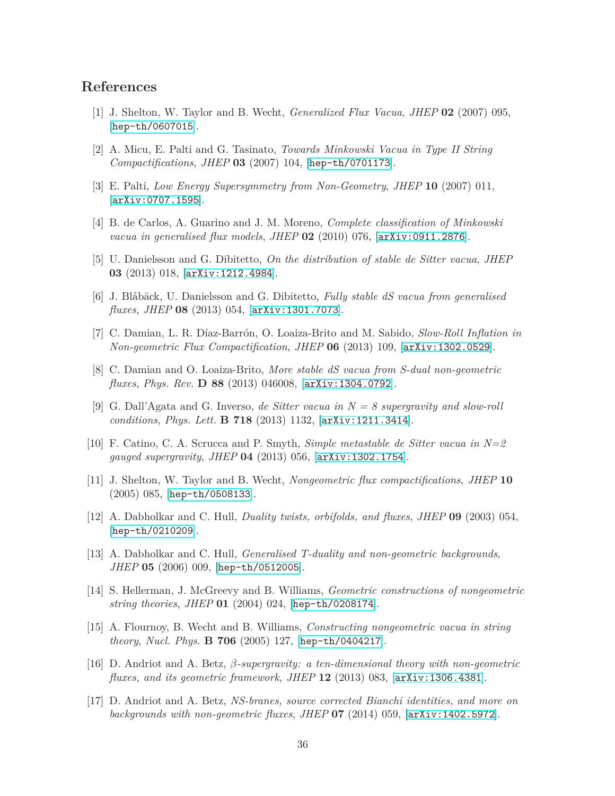# <span id="page-35-0"></span>**References**

- <span id="page-35-1"></span>[1] J. Shelton, W. Taylor and B. Wecht, *Generalized Flux Vacua*, *JHEP* **02** (2007) 095, [[hep-th/0607015](http://xxx.lanl.gov/abs/hep-th/0607015)].
- <span id="page-35-2"></span>[2] A. Micu, E. Palti and G. Tasinato, *Towards Minkowski Vacua in Type II String Compactifications*, *JHEP* **03** (2007) 104, [[hep-th/0701173](http://xxx.lanl.gov/abs/hep-th/0701173)].
- <span id="page-35-3"></span>[3] E. Palti, *Low Energy Supersymmetry from Non-Geometry*, *JHEP* **10** (2007) 011, [[arXiv:0707.1595](http://xxx.lanl.gov/abs/0707.1595)].
- <span id="page-35-4"></span>[4] B. de Carlos, A. Guarino and J. M. Moreno, *Complete classification of Minkowski vacua in generalised flux models*, *JHEP* **02** (2010) 076, [[arXiv:0911.2876](http://xxx.lanl.gov/abs/0911.2876)].
- <span id="page-35-5"></span>[5] U. Danielsson and G. Dibitetto, *On the distribution of stable de Sitter vacua*, *JHEP* **03** (2013) 018, [[arXiv:1212.4984](http://xxx.lanl.gov/abs/1212.4984)].
- <span id="page-35-6"></span>[6] J. Blåbäck, U. Danielsson and G. Dibitetto, *Fully stable dS vacua from generalised fluxes*, *JHEP* **08** (2013) 054, [[arXiv:1301.7073](http://xxx.lanl.gov/abs/1301.7073)].
- <span id="page-35-7"></span>[7] C. Damian, L. R. Díaz-Barrón, O. Loaiza-Brito and M. Sabido, *Slow-Roll Inflation in Non-geometric Flux Compactification*, *JHEP* **06** (2013) 109, [[arXiv:1302.0529](http://xxx.lanl.gov/abs/1302.0529)].
- <span id="page-35-8"></span>[8] C. Damian and O. Loaiza-Brito, *More stable dS vacua from S-dual non-geometric fluxes*, *Phys. Rev.* **D 88** (2013) 046008, [[arXiv:1304.0792](http://xxx.lanl.gov/abs/1304.0792)].
- [9] G. Dall'Agata and G. Inverso, *de Sitter vacua in N = 8 supergravity and slow-roll conditions*, *Phys. Lett.* **B 718** (2013) 1132, [[arXiv:1211.3414](http://xxx.lanl.gov/abs/1211.3414)].
- <span id="page-35-9"></span>[10] F. Catino, C. A. Scrucca and P. Smyth, *Simple metastable de Sitter vacua in N=2 gauged supergravity*, *JHEP* **04** (2013) 056, [[arXiv:1302.1754](http://xxx.lanl.gov/abs/1302.1754)].
- <span id="page-35-11"></span><span id="page-35-10"></span>[11] J. Shelton, W. Taylor and B. Wecht, *Nongeometric flux compactifications*, *JHEP* **10** (2005) 085, [[hep-th/0508133](http://xxx.lanl.gov/abs/hep-th/0508133)].
- <span id="page-35-12"></span>[12] A. Dabholkar and C. Hull, *Duality twists, orbifolds, and fluxes*, *JHEP* **09** (2003) 054, [[hep-th/0210209](http://xxx.lanl.gov/abs/hep-th/0210209)].
- [13] A. Dabholkar and C. Hull, *Generalised T-duality and non-geometric backgrounds*, *JHEP* **05** (2006) 009, [[hep-th/0512005](http://xxx.lanl.gov/abs/hep-th/0512005)].
- <span id="page-35-14"></span><span id="page-35-13"></span>[14] S. Hellerman, J. McGreevy and B. Williams, *Geometric constructions of nongeometric string theories*, *JHEP* **01** (2004) 024, [[hep-th/0208174](http://xxx.lanl.gov/abs/hep-th/0208174)].
- <span id="page-35-15"></span>[15] A. Flournoy, B. Wecht and B. Williams, *Constructing nongeometric vacua in string theory*, *Nucl. Phys.* **B 706** (2005) 127, [[hep-th/0404217](http://xxx.lanl.gov/abs/hep-th/0404217)].
- [16] D. Andriot and A. Betz, *β-supergravity: a ten-dimensional theory with non-geometric fluxes, and its geometric framework*, *JHEP* **12** (2013) 083, [[arXiv:1306.4381](http://xxx.lanl.gov/abs/1306.4381)].
- <span id="page-35-16"></span>[17] D. Andriot and A. Betz, *NS-branes, source corrected Bianchi identities, and more on backgrounds with non-geometric fluxes*, *JHEP* **07** (2014) 059, [[arXiv:1402.5972](http://xxx.lanl.gov/abs/1402.5972)].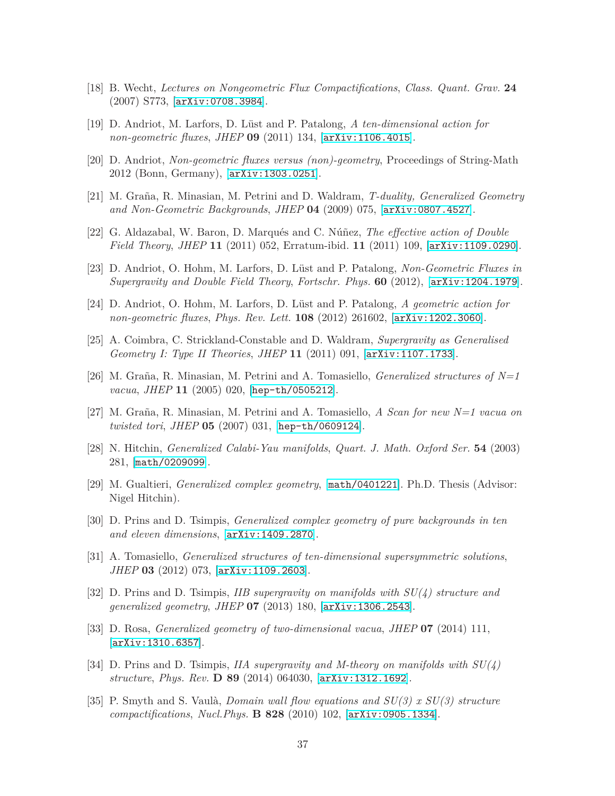- <span id="page-36-1"></span><span id="page-36-0"></span>[18] B. Wecht, *Lectures on Nongeometric Flux Compactifications*, *Class. Quant. Grav.* **24** (2007) S773, [[arXiv:0708.3984](http://xxx.lanl.gov/abs/0708.3984)].
- <span id="page-36-2"></span>[19] D. Andriot, M. Larfors, D. Lüst and P. Patalong, *A ten-dimensional action for non-geometric fluxes*, *JHEP* **09** (2011) 134, [[arXiv:1106.4015](http://xxx.lanl.gov/abs/1106.4015)].
- <span id="page-36-3"></span>[20] D. Andriot, *Non-geometric fluxes versus (non)-geometry*, Proceedings of String-Math 2012 (Bonn, Germany), [[arXiv:1303.0251](http://xxx.lanl.gov/abs/1303.0251)].
- <span id="page-36-4"></span>[21] M. Graña, R. Minasian, M. Petrini and D. Waldram, *T-duality, Generalized Geometry and Non-Geometric Backgrounds*, *JHEP* **04** (2009) 075, [[arXiv:0807.4527](http://xxx.lanl.gov/abs/0807.4527)].
- <span id="page-36-5"></span>[22] G. Aldazabal, W. Baron, D. Marqués and C. Núñez, *The effective action of Double Field Theory*, *JHEP* **11** (2011) 052, Erratum-ibid. **11** (2011) 109, [[arXiv:1109.0290](http://xxx.lanl.gov/abs/1109.0290)].
- <span id="page-36-6"></span>[23] D. Andriot, O. Hohm, M. Larfors, D. Lüst and P. Patalong, *Non-Geometric Fluxes in Supergravity and Double Field Theory*, *Fortschr. Phys.* **60** (2012), [[arXiv:1204.1979](http://xxx.lanl.gov/abs/1204.1979)].
- <span id="page-36-7"></span>[24] D. Andriot, O. Hohm, M. Larfors, D. Lüst and P. Patalong, *A geometric action for non-geometric fluxes*, *Phys. Rev. Lett.* **108** (2012) 261602, [[arXiv:1202.3060](http://xxx.lanl.gov/abs/1202.3060)].
- <span id="page-36-8"></span>[25] A. Coimbra, C. Strickland-Constable and D. Waldram, *Supergravity as Generalised Geometry I: Type II Theories*, *JHEP* **11** (2011) 091, [[arXiv:1107.1733](http://xxx.lanl.gov/abs/1107.1733)].
- <span id="page-36-9"></span>[26] M. Graña, R. Minasian, M. Petrini and A. Tomasiello, *Generalized structures of N=1 vacua*, *JHEP* **11** (2005) 020, [[hep-th/0505212](http://xxx.lanl.gov/abs/hep-th/0505212)].
- <span id="page-36-10"></span>[27] M. Graña, R. Minasian, M. Petrini and A. Tomasiello, *A Scan for new N=1 vacua on twisted tori*, *JHEP* **05** (2007) 031, [[hep-th/0609124](http://xxx.lanl.gov/abs/hep-th/0609124)].
- <span id="page-36-11"></span>[28] N. Hitchin, *Generalized Calabi-Yau manifolds*, *Quart. J. Math. Oxford Ser.* **54** (2003) 281, [[math/0209099](http://xxx.lanl.gov/abs/math/0209099)].
- <span id="page-36-12"></span>[29] M. Gualtieri, *Generalized complex geometry*, [[math/0401221](http://xxx.lanl.gov/abs/math/0401221)]. Ph.D. Thesis (Advisor: Nigel Hitchin).
- <span id="page-36-13"></span>[30] D. Prins and D. Tsimpis, *Generalized complex geometry of pure backgrounds in ten and eleven dimensions*, [[arXiv:1409.2870](http://xxx.lanl.gov/abs/1409.2870)].
- <span id="page-36-14"></span>[31] A. Tomasiello, *Generalized structures of ten-dimensional supersymmetric solutions*, *JHEP* **03** (2012) 073, [[arXiv:1109.2603](http://xxx.lanl.gov/abs/1109.2603)].
- [32] D. Prins and D. Tsimpis, *IIB supergravity on manifolds with SU(4) structure and generalized geometry*, *JHEP* **07** (2013) 180, [[arXiv:1306.2543](http://xxx.lanl.gov/abs/1306.2543)].
- <span id="page-36-15"></span>[33] D. Rosa, *Generalized geometry of two-dimensional vacua*, *JHEP* **07** (2014) 111, [[arXiv:1310.6357](http://xxx.lanl.gov/abs/1310.6357)].
- <span id="page-36-16"></span>[34] D. Prins and D. Tsimpis, *IIA supergravity and M-theory on manifolds with SU(4) structure*, *Phys. Rev.* **D 89** (2014) 064030, [[arXiv:1312.1692](http://xxx.lanl.gov/abs/1312.1692)].
- <span id="page-36-17"></span>[35] P. Smyth and S. Vaulà, *Domain wall flow equations and SU(3) x SU(3) structure compactifications*, *Nucl.Phys.* **B 828** (2010) 102, [[arXiv:0905.1334](http://xxx.lanl.gov/abs/0905.1334)].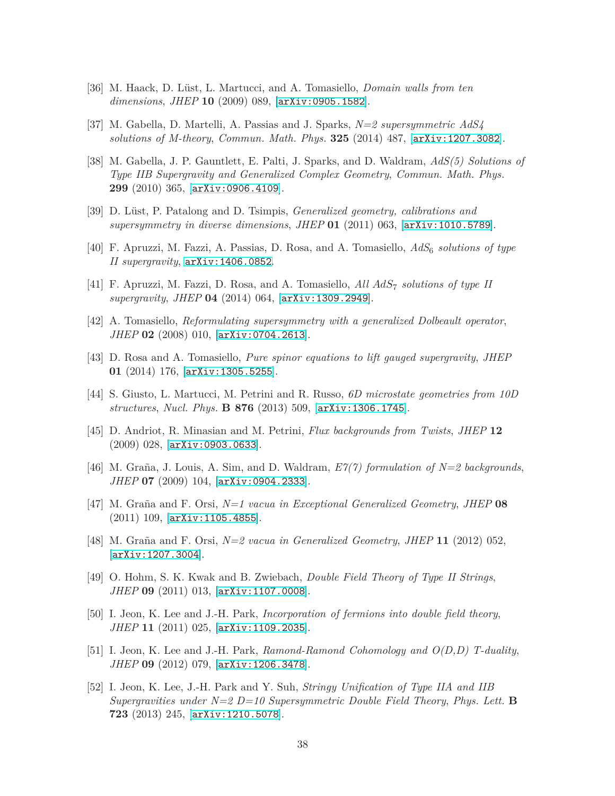- <span id="page-37-1"></span><span id="page-37-0"></span>[36] M. Haack, D. Lüst, L. Martucci, and A. Tomasiello, *Domain walls from ten dimensions*, *JHEP* **10** (2009) 089, [[arXiv:0905.1582](http://xxx.lanl.gov/abs/0905.1582)].
- <span id="page-37-2"></span>[37] M. Gabella, D. Martelli, A. Passias and J. Sparks, *N=2 supersymmetric AdS4 solutions of M-theory*, *Commun. Math. Phys.* **325** (2014) 487, [[arXiv:1207.3082](http://xxx.lanl.gov/abs/1207.3082)].
- [38] M. Gabella, J. P. Gauntlett, E. Palti, J. Sparks, and D. Waldram, *AdS(5) Solutions of Type IIB Supergravity and Generalized Complex Geometry*, *Commun. Math. Phys.* **299** (2010) 365, [[arXiv:0906.4109](http://xxx.lanl.gov/abs/0906.4109)].
- <span id="page-37-4"></span><span id="page-37-3"></span>[39] D. Lüst, P. Patalong and D. Tsimpis, *Generalized geometry, calibrations and supersymmetry in diverse dimensions*, *JHEP* **01** (2011) 063, [[arXiv:1010.5789](http://xxx.lanl.gov/abs/1010.5789)].
- <span id="page-37-5"></span>[40] F. Apruzzi, M. Fazzi, A. Passias, D. Rosa, and A. Tomasiello, *AdS*6 *solutions of type II supergravity*, [arXiv:1406.0852](http://xxx.lanl.gov/abs/1406.0852).
- <span id="page-37-6"></span>[41] F. Apruzzi, M. Fazzi, D. Rosa, and A. Tomasiello, *All AdS*7 *solutions of type II supergravity*, *JHEP* **04** (2014) 064, [[arXiv:1309.2949](http://xxx.lanl.gov/abs/1309.2949)].
- <span id="page-37-7"></span>[42] A. Tomasiello, *Reformulating supersymmetry with a generalized Dolbeault operator*, *JHEP* **02** (2008) 010, [[arXiv:0704.2613](http://xxx.lanl.gov/abs/0704.2613)].
- <span id="page-37-8"></span>[43] D. Rosa and A. Tomasiello, *Pure spinor equations to lift gauged supergravity*, *JHEP* **01** (2014) 176, [[arXiv:1305.5255](http://xxx.lanl.gov/abs/1305.5255)].
- <span id="page-37-9"></span>[44] S. Giusto, L. Martucci, M. Petrini and R. Russo, *6D microstate geometries from 10D structures*, *Nucl. Phys.* **B 876** (2013) 509, [[arXiv:1306.1745](http://xxx.lanl.gov/abs/1306.1745)].
- <span id="page-37-10"></span>[45] D. Andriot, R. Minasian and M. Petrini, *Flux backgrounds from Twists*, *JHEP* **12** (2009) 028, [[arXiv:0903.0633](http://xxx.lanl.gov/abs/0903.0633)].
- [46] M. Graña, J. Louis, A. Sim, and D. Waldram, *E7(7) formulation of N=2 backgrounds*, *JHEP* **07** (2009) 104, [[arXiv:0904.2333](http://xxx.lanl.gov/abs/0904.2333)].
- <span id="page-37-11"></span>[47] M. Graña and F. Orsi, *N=1 vacua in Exceptional Generalized Geometry*, *JHEP* **08** (2011) 109, [[arXiv:1105.4855](http://xxx.lanl.gov/abs/1105.4855)].
- <span id="page-37-12"></span>[48] M. Graña and F. Orsi, *N=2 vacua in Generalized Geometry*, *JHEP* **11** (2012) 052, [[arXiv:1207.3004](http://xxx.lanl.gov/abs/1207.3004)].
- <span id="page-37-13"></span>[49] O. Hohm, S. K. Kwak and B. Zwiebach, *Double Field Theory of Type II Strings*, *JHEP* **09** (2011) 013, [[arXiv:1107.0008](http://xxx.lanl.gov/abs/1107.0008)].
- <span id="page-37-14"></span>[50] I. Jeon, K. Lee and J.-H. Park, *Incorporation of fermions into double field theory*, *JHEP* **11** (2011) 025, [[arXiv:1109.2035](http://xxx.lanl.gov/abs/1109.2035)].
- <span id="page-37-15"></span>[51] I. Jeon, K. Lee and J.-H. Park, *Ramond-Ramond Cohomology and O(D,D) T-duality*, *JHEP* **09** (2012) 079, [[arXiv:1206.3478](http://xxx.lanl.gov/abs/1206.3478)].
- <span id="page-37-16"></span>[52] I. Jeon, K. Lee, J.-H. Park and Y. Suh, *Stringy Unification of Type IIA and IIB Supergravities under N=2 D=10 Supersymmetric Double Field Theory*, *Phys. Lett.* **B 723** (2013) 245, [[arXiv:1210.5078](http://xxx.lanl.gov/abs/1210.5078)].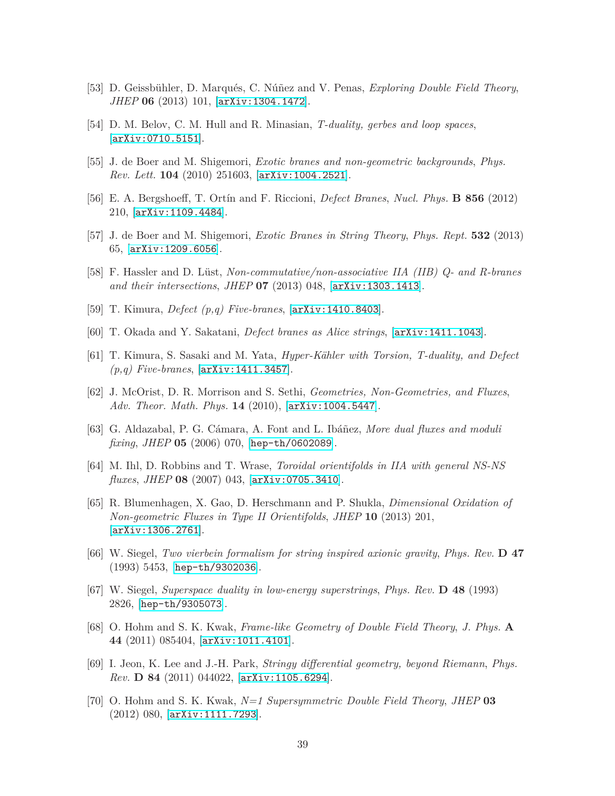- <span id="page-38-1"></span><span id="page-38-0"></span>[53] D. Geissbühler, D. Marqués, C. Núñez and V. Penas, *Exploring Double Field Theory*, *JHEP* **06** (2013) 101, [[arXiv:1304.1472](http://xxx.lanl.gov/abs/1304.1472)].
- <span id="page-38-2"></span>[54] D. M. Belov, C. M. Hull and R. Minasian, *T-duality, gerbes and loop spaces*, [[arXiv:0710.5151](http://xxx.lanl.gov/abs/0710.5151)].
- <span id="page-38-3"></span>[55] J. de Boer and M. Shigemori, *Exotic branes and non-geometric backgrounds*, *Phys. Rev. Lett.* **104** (2010) 251603, [[arXiv:1004.2521](http://xxx.lanl.gov/abs/1004.2521)].
- <span id="page-38-4"></span>[56] E. A. Bergshoeff, T. Ortín and F. Riccioni, *Defect Branes*, *Nucl. Phys.* **B 856** (2012) 210, [[arXiv:1109.4484](http://xxx.lanl.gov/abs/1109.4484)].
- <span id="page-38-5"></span>[57] J. de Boer and M. Shigemori, *Exotic Branes in String Theory*, *Phys. Rept.* **532** (2013) 65, [[arXiv:1209.6056](http://xxx.lanl.gov/abs/1209.6056)].
- <span id="page-38-6"></span>[58] F. Hassler and D. Lüst, *Non-commutative/non-associative IIA (IIB) Q- and R-branes and their intersections*, *JHEP* **07** (2013) 048, [[arXiv:1303.1413](http://xxx.lanl.gov/abs/1303.1413)].
- <span id="page-38-7"></span>[59] T. Kimura, *Defect (p,q) Five-branes*, [[arXiv:1410.8403](http://xxx.lanl.gov/abs/1410.8403)].
- <span id="page-38-8"></span>[60] T. Okada and Y. Sakatani, *Defect branes as Alice strings*, [[arXiv:1411.1043](http://xxx.lanl.gov/abs/1411.1043)].
- <span id="page-38-9"></span>[61] T. Kimura, S. Sasaki and M. Yata, *Hyper-Kähler with Torsion, T-duality, and Defect (p,q) Five-branes*, [[arXiv:1411.3457](http://xxx.lanl.gov/abs/1411.3457)].
- [62] J. McOrist, D. R. Morrison and S. Sethi, *Geometries, Non-Geometries, and Fluxes*, *Adv. Theor. Math. Phys.* **14** (2010), [[arXiv:1004.5447](http://xxx.lanl.gov/abs/1004.5447)].
- <span id="page-38-11"></span><span id="page-38-10"></span>[63] G. Aldazabal, P. G. Cámara, A. Font and L. Ibáñez, *More dual fluxes and moduli fixing*, *JHEP* **05** (2006) 070, [[hep-th/0602089](http://xxx.lanl.gov/abs/hep-th/0602089)].
- <span id="page-38-12"></span>[64] M. Ihl, D. Robbins and T. Wrase, *Toroidal orientifolds in IIA with general NS-NS fluxes*, *JHEP* **08** (2007) 043, [[arXiv:0705.3410](http://xxx.lanl.gov/abs/0705.3410)].
- [65] R. Blumenhagen, X. Gao, D. Herschmann and P. Shukla, *Dimensional Oxidation of Non-geometric Fluxes in Type II Orientifolds*, *JHEP* **10** (2013) 201, [[arXiv:1306.2761](http://xxx.lanl.gov/abs/1306.2761)].
- <span id="page-38-14"></span><span id="page-38-13"></span>[66] W. Siegel, *Two vierbein formalism for string inspired axionic gravity*, *Phys. Rev.* **D 47** (1993) 5453, [[hep-th/9302036](http://xxx.lanl.gov/abs/hep-th/9302036)].
- [67] W. Siegel, *Superspace duality in low-energy superstrings*, *Phys. Rev.* **D 48** (1993) 2826, [[hep-th/9305073](http://xxx.lanl.gov/abs/hep-th/9305073)].
- <span id="page-38-15"></span>[68] O. Hohm and S. K. Kwak, *Frame-like Geometry of Double Field Theory*, *J. Phys.* **A 44** (2011) 085404, [[arXiv:1011.4101](http://xxx.lanl.gov/abs/1011.4101)].
- <span id="page-38-16"></span>[69] I. Jeon, K. Lee and J.-H. Park, *Stringy differential geometry, beyond Riemann*, *Phys. Rev.* **D 84** (2011) 044022, [[arXiv:1105.6294](http://xxx.lanl.gov/abs/1105.6294)].
- <span id="page-38-17"></span>[70] O. Hohm and S. K. Kwak, *N=1 Supersymmetric Double Field Theory*, *JHEP* **03** (2012) 080, [[arXiv:1111.7293](http://xxx.lanl.gov/abs/1111.7293)].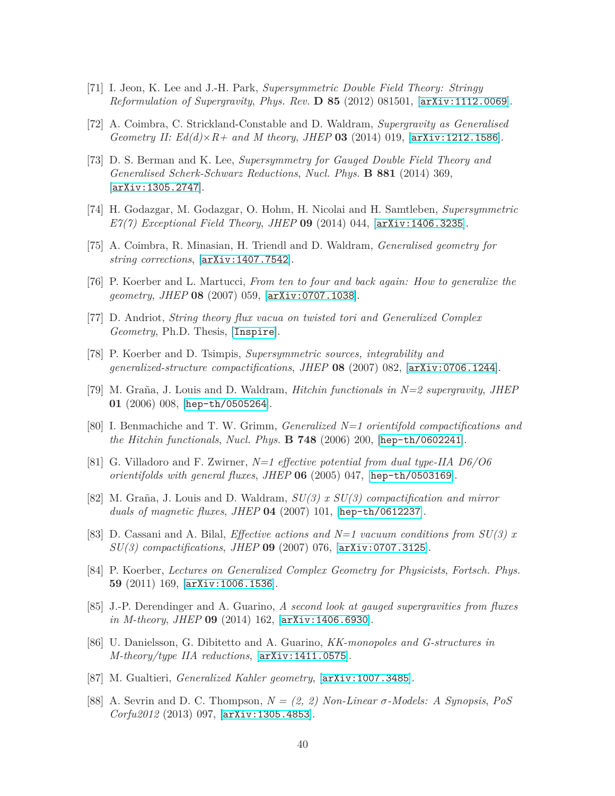- <span id="page-39-1"></span><span id="page-39-0"></span>[71] I. Jeon, K. Lee and J.-H. Park, *Supersymmetric Double Field Theory: Stringy Reformulation of Supergravity*, *Phys. Rev.* **D 85** (2012) 081501, [[arXiv:1112.0069](http://xxx.lanl.gov/abs/1112.0069)].
- <span id="page-39-2"></span>[72] A. Coimbra, C. Strickland-Constable and D. Waldram, *Supergravity as Generalised Geometry II: Ed(d)*× $R+$  and M theory, *JHEP* 03 (2014) 019, [[arXiv:1212.1586](http://xxx.lanl.gov/abs/1212.1586)].
- [73] D. S. Berman and K. Lee, *Supersymmetry for Gauged Double Field Theory and Generalised Scherk-Schwarz Reductions*, *Nucl. Phys.* **B 881** (2014) 369, [[arXiv:1305.2747](http://xxx.lanl.gov/abs/1305.2747)].
- <span id="page-39-4"></span><span id="page-39-3"></span>[74] H. Godazgar, M. Godazgar, O. Hohm, H. Nicolai and H. Samtleben, *Supersymmetric E7(7) Exceptional Field Theory*, *JHEP* **09** (2014) 044, [[arXiv:1406.3235](http://xxx.lanl.gov/abs/1406.3235)].
- <span id="page-39-5"></span>[75] A. Coimbra, R. Minasian, H. Triendl and D. Waldram, *Generalised geometry for string corrections*, [[arXiv:1407.7542](http://xxx.lanl.gov/abs/1407.7542)].
- <span id="page-39-6"></span>[76] P. Koerber and L. Martucci, *From ten to four and back again: How to generalize the geometry*, *JHEP* **08** (2007) 059, [[arXiv:0707.1038](http://xxx.lanl.gov/abs/0707.1038)].
- <span id="page-39-7"></span>[77] D. Andriot, *String theory flux vacua on twisted tori and Generalized Complex Geometry*, Ph.D. Thesis, [[Inspire](http://inspirehep.net/record/1278958)].
- <span id="page-39-8"></span>[78] P. Koerber and D. Tsimpis, *Supersymmetric sources, integrability and generalized-structure compactifications*, *JHEP* **08** (2007) 082, [[arXiv:0706.1244](http://xxx.lanl.gov/abs/0706.1244)].
- <span id="page-39-9"></span>[79] M. Graña, J. Louis and D. Waldram, *Hitchin functionals in N=2 supergravity*, *JHEP* **01** (2006) 008, [[hep-th/0505264](http://xxx.lanl.gov/abs/hep-th/0505264)].
- <span id="page-39-10"></span>[80] I. Benmachiche and T. W. Grimm, *Generalized N=1 orientifold compactifications and the Hitchin functionals*, *Nucl. Phys.* **B 748** (2006) 200, [[hep-th/0602241](http://xxx.lanl.gov/abs/hep-th/0602241)].
- [81] G. Villadoro and F. Zwirner, *N=1 effective potential from dual type-IIA D6/O6 orientifolds with general fluxes*, *JHEP* **06** (2005) 047, [[hep-th/0503169](http://xxx.lanl.gov/abs/hep-th/0503169)].
- <span id="page-39-11"></span>[82] M. Graña, J. Louis and D. Waldram, *SU(3) x SU(3) compactification and mirror duals of magnetic fluxes*, *JHEP* **04** (2007) 101, [[hep-th/0612237](http://xxx.lanl.gov/abs/hep-th/0612237)].
- <span id="page-39-12"></span>[83] D. Cassani and A. Bilal, *Effective actions and N=1 vacuum conditions from SU(3) x SU(3) compactifications*, *JHEP* **09** (2007) 076, [[arXiv:0707.3125](http://xxx.lanl.gov/abs/0707.3125)].
- <span id="page-39-13"></span>[84] P. Koerber, *Lectures on Generalized Complex Geometry for Physicists*, *Fortsch. Phys.* **59** (2011) 169, [[arXiv:1006.1536](http://xxx.lanl.gov/abs/1006.1536)].
- <span id="page-39-14"></span>[85] J.-P. Derendinger and A. Guarino, *A second look at gauged supergravities from fluxes in M-theory*, *JHEP* **09** (2014) 162, [[arXiv:1406.6930](http://xxx.lanl.gov/abs/1406.6930)].
- <span id="page-39-15"></span>[86] U. Danielsson, G. Dibitetto and A. Guarino, *KK-monopoles and G-structures in M-theory/type IIA reductions*, [[arXiv:1411.0575](http://xxx.lanl.gov/abs/1411.0575)].
- <span id="page-39-17"></span><span id="page-39-16"></span>[87] M. Gualtieri, *Generalized Kahler geometry*, [[arXiv:1007.3485](http://xxx.lanl.gov/abs/1007.3485)].
- [88] A. Sevrin and D. C. Thompson, *N = (2, 2) Non-Linear σ-Models: A Synopsis*, *PoS Corfu2012* (2013) 097, [[arXiv:1305.4853](http://xxx.lanl.gov/abs/1305.4853)].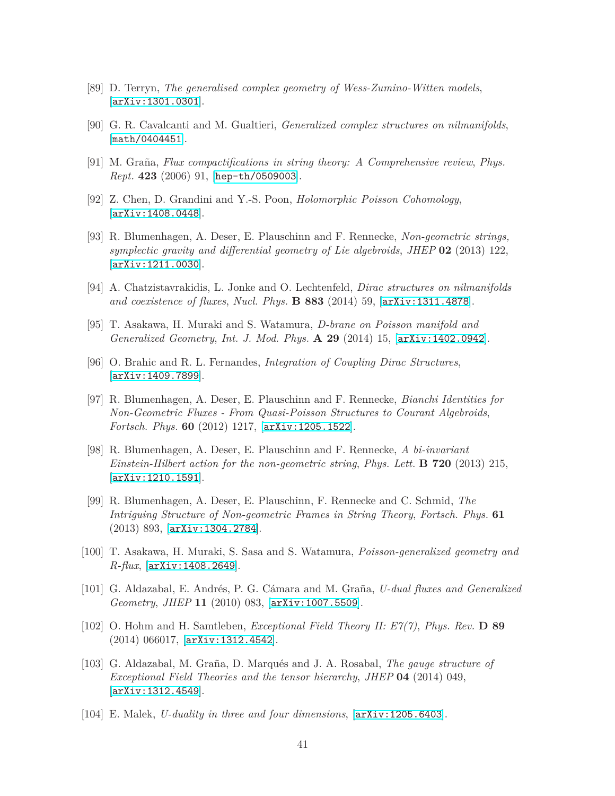- <span id="page-40-1"></span><span id="page-40-0"></span>[89] D. Terryn, *The generalised complex geometry of Wess-Zumino-Witten models*, [[arXiv:1301.0301](http://xxx.lanl.gov/abs/1301.0301)].
- <span id="page-40-2"></span>[90] G. R. Cavalcanti and M. Gualtieri, *Generalized complex structures on nilmanifolds*, [[math/0404451](http://xxx.lanl.gov/abs/math/0404451)].
- <span id="page-40-3"></span>[91] M. Graña, *Flux compactifications in string theory: A Comprehensive review*, *Phys. Rept.* **423** (2006) 91, [[hep-th/0509003](http://xxx.lanl.gov/abs/hep-th/0509003)].
- <span id="page-40-4"></span>[92] Z. Chen, D. Grandini and Y.-S. Poon, *Holomorphic Poisson Cohomology*, [[arXiv:1408.0448](http://xxx.lanl.gov/abs/1408.0448)].
- [93] R. Blumenhagen, A. Deser, E. Plauschinn and F. Rennecke, *Non-geometric strings, symplectic gravity and differential geometry of Lie algebroids*, *JHEP* **02** (2013) 122, [[arXiv:1211.0030](http://xxx.lanl.gov/abs/1211.0030)].
- <span id="page-40-6"></span><span id="page-40-5"></span>[94] A. Chatzistavrakidis, L. Jonke and O. Lechtenfeld, *Dirac structures on nilmanifolds and coexistence of fluxes*, *Nucl. Phys.* **B 883** (2014) 59, [[arXiv:1311.4878](http://xxx.lanl.gov/abs/1311.4878)].
- <span id="page-40-7"></span>[95] T. Asakawa, H. Muraki and S. Watamura, *D-brane on Poisson manifold and Generalized Geometry*, *Int. J. Mod. Phys.* **A 29** (2014) 15, [[arXiv:1402.0942](http://xxx.lanl.gov/abs/1402.0942)].
- [96] O. Brahic and R. L. Fernandes, *Integration of Coupling Dirac Structures*, [[arXiv:1409.7899](http://xxx.lanl.gov/abs/1409.7899)].
- <span id="page-40-8"></span>[97] R. Blumenhagen, A. Deser, E. Plauschinn and F. Rennecke, *Bianchi Identities for Non-Geometric Fluxes - From Quasi-Poisson Structures to Courant Algebroids*, *Fortsch. Phys.* **60** (2012) 1217, [[arXiv:1205.1522](http://xxx.lanl.gov/abs/1205.1522)].
- <span id="page-40-9"></span>[98] R. Blumenhagen, A. Deser, E. Plauschinn and F. Rennecke, *A bi-invariant Einstein-Hilbert action for the non-geometric string*, *Phys. Lett.* **B 720** (2013) 215, [[arXiv:1210.1591](http://xxx.lanl.gov/abs/1210.1591)].
- <span id="page-40-10"></span>[99] R. Blumenhagen, A. Deser, E. Plauschinn, F. Rennecke and C. Schmid, *The Intriguing Structure of Non-geometric Frames in String Theory*, *Fortsch. Phys.* **61** (2013) 893, [[arXiv:1304.2784](http://xxx.lanl.gov/abs/1304.2784)].
- <span id="page-40-11"></span>[100] T. Asakawa, H. Muraki, S. Sasa and S. Watamura, *Poisson-generalized geometry and R-flux*, [[arXiv:1408.2649](http://xxx.lanl.gov/abs/1408.2649)].
- <span id="page-40-12"></span>[101] G. Aldazabal, E. Andrés, P. G. Cámara and M. Graña, *U-dual fluxes and Generalized Geometry*, *JHEP* **11** (2010) 083, [[arXiv:1007.5509](http://xxx.lanl.gov/abs/1007.5509)].
- <span id="page-40-13"></span>[102] O. Hohm and H. Samtleben, *Exceptional Field Theory II: E7(7)*, *Phys. Rev.* **D 89** (2014) 066017, [[arXiv:1312.4542](http://xxx.lanl.gov/abs/1312.4542)].
- <span id="page-40-14"></span>[103] G. Aldazabal, M. Graña, D. Marqués and J. A. Rosabal, *The gauge structure of Exceptional Field Theories and the tensor hierarchy*, *JHEP* **04** (2014) 049, [[arXiv:1312.4549](http://xxx.lanl.gov/abs/1312.4549)].
- <span id="page-40-15"></span>[104] E. Malek, *U-duality in three and four dimensions*, [[arXiv:1205.6403](http://xxx.lanl.gov/abs/1205.6403)].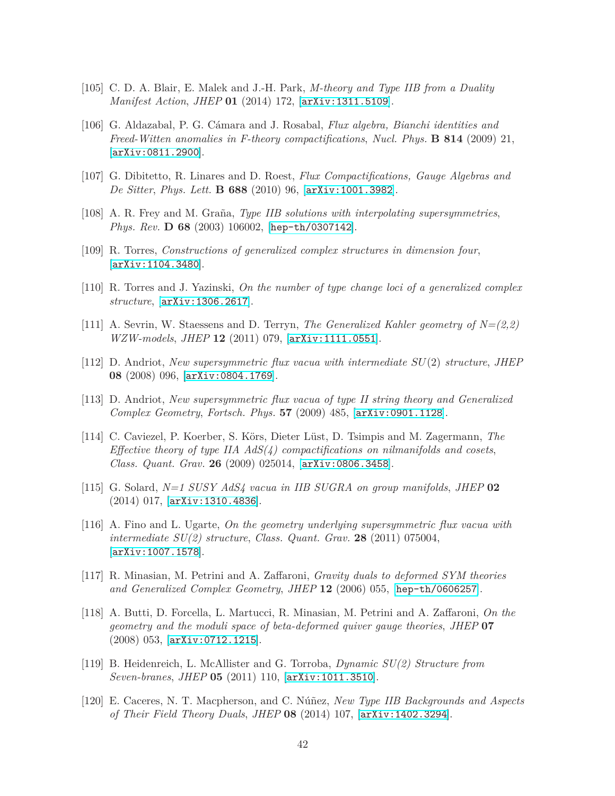- <span id="page-41-1"></span><span id="page-41-0"></span>[105] C. D. A. Blair, E. Malek and J.-H. Park, *M-theory and Type IIB from a Duality Manifest Action*, *JHEP* **01** (2014) 172, [[arXiv:1311.5109](http://xxx.lanl.gov/abs/1311.5109)].
- [106] G. Aldazabal, P. G. Cámara and J. Rosabal, *Flux algebra, Bianchi identities and Freed-Witten anomalies in F-theory compactifications*, *Nucl. Phys.* **B 814** (2009) 21, [[arXiv:0811.2900](http://xxx.lanl.gov/abs/0811.2900)].
- <span id="page-41-3"></span><span id="page-41-2"></span>[107] G. Dibitetto, R. Linares and D. Roest, *Flux Compactifications, Gauge Algebras and De Sitter*, *Phys. Lett.* **B 688** (2010) 96, [[arXiv:1001.3982](http://xxx.lanl.gov/abs/1001.3982)].
- <span id="page-41-13"></span>[108] A. R. Frey and M. Graña, *Type IIB solutions with interpolating supersymmetries*, *Phys. Rev.* **D 68** (2003) 106002, [[hep-th/0307142](http://xxx.lanl.gov/abs/hep-th/0307142)].
- <span id="page-41-14"></span>[109] R. Torres, *Constructions of generalized complex structures in dimension four*, [[arXiv:1104.3480](http://xxx.lanl.gov/abs/1104.3480)].
- <span id="page-41-15"></span>[110] R. Torres and J. Yazinski, *On the number of type change loci of a generalized complex structure*, [[arXiv:1306.2617](http://xxx.lanl.gov/abs/1306.2617)].
- <span id="page-41-4"></span>[111] A. Sevrin, W. Staessens and D. Terryn, *The Generalized Kahler geometry of N=(2,2) WZW-models*, *JHEP* **12** (2011) 079, [[arXiv:1111.0551](http://xxx.lanl.gov/abs/1111.0551)].
- $[112]$  D. Andriot, *New supersymmetric flux vacua with intermediate*  $SU(2)$  *structure*, *JHEP* **08** (2008) 096, [[arXiv:0804.1769](http://xxx.lanl.gov/abs/0804.1769)].
- <span id="page-41-5"></span>[113] D. Andriot, *New supersymmetric flux vacua of type II string theory and Generalized Complex Geometry*, *Fortsch. Phys.* **57** (2009) 485, [[arXiv:0901.1128](http://xxx.lanl.gov/abs/0901.1128)].
- <span id="page-41-6"></span>[114] C. Caviezel, P. Koerber, S. Körs, Dieter Lüst, D. Tsimpis and M. Zagermann, *The Effective theory of type IIA AdS(4) compactifications on nilmanifolds and cosets*, *Class. Quant. Grav.* **26** (2009) 025014, [[arXiv:0806.3458](http://xxx.lanl.gov/abs/0806.3458)].
- <span id="page-41-7"></span>[115] G. Solard, *N=1 SUSY AdS4 vacua in IIB SUGRA on group manifolds*, *JHEP* **02** (2014) 017, [[arXiv:1310.4836](http://xxx.lanl.gov/abs/1310.4836)].
- <span id="page-41-8"></span>[116] A. Fino and L. Ugarte, *On the geometry underlying supersymmetric flux vacua with intermediate SU(2) structure*, *Class. Quant. Grav.* **28** (2011) 075004, [[arXiv:1007.1578](http://xxx.lanl.gov/abs/1007.1578)].
- <span id="page-41-9"></span>[117] R. Minasian, M. Petrini and A. Zaffaroni, *Gravity duals to deformed SYM theories and Generalized Complex Geometry*, *JHEP* **12** (2006) 055, [[hep-th/0606257](http://xxx.lanl.gov/abs/hep-th/0606257)].
- <span id="page-41-10"></span>[118] A. Butti, D. Forcella, L. Martucci, R. Minasian, M. Petrini and A. Zaffaroni, *On the geometry and the moduli space of beta-deformed quiver gauge theories*, *JHEP* **07** (2008) 053, [[arXiv:0712.1215](http://xxx.lanl.gov/abs/0712.1215)].
- <span id="page-41-11"></span>[119] B. Heidenreich, L. McAllister and G. Torroba, *Dynamic SU(2) Structure from Seven-branes*, *JHEP* **05** (2011) 110, [[arXiv:1011.3510](http://xxx.lanl.gov/abs/1011.3510)].
- <span id="page-41-12"></span>[120] E. Caceres, N. T. Macpherson, and C. Núñez, *New Type IIB Backgrounds and Aspects of Their Field Theory Duals*, *JHEP* **08** (2014) 107, [[arXiv:1402.3294](http://xxx.lanl.gov/abs/1402.3294)].